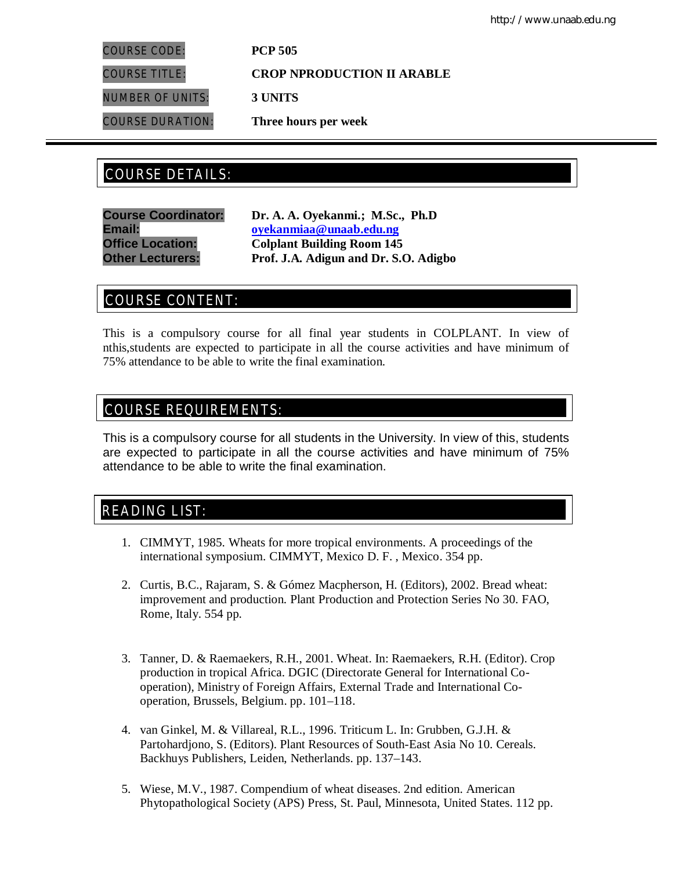COURSE CODE: **PCP 505**

COURSE TITLE: **CROP NPRODUCTION II ARABLE**

NUMBER OF UNITS: **3 UNITS**

COURSE DURATION: **Three hours per week**

# COURSE DETAILS: COURSE DETAILS:

**Course Coordinator: Dr. A. A. Oyekanmi.; M.Sc., Ph.D Email: oyekanmiaa@unaab.edu.ng Office Location: Colplant Building Room 145 Other Lecturers: Prof. J.A. Adigun and Dr. S.O. Adigbo**

# COURSE CONTENT:

This is a compulsory course for all final year students in COLPLANT. In view of nthis,students are expected to participate in all the course activities and have minimum of 75% attendance to be able to write the final examination.

# COURSE REQUIREMENTS:

This is a compulsory course for all students in the University. In view of this, students are expected to participate in all the course activities and have minimum of 75% attendance to be able to write the final examination.

# READING LIST:

- 1. CIMMYT, 1985. Wheats for more tropical environments. A proceedings of the international symposium. CIMMYT, Mexico D. F. , Mexico. 354 pp.
- 2. Curtis, B.C., Rajaram, S. & Gómez Macpherson, H. (Editors), 2002. Bread wheat: improvement and production. Plant Production and Protection Series No 30. FAO, Rome, Italy. 554 pp.
- 3. Tanner, D. & Raemaekers, R.H., 2001. Wheat. In: Raemaekers, R.H. (Editor). Crop production in tropical Africa. DGIC (Directorate General for International Cooperation), Ministry of Foreign Affairs, External Trade and International Cooperation, Brussels, Belgium. pp. 101–118.
- 4. van Ginkel, M. & Villareal, R.L., 1996. Triticum L. In: Grubben, G.J.H. & Partohardjono, S. (Editors). Plant Resources of South-East Asia No 10. Cereals. Backhuys Publishers, Leiden, Netherlands. pp. 137–143.
- 5. Wiese, M.V., 1987. Compendium of wheat diseases. 2nd edition. American Phytopathological Society (APS) Press, St. Paul, Minnesota, United States. 112 pp.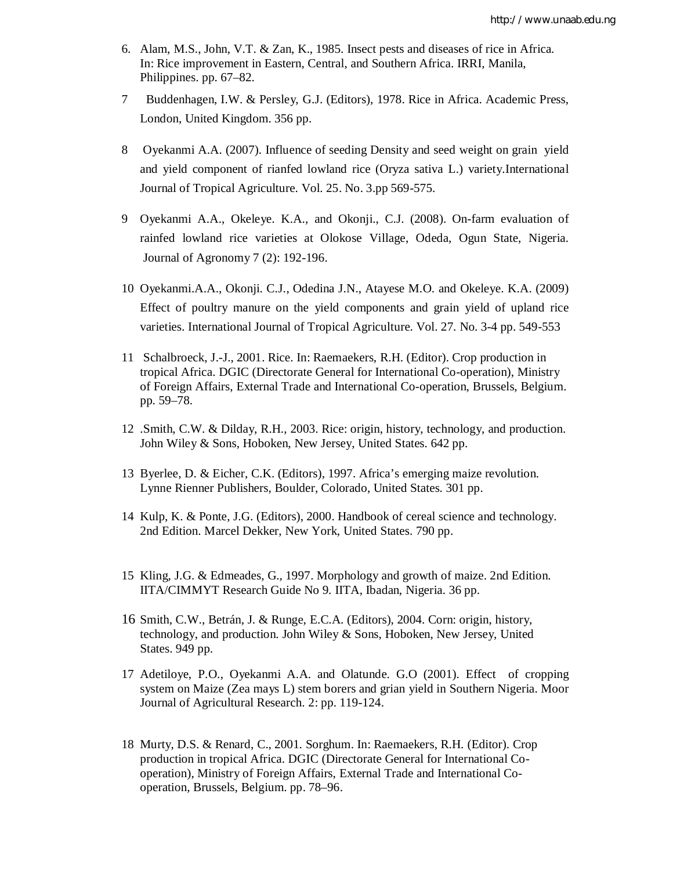- 6. Alam, M.S., John, V.T. & Zan, K., 1985. Insect pests and diseases of rice in Africa. In: Rice improvement in Eastern, Central, and Southern Africa. IRRI, Manila, Philippines. pp. 67–82.
- 7 Buddenhagen, I.W. & Persley, G.J. (Editors), 1978. Rice in Africa. Academic Press, London, United Kingdom. 356 pp.
- 8 Oyekanmi A.A. (2007). Influence of seeding Density and seed weight on grain yield and yield component of rianfed lowland rice (Oryza sativa L.) variety.International Journal of Tropical Agriculture. Vol. 25. No. 3.pp 569-575.
- 9 Oyekanmi A.A., Okeleye. K.A., and Okonji., C.J. (2008). On-farm evaluation of rainfed lowland rice varieties at Olokose Village, Odeda, Ogun State, Nigeria. Journal of Agronomy 7 (2): 192-196.
- 10 Oyekanmi.A.A., Okonji. C.J., Odedina J.N., Atayese M.O. and Okeleye. K.A. (2009) Effect of poultry manure on the yield components and grain yield of upland rice varieties. International Journal of Tropical Agriculture. Vol. 27. No. 3-4 pp. 549-553
- 11 Schalbroeck, J.-J., 2001. Rice. In: Raemaekers, R.H. (Editor). Crop production in tropical Africa. DGIC (Directorate General for International Co-operation), Ministry of Foreign Affairs, External Trade and International Co-operation, Brussels, Belgium. pp. 59–78.
- 12 .Smith, C.W. & Dilday, R.H., 2003. Rice: origin, history, technology, and production. John Wiley & Sons, Hoboken, New Jersey, United States. 642 pp.
- 13 Byerlee, D. & Eicher, C.K. (Editors), 1997. Africa's emerging maize revolution. Lynne Rienner Publishers, Boulder, Colorado, United States. 301 pp.
- 14 Kulp, K. & Ponte, J.G. (Editors), 2000. Handbook of cereal science and technology. 2nd Edition. Marcel Dekker, New York, United States. 790 pp.
- 15 Kling, J.G. & Edmeades, G., 1997. Morphology and growth of maize. 2nd Edition. IITA/CIMMYT Research Guide No 9. IITA, Ibadan, Nigeria. 36 pp.
- 16 Smith, C.W., Betrán, J. & Runge, E.C.A. (Editors), 2004. Corn: origin, history, technology, and production. John Wiley & Sons, Hoboken, New Jersey, United States. 949 pp.
- 17 Adetiloye, P.O., Oyekanmi A.A. and Olatunde. G.O (2001). Effect of cropping system on Maize (Zea mays L) stem borers and grian yield in Southern Nigeria. Moor Journal of Agricultural Research. 2: pp. 119-124.
- 18 Murty, D.S. & Renard, C., 2001. Sorghum. In: Raemaekers, R.H. (Editor). Crop production in tropical Africa. DGIC (Directorate General for International Cooperation), Ministry of Foreign Affairs, External Trade and International Cooperation, Brussels, Belgium. pp. 78–96.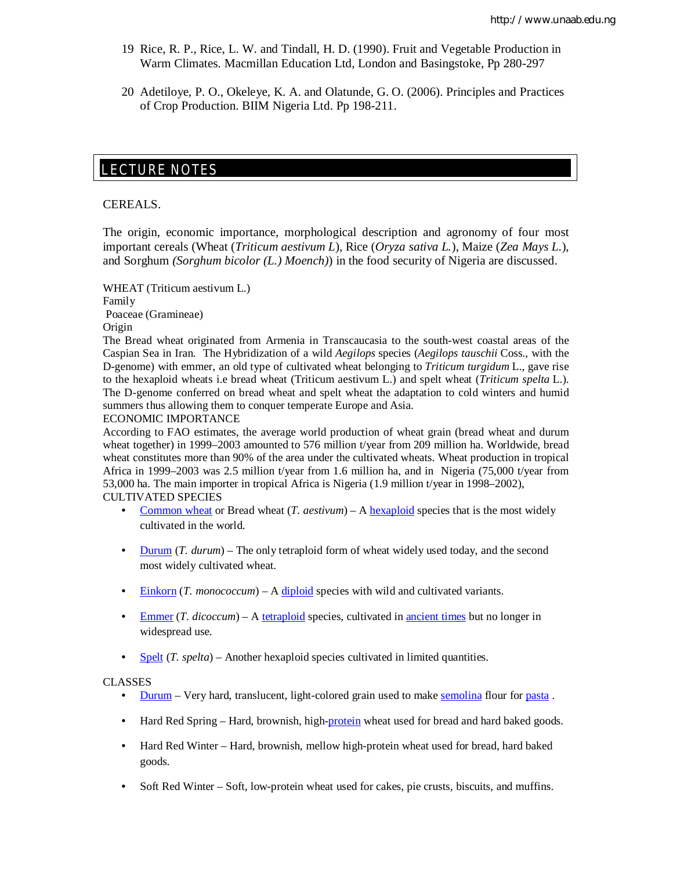- 19 Rice, R. P., Rice, L. W. and Tindall, H. D. (1990). Fruit and Vegetable Production in Warm Climates. Macmillan Education Ltd, London and Basingstoke, Pp 280-297
- 20 Adetiloye, P. O., Okeleye, K. A. and Olatunde, G. O. (2006). Principles and Practices of Crop Production. BIIM Nigeria Ltd. Pp 198-211.

# LECTURE NOTES

#### CEREALS.

E

The origin, economic importance, morphological description and agronomy of four most important cereals (Wheat (*Triticum aestivum L*), Rice (*Oryza sativa L.*), Maize (*Zea Mays L.*), and Sorghum *(Sorghum bicolor (L.) Moench)*) in the food security of Nigeria are discussed.

WHEAT (Triticum aestivum L.) Family Poaceae (Gramineae)

Origin

The Bread wheat originated from Armenia in Transcaucasia to the south-west coastal areas of the Caspian Sea in Iran. The Hybridization of a wild *Aegilops* species (*Aegilops tauschii* Coss., with the D-genome) with emmer, an old type of cultivated wheat belonging to *Triticum turgidum* L., gave rise to the hexaploid wheats i.e bread wheat (Triticum aestivum L.) and spelt wheat (*Triticum spelta* L.). The D-genome conferred on bread wheat and spelt wheat the adaptation to cold winters and humid summers thus allowing them to conquer temperate Europe and Asia.

ECONOMIC IMPORTANCE

According to FAO estimates, the average world production of wheat grain (bread wheat and durum wheat together) in 1999–2003 amounted to 576 million t/year from 209 million ha. Worldwide, bread wheat constitutes more than 90% of the area under the cultivated wheats. Wheat production in tropical Africa in 1999–2003 was 2.5 million t/year from 1.6 million ha, and in Nigeria (75,000 t/year from 53,000 ha. The main importer in tropical Africa is Nigeria (1.9 million t/year in 1998–2002), CULTIVATED SPECIES

- Common wheat or Bread wheat  $(T. aestivum) A hexaploid species that is the most widely$ cultivated in the world.
- Durum (*T. durum*) The only tetraploid form of wheat widely used today, and the second most widely cultivated wheat.
- Einkorn (*T. monococcum*) A diploid species with wild and cultivated variants.
- Emmer (*T. dicoccum*) A tetraploid species, cultivated in ancient times but no longer in widespread use.
- Spelt (*T. spelta*) Another hexaploid species cultivated in limited quantities.

#### CLASSES

- Durum Very hard, translucent, light-colored grain used to make <u>semolina</u> flour for pasta.
- Hard Red Spring Hard, brownish, high-protein wheat used for bread and hard baked goods.
- Hard Red Winter Hard, brownish, mellow high-protein wheat used for bread, hard baked goods.
- Soft Red Winter Soft, low-protein wheat used for cakes, pie crusts, biscuits, and muffins.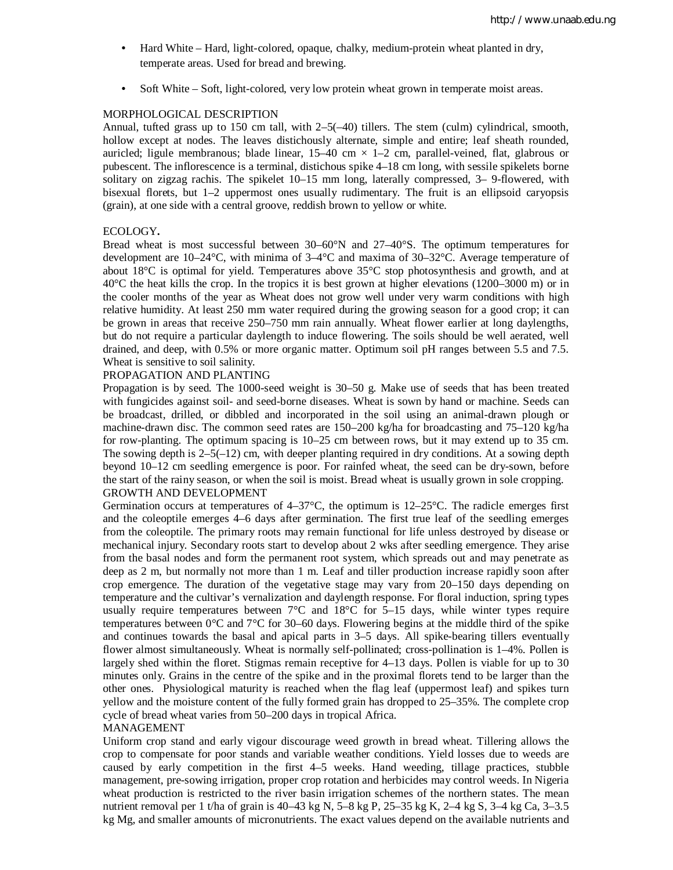- Hard White Hard, light-colored, opaque, chalky, medium-protein wheat planted in dry, temperate areas. Used for bread and brewing.
- Soft White Soft, light-colored, very low protein wheat grown in temperate moist areas.

#### MORPHOLOGICAL DESCRIPTION

Annual, tufted grass up to 150 cm tall, with  $2-5(-40)$  tillers. The stem (culm) cylindrical, smooth, hollow except at nodes. The leaves distichously alternate, simple and entire; leaf sheath rounded, auricled; ligule membranous; blade linear,  $15-40$  cm  $\times$  1-2 cm, parallel-veined, flat, glabrous or pubescent. The inflorescence is a terminal, distichous spike 4–18 cm long, with sessile spikelets borne solitary on zigzag rachis. The spikelet 10–15 mm long, laterally compressed, 3– 9-flowered, with bisexual florets, but 1–2 uppermost ones usually rudimentary. The fruit is an ellipsoid caryopsis (grain), at one side with a central groove, reddish brown to yellow or white.

#### ECOLOGY**.**

Bread wheat is most successful between  $30-60^{\circ}N$  and  $27-40^{\circ}S$ . The optimum temperatures for development are  $10-24$ °C, with minima of  $3-4$ °C and maxima of  $30-32$ °C. Average temperature of about  $18^{\circ}$ C is optimal for yield. Temperatures above  $35^{\circ}$ C stop photosynthesis and growth, and at 40°C the heat kills the crop. In the tropics it is best grown at higher elevations (1200–3000 m) or in the cooler months of the year as Wheat does not grow well under very warm conditions with high relative humidity. At least 250 mm water required during the growing season for a good crop; it can be grown in areas that receive 250–750 mm rain annually. Wheat flower earlier at long daylengths, but do not require a particular daylength to induce flowering. The soils should be well aerated, well drained, and deep, with 0.5% or more organic matter. Optimum soil pH ranges between 5.5 and 7.5. Wheat is sensitive to soil salinity.

#### PROPAGATION AND PLANTING

Propagation is by seed. The 1000-seed weight is 30–50 g. Make use of seeds that has been treated with fungicides against soil- and seed-borne diseases. Wheat is sown by hand or machine. Seeds can be broadcast, drilled, or dibbled and incorporated in the soil using an animal-drawn plough or machine-drawn disc. The common seed rates are 150–200 kg/ha for broadcasting and 75–120 kg/ha for row-planting. The optimum spacing is 10–25 cm between rows, but it may extend up to 35 cm. The sowing depth is  $2-5(-12)$  cm, with deeper planting required in dry conditions. At a sowing depth beyond 10–12 cm seedling emergence is poor. For rainfed wheat, the seed can be dry-sown, before the start of the rainy season, or when the soil is moist. Bread wheat is usually grown in sole cropping. GROWTH AND DEVELOPMENT

Germination occurs at temperatures of  $4-37^{\circ}$ C, the optimum is  $12-25^{\circ}$ C. The radicle emerges first and the coleoptile emerges 4–6 days after germination. The first true leaf of the seedling emerges from the coleoptile. The primary roots may remain functional for life unless destroyed by disease or mechanical injury. Secondary roots start to develop about 2 wks after seedling emergence. They arise from the basal nodes and form the permanent root system, which spreads out and may penetrate as deep as 2 m, but normally not more than 1 m. Leaf and tiller production increase rapidly soon after crop emergence. The duration of the vegetative stage may vary from 20–150 days depending on temperature and the cultivar's vernalization and daylength response. For floral induction, spring types usually require temperatures between 7°C and 18°C for 5–15 days, while winter types require temperatures between  $0^{\circ}$ C and  $7^{\circ}$ C for 30–60 days. Flowering begins at the middle third of the spike and continues towards the basal and apical parts in 3–5 days. All spike-bearing tillers eventually flower almost simultaneously. Wheat is normally self-pollinated; cross-pollination is 1–4%. Pollen is largely shed within the floret. Stigmas remain receptive for 4–13 days. Pollen is viable for up to 30 minutes only. Grains in the centre of the spike and in the proximal florets tend to be larger than the other ones. Physiological maturity is reached when the flag leaf (uppermost leaf) and spikes turn yellow and the moisture content of the fully formed grain has dropped to 25–35%. The complete crop cycle of bread wheat varies from 50–200 days in tropical Africa.

#### MANAGEMENT

Uniform crop stand and early vigour discourage weed growth in bread wheat. Tillering allows the crop to compensate for poor stands and variable weather conditions. Yield losses due to weeds are caused by early competition in the first 4–5 weeks. Hand weeding, tillage practices, stubble management, pre-sowing irrigation, proper crop rotation and herbicides may control weeds. In Nigeria wheat production is restricted to the river basin irrigation schemes of the northern states. The mean nutrient removal per 1 t/ha of grain is  $40-43$  kg N,  $5-8$  kg P,  $25-35$  kg K,  $2-4$  kg S,  $3-4$  kg Ca,  $3-3.5$ kg Mg, and smaller amounts of micronutrients. The exact values depend on the available nutrients and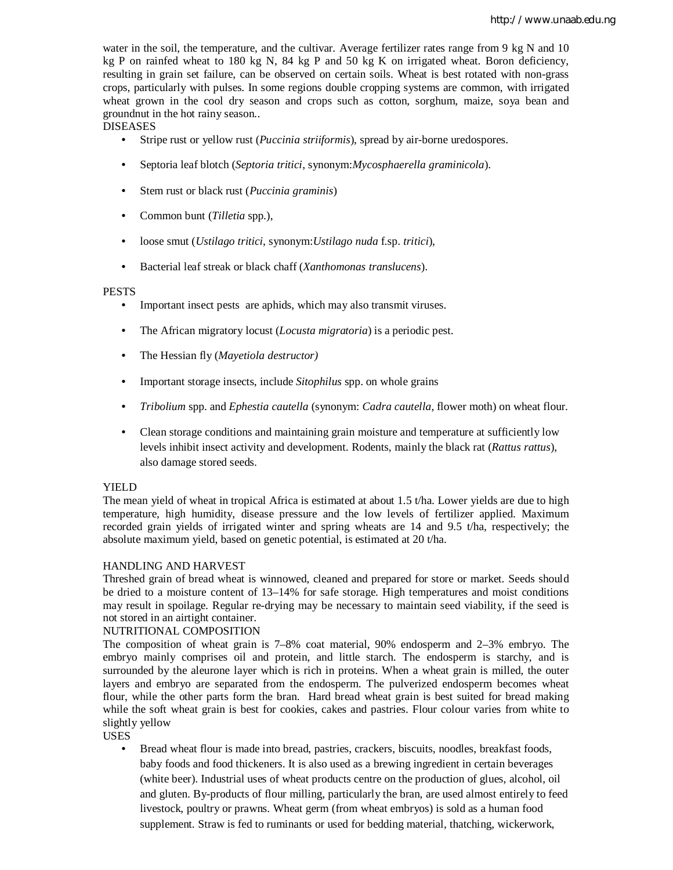water in the soil, the temperature, and the cultivar. Average fertilizer rates range from 9 kg N and 10 kg P on rainfed wheat to 180 kg N, 84 kg P and 50 kg K on irrigated wheat. Boron deficiency, resulting in grain set failure, can be observed on certain soils. Wheat is best rotated with non-grass crops, particularly with pulses. In some regions double cropping systems are common, with irrigated wheat grown in the cool dry season and crops such as cotton, sorghum, maize, soya bean and groundnut in the hot rainy season..

## DISEASES

- Stripe rust or yellow rust (*Puccinia striiformis*), spread by air-borne uredospores.
- Septoria leaf blotch (*Septoria tritici*, synonym:*Mycosphaerella graminicola*).
- Stem rust or black rust (*Puccinia graminis*)
- Common bunt (*Tilletia* spp.),
- loose smut (*Ustilago tritici*, synonym:*Ustilago nuda* f.sp. *tritici*),
- Bacterial leaf streak or black chaff (*Xanthomonas translucens*).

#### PESTS

- Important insect pests are aphids, which may also transmit viruses.
- The African migratory locust (*Locusta migratoria*) is a periodic pest.
- The Hessian fly (*Mayetiola destructor)*
- Important storage insects, include *Sitophilus* spp. on whole grains
- *Tribolium* spp. and *Ephestia cautella* (synonym: *Cadra cautella*, flower moth) on wheat flour.
- Clean storage conditions and maintaining grain moisture and temperature at sufficiently low levels inhibit insect activity and development. Rodents, mainly the black rat (*Rattus rattus*), also damage stored seeds.

### YIELD

The mean yield of wheat in tropical Africa is estimated at about 1.5 t/ha. Lower yields are due to high temperature, high humidity, disease pressure and the low levels of fertilizer applied. Maximum recorded grain yields of irrigated winter and spring wheats are 14 and 9.5 t/ha, respectively; the absolute maximum yield, based on genetic potential, is estimated at 20 t/ha.

### HANDLING AND HARVEST

Threshed grain of bread wheat is winnowed, cleaned and prepared for store or market. Seeds should be dried to a moisture content of 13–14% for safe storage. High temperatures and moist conditions may result in spoilage. Regular re-drying may be necessary to maintain seed viability, if the seed is not stored in an airtight container.

### NUTRITIONAL COMPOSITION

The composition of wheat grain is 7–8% coat material, 90% endosperm and 2–3% embryo. The embryo mainly comprises oil and protein, and little starch. The endosperm is starchy, and is surrounded by the aleurone layer which is rich in proteins. When a wheat grain is milled, the outer layers and embryo are separated from the endosperm. The pulverized endosperm becomes wheat flour, while the other parts form the bran. Hard bread wheat grain is best suited for bread making while the soft wheat grain is best for cookies, cakes and pastries. Flour colour varies from white to slightly yellow

USES

• Bread wheat flour is made into bread, pastries, crackers, biscuits, noodles, breakfast foods, baby foods and food thickeners. It is also used as a brewing ingredient in certain beverages (white beer). Industrial uses of wheat products centre on the production of glues, alcohol, oil and gluten. By-products of flour milling, particularly the bran, are used almost entirely to feed livestock, poultry or prawns. Wheat germ (from wheat embryos) is sold as a human food supplement. Straw is fed to ruminants or used for bedding material, thatching, wickerwork,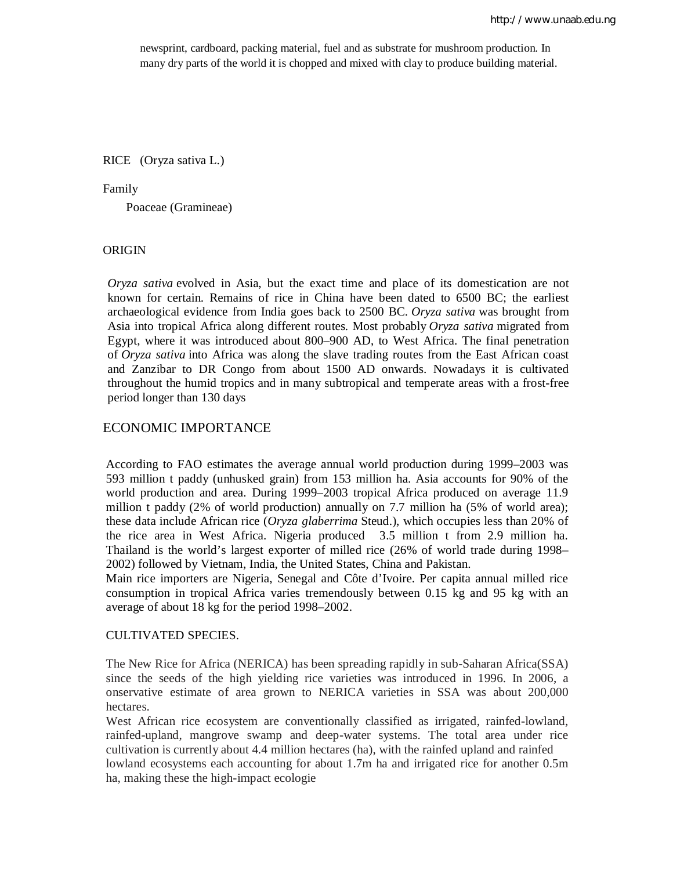newsprint, cardboard, packing material, fuel and as substrate for mushroom production. In many dry parts of the world it is chopped and mixed with clay to produce building material.

RICE (Oryza sativa L.)

#### Family

Poaceae (Gramineae)

### **ORIGIN**

*Oryza sativa* evolved in Asia, but the exact time and place of its domestication are not known for certain. Remains of rice in China have been dated to 6500 BC; the earliest archaeological evidence from India goes back to 2500 BC. *Oryza sativa* was brought from Asia into tropical Africa along different routes. Most probably *Oryza sativa* migrated from Egypt, where it was introduced about 800–900 AD, to West Africa. The final penetration of *Oryza sativa* into Africa was along the slave trading routes from the East African coast and Zanzibar to DR Congo from about 1500 AD onwards. Nowadays it is cultivated throughout the humid tropics and in many subtropical and temperate areas with a frost-free period longer than 130 days

## ECONOMIC IMPORTANCE

According to FAO estimates the average annual world production during 1999–2003 was 593 million t paddy (unhusked grain) from 153 million ha. Asia accounts for 90% of the world production and area. During 1999–2003 tropical Africa produced on average 11.9 million t paddy (2% of world production) annually on 7.7 million ha (5% of world area); these data include African rice (*Oryza glaberrima* Steud.), which occupies less than 20% of the rice area in West Africa. Nigeria produced 3.5 million t from 2.9 million ha. Thailand is the world's largest exporter of milled rice (26% of world trade during 1998– 2002) followed by Vietnam, India, the United States, China and Pakistan.

Main rice importers are Nigeria, Senegal and Côte d'Ivoire. Per capita annual milled rice consumption in tropical Africa varies tremendously between 0.15 kg and 95 kg with an average of about 18 kg for the period 1998–2002.

#### CULTIVATED SPECIES.

The New Rice for Africa (NERICA) has been spreading rapidly in sub-Saharan Africa(SSA) since the seeds of the high yielding rice varieties was introduced in 1996. In 2006, a onservative estimate of area grown to NERICA varieties in SSA was about 200,000 hectares.

West African rice ecosystem are conventionally classified as irrigated, rainfed-lowland, rainfed-upland, mangrove swamp and deep-water systems. The total area under rice cultivation is currently about 4.4 million hectares (ha), with the rainfed upland and rainfed lowland ecosystems each accounting for about 1.7m ha and irrigated rice for another 0.5m ha, making these the high-impact ecologie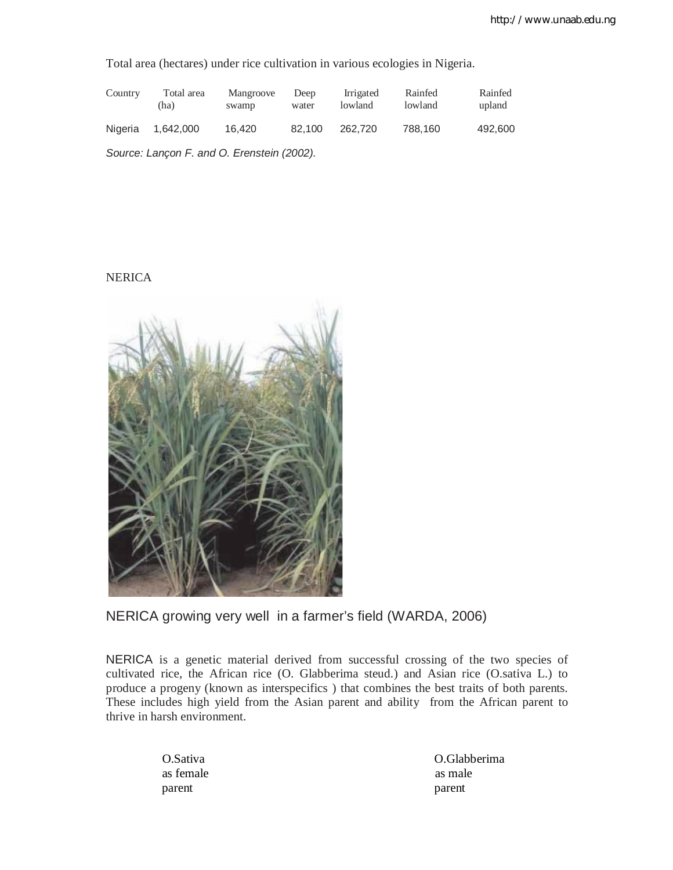Total area (hectares) under rice cultivation in various ecologies in Nigeria.

| Country | Total area<br>(ha)                         | Mangroove<br>swamp | Deep<br>water | Irrigated<br>lowland | Rainfed<br>lowland | Rainfed<br>upland |
|---------|--------------------------------------------|--------------------|---------------|----------------------|--------------------|-------------------|
| Nigeria | 1.642.000                                  | 16.420             | 82.100        | 262,720              | 788.160            | 492,600           |
|         | Source: Lançon F. and O. Erenstein (2002). |                    |               |                      |                    |                   |

**NERICA** 



NERICA growing very well in a farmer's field (WARDA, 2006)

NERICA is a genetic material derived from successful crossing of the two species of cultivated rice, the African rice (O. Glabberima steud.) and Asian rice (O.sativa L.) to produce a progeny (known as interspecifics ) that combines the best traits of both parents. These includes high yield from the Asian parent and ability from the African parent to thrive in harsh environment.

as female as male parent parent parent parent parent parent parent parent parent parent parent parent parent parent parent parent

O.Sativa O.Glabberima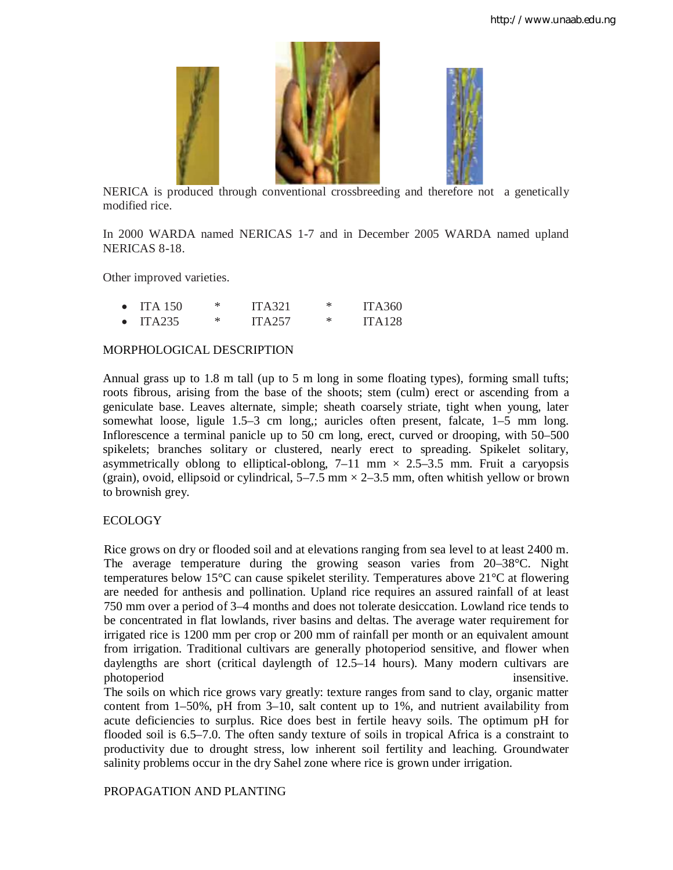

NERICA is produced through conventional crossbreeding and therefore not a genetically modified rice.

In 2000 WARDA named NERICAS 1-7 and in December 2005 WARDA named upland NERICAS 8-18.

Other improved varieties.

|           | $\bullet$ ITA 150 | ITA321 | ж | <b>ITA360</b> |
|-----------|-------------------|--------|---|---------------|
| $\bullet$ | ITA235            | ITA257 | ж | <b>ITA128</b> |

## MORPHOLOGICAL DESCRIPTION

Annual grass up to 1.8 m tall (up to 5 m long in some floating types), forming small tufts; roots fibrous, arising from the base of the shoots; stem (culm) erect or ascending from a geniculate base. Leaves alternate, simple; sheath coarsely striate, tight when young, later somewhat loose, ligule 1.5–3 cm long,; auricles often present, falcate, 1–5 mm long. Inflorescence a terminal panicle up to 50 cm long, erect, curved or drooping, with 50–500 spikelets; branches solitary or clustered, nearly erect to spreading. Spikelet solitary, asymmetrically oblong to elliptical-oblong,  $7-11$  mm  $\times$  2.5–3.5 mm. Fruit a caryopsis (grain), ovoid, ellipsoid or cylindrical,  $5-7.5$  mm  $\times$  2-3.5 mm, often whitish yellow or brown to brownish grey.

## ECOLOGY

Rice grows on dry or flooded soil and at elevations ranging from sea level to at least 2400 m. The average temperature during the growing season varies from 20–38°C. Night temperatures below 15°C can cause spikelet sterility. Temperatures above 21°C at flowering are needed for anthesis and pollination. Upland rice requires an assured rainfall of at least 750 mm over a period of 3–4 months and does not tolerate desiccation. Lowland rice tends to be concentrated in flat lowlands, river basins and deltas. The average water requirement for irrigated rice is 1200 mm per crop or 200 mm of rainfall per month or an equivalent amount from irrigation. Traditional cultivars are generally photoperiod sensitive, and flower when daylengths are short (critical daylength of 12.5–14 hours). Many modern cultivars are photoperiod insensitive.

The soils on which rice grows vary greatly: texture ranges from sand to clay, organic matter content from 1–50%, pH from 3–10, salt content up to 1%, and nutrient availability from acute deficiencies to surplus. Rice does best in fertile heavy soils. The optimum pH for flooded soil is 6.5–7.0. The often sandy texture of soils in tropical Africa is a constraint to productivity due to drought stress, low inherent soil fertility and leaching. Groundwater salinity problems occur in the dry Sahel zone where rice is grown under irrigation.

## PROPAGATION AND PLANTING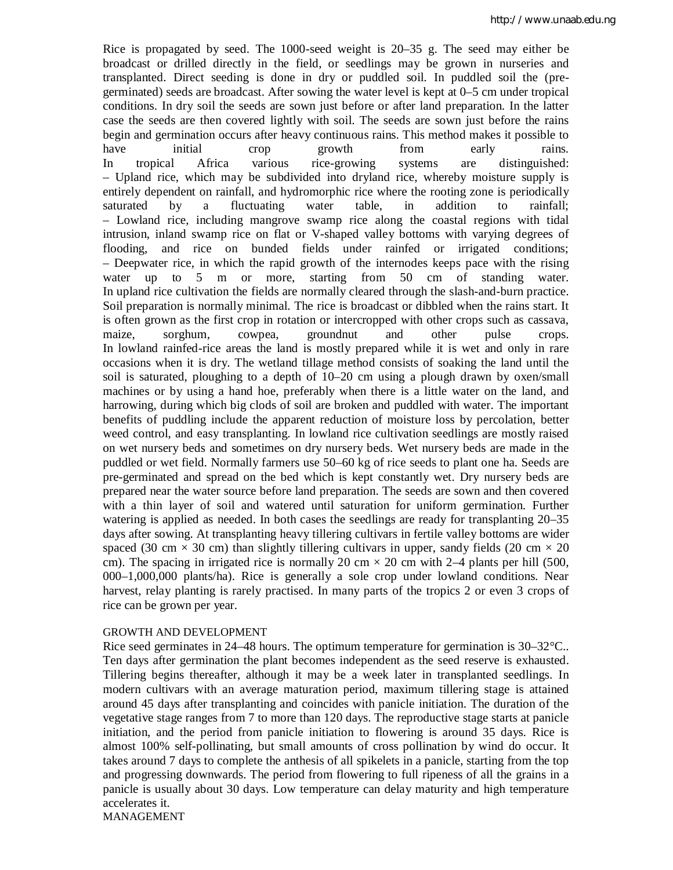Rice is propagated by seed. The 1000-seed weight is 20–35 g. The seed may either be broadcast or drilled directly in the field, or seedlings may be grown in nurseries and transplanted. Direct seeding is done in dry or puddled soil. In puddled soil the (pregerminated) seeds are broadcast. After sowing the water level is kept at 0–5 cm under tropical conditions. In dry soil the seeds are sown just before or after land preparation. In the latter case the seeds are then covered lightly with soil. The seeds are sown just before the rains begin and germination occurs after heavy continuous rains. This method makes it possible to have initial crop growth from early rains. In tropical Africa various rice-growing systems are distinguished: – Upland rice, which may be subdivided into dryland rice, whereby moisture supply is entirely dependent on rainfall, and hydromorphic rice where the rooting zone is periodically saturated by a fluctuating water table, in addition to rainfall; – Lowland rice, including mangrove swamp rice along the coastal regions with tidal intrusion, inland swamp rice on flat or V-shaped valley bottoms with varying degrees of flooding, and rice on bunded fields under rainfed or irrigated conditions; – Deepwater rice, in which the rapid growth of the internodes keeps pace with the rising water up to 5 m or more, starting from 50 cm of standing water. In upland rice cultivation the fields are normally cleared through the slash-and-burn practice. Soil preparation is normally minimal. The rice is broadcast or dibbled when the rains start. It is often grown as the first crop in rotation or intercropped with other crops such as cassava, maize, sorghum, cowpea, groundnut and other pulse crops. In lowland rainfed-rice areas the land is mostly prepared while it is wet and only in rare occasions when it is dry. The wetland tillage method consists of soaking the land until the soil is saturated, ploughing to a depth of 10–20 cm using a plough drawn by oxen/small machines or by using a hand hoe, preferably when there is a little water on the land, and harrowing, during which big clods of soil are broken and puddled with water. The important benefits of puddling include the apparent reduction of moisture loss by percolation, better weed control, and easy transplanting. In lowland rice cultivation seedlings are mostly raised on wet nursery beds and sometimes on dry nursery beds. Wet nursery beds are made in the puddled or wet field. Normally farmers use 50–60 kg of rice seeds to plant one ha. Seeds are pre-germinated and spread on the bed which is kept constantly wet. Dry nursery beds are prepared near the water source before land preparation. The seeds are sown and then covered with a thin layer of soil and watered until saturation for uniform germination. Further watering is applied as needed. In both cases the seedlings are ready for transplanting 20–35 days after sowing. At transplanting heavy tillering cultivars in fertile valley bottoms are wider spaced (30 cm  $\times$  30 cm) than slightly tillering cultivars in upper, sandy fields (20 cm  $\times$  20 cm). The spacing in irrigated rice is normally 20 cm  $\times$  20 cm with 2–4 plants per hill (500, 000–1,000,000 plants/ha). Rice is generally a sole crop under lowland conditions. Near harvest, relay planting is rarely practised. In many parts of the tropics 2 or even 3 crops of rice can be grown per year.

### GROWTH AND DEVELOPMENT

Rice seed germinates in 24–48 hours. The optimum temperature for germination is 30–32 °C.. Ten days after germination the plant becomes independent as the seed reserve is exhausted. Tillering begins thereafter, although it may be a week later in transplanted seedlings. In modern cultivars with an average maturation period, maximum tillering stage is attained around 45 days after transplanting and coincides with panicle initiation. The duration of the vegetative stage ranges from 7 to more than 120 days. The reproductive stage starts at panicle initiation, and the period from panicle initiation to flowering is around 35 days. Rice is almost 100% self-pollinating, but small amounts of cross pollination by wind do occur. It takes around 7 days to complete the anthesis of all spikelets in a panicle, starting from the top and progressing downwards. The period from flowering to full ripeness of all the grains in a panicle is usually about 30 days. Low temperature can delay maturity and high temperature accelerates it. MANAGEMENT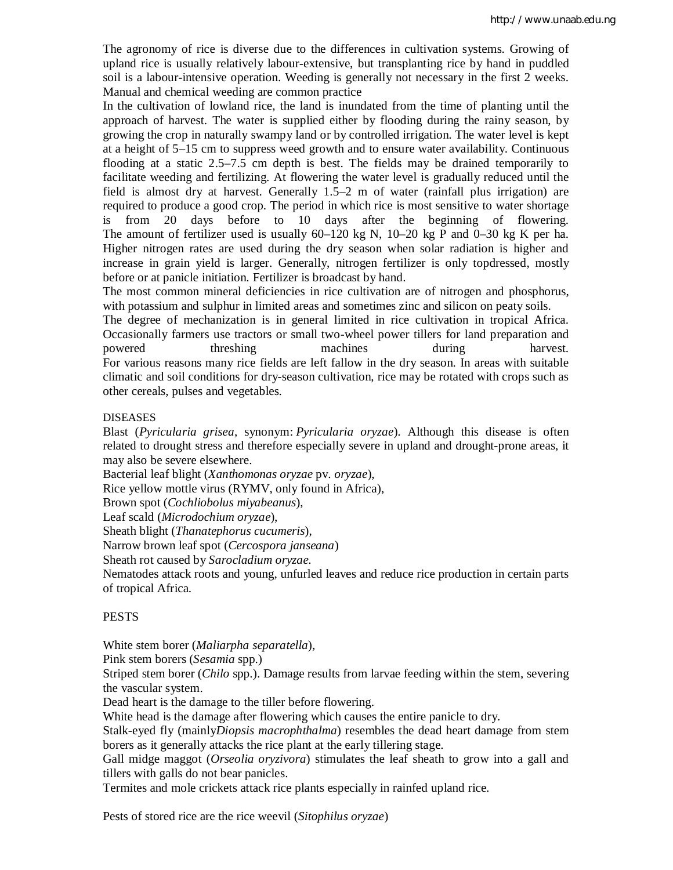The agronomy of rice is diverse due to the differences in cultivation systems. Growing of upland rice is usually relatively labour-extensive, but transplanting rice by hand in puddled soil is a labour-intensive operation. Weeding is generally not necessary in the first 2 weeks. Manual and chemical weeding are common practice

In the cultivation of lowland rice, the land is inundated from the time of planting until the approach of harvest. The water is supplied either by flooding during the rainy season, by growing the crop in naturally swampy land or by controlled irrigation. The water level is kept at a height of 5–15 cm to suppress weed growth and to ensure water availability. Continuous flooding at a static 2.5–7.5 cm depth is best. The fields may be drained temporarily to facilitate weeding and fertilizing. At flowering the water level is gradually reduced until the field is almost dry at harvest. Generally 1.5–2 m of water (rainfall plus irrigation) are required to produce a good crop. The period in which rice is most sensitive to water shortage is from 20 days before to 10 days after the beginning of flowering. The amount of fertilizer used is usually  $60-120$  kg N,  $10-20$  kg P and  $0-30$  kg K per ha. Higher nitrogen rates are used during the dry season when solar radiation is higher and increase in grain yield is larger. Generally, nitrogen fertilizer is only topdressed, mostly before or at panicle initiation. Fertilizer is broadcast by hand.

The most common mineral deficiencies in rice cultivation are of nitrogen and phosphorus, with potassium and sulphur in limited areas and sometimes zinc and silicon on peaty soils.

The degree of mechanization is in general limited in rice cultivation in tropical Africa. Occasionally farmers use tractors or small two-wheel power tillers for land preparation and powered threshing machines during harvest. For various reasons many rice fields are left fallow in the dry season. In areas with suitable climatic and soil conditions for dry-season cultivation, rice may be rotated with crops such as other cereals, pulses and vegetables.

## DISEASES

Blast (*Pyricularia grisea*, synonym: *Pyricularia oryzae*). Although this disease is often related to drought stress and therefore especially severe in upland and drought-prone areas, it may also be severe elsewhere.

Bacterial leaf blight (*Xanthomonas oryzae* pv. *oryzae*),

Rice yellow mottle virus (RYMV, only found in Africa),

Brown spot (*Cochliobolus miyabeanus*),

Leaf scald (*Microdochium oryzae*),

Sheath blight (*Thanatephorus cucumeris*),

Narrow brown leaf spot (*Cercospora janseana*)

Sheath rot caused by *Sarocladium oryzae*.

Nematodes attack roots and young, unfurled leaves and reduce rice production in certain parts of tropical Africa.

## PESTS

White stem borer (*Maliarpha separatella*),

Pink stem borers (*Sesamia* spp.)

Striped stem borer (*Chilo* spp.). Damage results from larvae feeding within the stem, severing the vascular system.

Dead heart is the damage to the tiller before flowering.

White head is the damage after flowering which causes the entire panicle to dry.

Stalk-eyed fly (mainly*Diopsis macrophthalma*) resembles the dead heart damage from stem borers as it generally attacks the rice plant at the early tillering stage.

Gall midge maggot (*Orseolia oryzivora*) stimulates the leaf sheath to grow into a gall and tillers with galls do not bear panicles.

Termites and mole crickets attack rice plants especially in rainfed upland rice.

Pests of stored rice are the rice weevil (*Sitophilus oryzae*)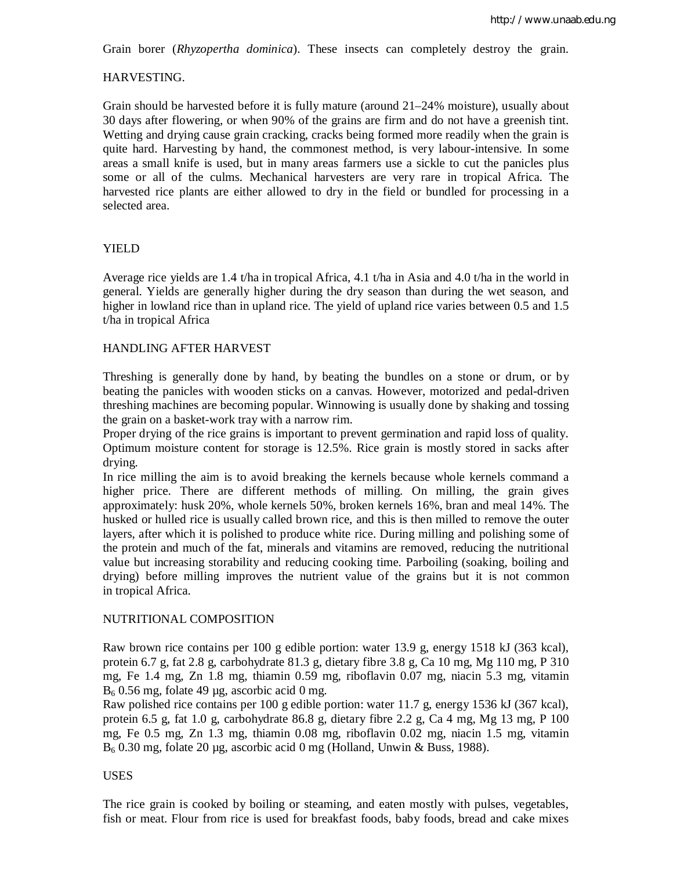Grain borer (*Rhyzopertha dominica*). These insects can completely destroy the grain.

### HARVESTING.

Grain should be harvested before it is fully mature (around 21–24% moisture), usually about 30 days after flowering, or when 90% of the grains are firm and do not have a greenish tint. Wetting and drying cause grain cracking, cracks being formed more readily when the grain is quite hard. Harvesting by hand, the commonest method, is very labour-intensive. In some areas a small knife is used, but in many areas farmers use a sickle to cut the panicles plus some or all of the culms. Mechanical harvesters are very rare in tropical Africa. The harvested rice plants are either allowed to dry in the field or bundled for processing in a selected area.

## YIELD

Average rice yields are 1.4 t/ha in tropical Africa, 4.1 t/ha in Asia and 4.0 t/ha in the world in general. Yields are generally higher during the dry season than during the wet season, and higher in lowland rice than in upland rice. The yield of upland rice varies between 0.5 and 1.5 t/ha in tropical Africa

### HANDLING AFTER HARVEST

Threshing is generally done by hand, by beating the bundles on a stone or drum, or by beating the panicles with wooden sticks on a canvas. However, motorized and pedal-driven threshing machines are becoming popular. Winnowing is usually done by shaking and tossing the grain on a basket-work tray with a narrow rim.

Proper drying of the rice grains is important to prevent germination and rapid loss of quality. Optimum moisture content for storage is 12.5%. Rice grain is mostly stored in sacks after drying.

In rice milling the aim is to avoid breaking the kernels because whole kernels command a higher price. There are different methods of milling. On milling, the grain gives approximately: husk 20%, whole kernels 50%, broken kernels 16%, bran and meal 14%. The husked or hulled rice is usually called brown rice, and this is then milled to remove the outer layers, after which it is polished to produce white rice. During milling and polishing some of the protein and much of the fat, minerals and vitamins are removed, reducing the nutritional value but increasing storability and reducing cooking time. Parboiling (soaking, boiling and drying) before milling improves the nutrient value of the grains but it is not common in tropical Africa.

## NUTRITIONAL COMPOSITION

Raw brown rice contains per 100 g edible portion: water 13.9 g, energy 1518 kJ (363 kcal), protein 6.7 g, fat 2.8 g, carbohydrate 81.3 g, dietary fibre 3.8 g, Ca 10 mg, Mg 110 mg, P 310 mg, Fe 1.4 mg, Zn 1.8 mg, thiamin 0.59 mg, riboflavin 0.07 mg, niacin 5.3 mg, vitamin  $B<sub>6</sub>$  0.56 mg, folate 49 µg, ascorbic acid 0 mg.

Raw polished rice contains per 100 g edible portion: water 11.7 g, energy 1536 kJ (367 kcal), protein 6.5 g, fat 1.0 g, carbohydrate 86.8 g, dietary fibre 2.2 g, Ca 4 mg, Mg 13 mg, P 100 mg, Fe 0.5 mg, Zn 1.3 mg, thiamin 0.08 mg, riboflavin 0.02 mg, niacin 1.5 mg, vitamin B<sup>6</sup> 0.30 mg, folate 20 µg, ascorbic acid 0 mg (Holland, Unwin & Buss, 1988).

### USES

The rice grain is cooked by boiling or steaming, and eaten mostly with pulses, vegetables, fish or meat. Flour from rice is used for breakfast foods, baby foods, bread and cake mixes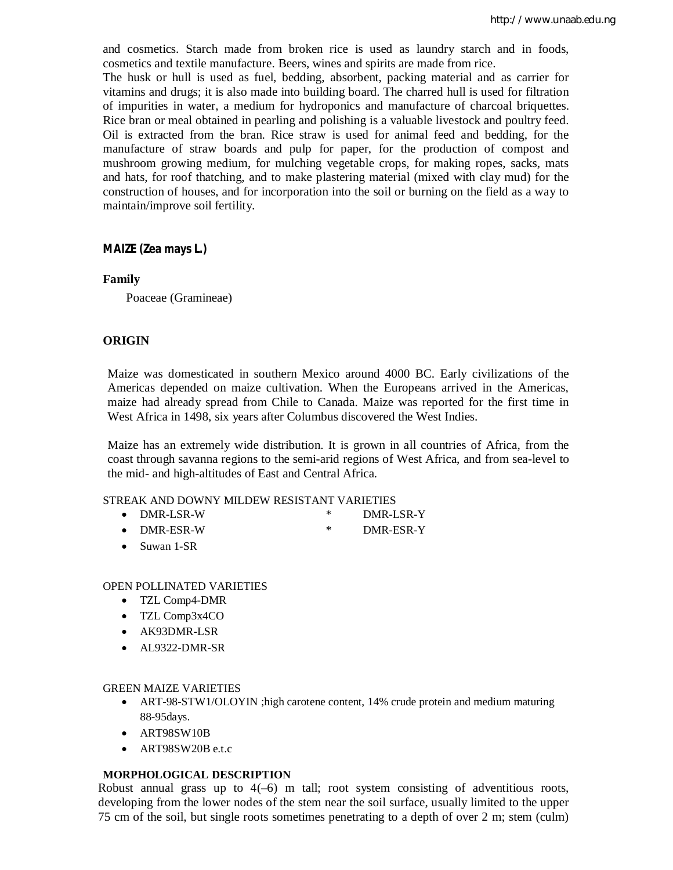and cosmetics. Starch made from broken rice is used as laundry starch and in foods, cosmetics and textile manufacture. Beers, wines and spirits are made from rice.

The husk or hull is used as fuel, bedding, absorbent, packing material and as carrier for vitamins and drugs; it is also made into building board. The charred hull is used for filtration of impurities in water, a medium for hydroponics and manufacture of charcoal briquettes. Rice bran or meal obtained in pearling and polishing is a valuable livestock and poultry feed. Oil is extracted from the bran. Rice straw is used for animal feed and bedding, for the manufacture of straw boards and pulp for paper, for the production of compost and mushroom growing medium, for mulching vegetable crops, for making ropes, sacks, mats and hats, for roof thatching, and to make plastering material (mixed with clay mud) for the construction of houses, and for incorporation into the soil or burning on the field as a way to maintain/improve soil fertility.

## **MAIZE (Zea mays L.)**

## **Family**

Poaceae (Gramineae)

## **ORIGIN**

Maize was domesticated in southern Mexico around 4000 BC. Early civilizations of the Americas depended on maize cultivation. When the Europeans arrived in the Americas, maize had already spread from Chile to Canada. Maize was reported for the first time in West Africa in 1498, six years after Columbus discovered the West Indies.

Maize has an extremely wide distribution. It is grown in all countries of Africa, from the coast through savanna regions to the semi-arid regions of West Africa, and from sea-level to the mid- and high-altitudes of East and Central Africa.

### STREAK AND DOWNY MILDEW RESISTANT VARIETIES

- 
- DMR-LSR-W \* DMR-LSR-Y
- DMR-ESR-W \* DMR-ESR-Y
- Suwan 1-SR

### OPEN POLLINATED VARIETIES

- TZL Comp4-DMR
- TZL Comp3x4CO
- AK93DMR-LSR
- AL9322-DMR-SR

### GREEN MAIZE VARIETIES

- ART-98-STW1/OLOYIN ;high carotene content, 14% crude protein and medium maturing 88-95days.
- ART98SW10B
- ART98SW20B e.t.c

### **MORPHOLOGICAL DESCRIPTION**

Robust annual grass up to  $4(-6)$  m tall; root system consisting of adventitious roots, developing from the lower nodes of the stem near the soil surface, usually limited to the upper 75 cm of the soil, but single roots sometimes penetrating to a depth of over 2 m; stem (culm)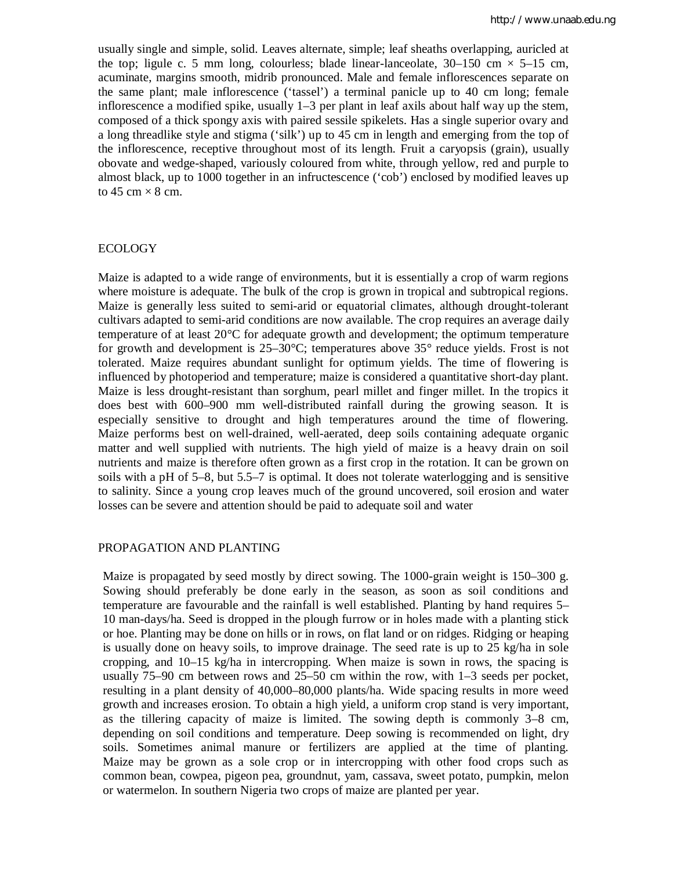usually single and simple, solid. Leaves alternate, simple; leaf sheaths overlapping, auricled at the top; ligule c. 5 mm long, colourless; blade linear-lanceolate,  $30-150$  cm  $\times$  5-15 cm, acuminate, margins smooth, midrib pronounced. Male and female inflorescences separate on the same plant; male inflorescence ('tassel') a terminal panicle up to 40 cm long; female inflorescence a modified spike, usually  $1-3$  per plant in leaf axils about half way up the stem, composed of a thick spongy axis with paired sessile spikelets. Has a single superior ovary and a long threadlike style and stigma ('silk') up to 45 cm in length and emerging from the top of the inflorescence, receptive throughout most of its length. Fruit a caryopsis (grain), usually obovate and wedge-shaped, variously coloured from white, through yellow, red and purple to almost black, up to 1000 together in an infructescence ('cob') enclosed by modified leaves up to 45 cm  $\times$  8 cm.

#### ECOLOGY

Maize is adapted to a wide range of environments, but it is essentially a crop of warm regions where moisture is adequate. The bulk of the crop is grown in tropical and subtropical regions. Maize is generally less suited to semi-arid or equatorial climates, although drought-tolerant cultivars adapted to semi-arid conditions are now available. The crop requires an average daily temperature of at least 20°C for adequate growth and development; the optimum temperature for growth and development is 25–30°C; temperatures above 35° reduce yields. Frost is not tolerated. Maize requires abundant sunlight for optimum yields. The time of flowering is influenced by photoperiod and temperature; maize is considered a quantitative short-day plant. Maize is less drought-resistant than sorghum, pearl millet and finger millet. In the tropics it does best with 600–900 mm well-distributed rainfall during the growing season. It is especially sensitive to drought and high temperatures around the time of flowering. Maize performs best on well-drained, well-aerated, deep soils containing adequate organic matter and well supplied with nutrients. The high yield of maize is a heavy drain on soil nutrients and maize is therefore often grown as a first crop in the rotation. It can be grown on soils with a pH of 5–8, but 5.5–7 is optimal. It does not tolerate waterlogging and is sensitive to salinity. Since a young crop leaves much of the ground uncovered, soil erosion and water losses can be severe and attention should be paid to adequate soil and water

#### PROPAGATION AND PLANTING

Maize is propagated by seed mostly by direct sowing. The 1000-grain weight is 150–300 g. Sowing should preferably be done early in the season, as soon as soil conditions and temperature are favourable and the rainfall is well established. Planting by hand requires 5– 10 man-days/ha. Seed is dropped in the plough furrow or in holes made with a planting stick or hoe. Planting may be done on hills or in rows, on flat land or on ridges. Ridging or heaping is usually done on heavy soils, to improve drainage. The seed rate is up to 25 kg/ha in sole cropping, and  $10-15$  kg/ha in intercropping. When maize is sown in rows, the spacing is usually 75–90 cm between rows and 25–50 cm within the row, with 1–3 seeds per pocket, resulting in a plant density of 40,000–80,000 plants/ha. Wide spacing results in more weed growth and increases erosion. To obtain a high yield, a uniform crop stand is very important, as the tillering capacity of maize is limited. The sowing depth is commonly 3–8 cm, depending on soil conditions and temperature. Deep sowing is recommended on light, dry soils. Sometimes animal manure or fertilizers are applied at the time of planting. Maize may be grown as a sole crop or in intercropping with other food crops such as common bean, cowpea, pigeon pea, groundnut, yam, cassava, sweet potato, pumpkin, melon or watermelon. In southern Nigeria two crops of maize are planted per year.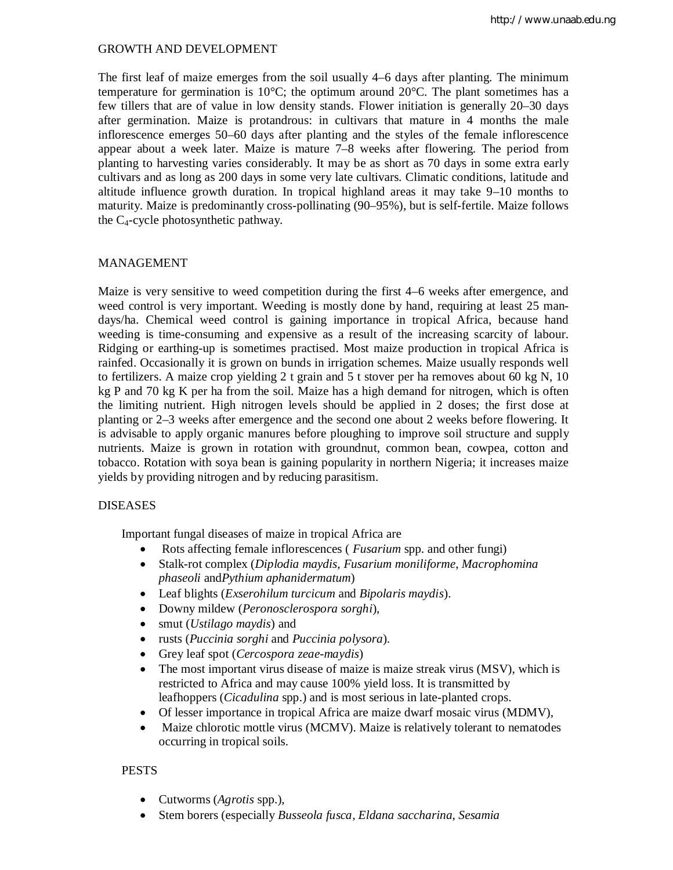## GROWTH AND DEVELOPMENT

The first leaf of maize emerges from the soil usually 4–6 days after planting. The minimum temperature for germination is 10 $^{\circ}$ C; the optimum around 20 $^{\circ}$ C. The plant sometimes has a few tillers that are of value in low density stands. Flower initiation is generally 20–30 days after germination. Maize is protandrous: in cultivars that mature in 4 months the male inflorescence emerges 50–60 days after planting and the styles of the female inflorescence appear about a week later. Maize is mature 7–8 weeks after flowering. The period from planting to harvesting varies considerably. It may be as short as 70 days in some extra early cultivars and as long as 200 days in some very late cultivars. Climatic conditions, latitude and altitude influence growth duration. In tropical highland areas it may take 9–10 months to maturity. Maize is predominantly cross-pollinating (90–95%), but is self-fertile. Maize follows the  $C_4$ -cycle photosynthetic pathway.

## MANAGEMENT

Maize is very sensitive to weed competition during the first 4–6 weeks after emergence, and weed control is very important. Weeding is mostly done by hand, requiring at least 25 mandays/ha. Chemical weed control is gaining importance in tropical Africa, because hand weeding is time-consuming and expensive as a result of the increasing scarcity of labour. Ridging or earthing-up is sometimes practised. Most maize production in tropical Africa is rainfed. Occasionally it is grown on bunds in irrigation schemes. Maize usually responds well to fertilizers. A maize crop yielding 2 t grain and 5 t stover per ha removes about 60 kg N, 10 kg P and 70 kg K per ha from the soil. Maize has a high demand for nitrogen, which is often the limiting nutrient. High nitrogen levels should be applied in 2 doses; the first dose at planting or 2–3 weeks after emergence and the second one about 2 weeks before flowering. It is advisable to apply organic manures before ploughing to improve soil structure and supply nutrients. Maize is grown in rotation with groundnut, common bean, cowpea, cotton and tobacco. Rotation with soya bean is gaining popularity in northern Nigeria; it increases maize yields by providing nitrogen and by reducing parasitism.

### DISEASES

Important fungal diseases of maize in tropical Africa are

- Rots affecting female inflorescences ( *Fusarium* spp. and other fungi)
- Stalk-rot complex (*Diplodia maydis*, *Fusarium moniliforme*, *Macrophomina phaseoli* and*Pythium aphanidermatum*)
- Leaf blights (*Exserohilum turcicum* and *Bipolaris maydis*).
- Downy mildew (*Peronosclerospora sorghi*),
- smut (*Ustilago maydis*) and
- rusts (*Puccinia sorghi* and *Puccinia polysora*).
- Grey leaf spot (*Cercospora zeae-maydis*)
- The most important virus disease of maize is maize streak virus (MSV), which is restricted to Africa and may cause 100% yield loss. It is transmitted by leafhoppers (*Cicadulina* spp.) and is most serious in late-planted crops.
- Of lesser importance in tropical Africa are maize dwarf mosaic virus (MDMV),
- Maize chlorotic mottle virus (MCMV). Maize is relatively tolerant to nematodes occurring in tropical soils.

## **PESTS**

- Cutworms (*Agrotis* spp.),
- Stem borers (especially *Busseola fusca*, *Eldana saccharina*, *Sesamia*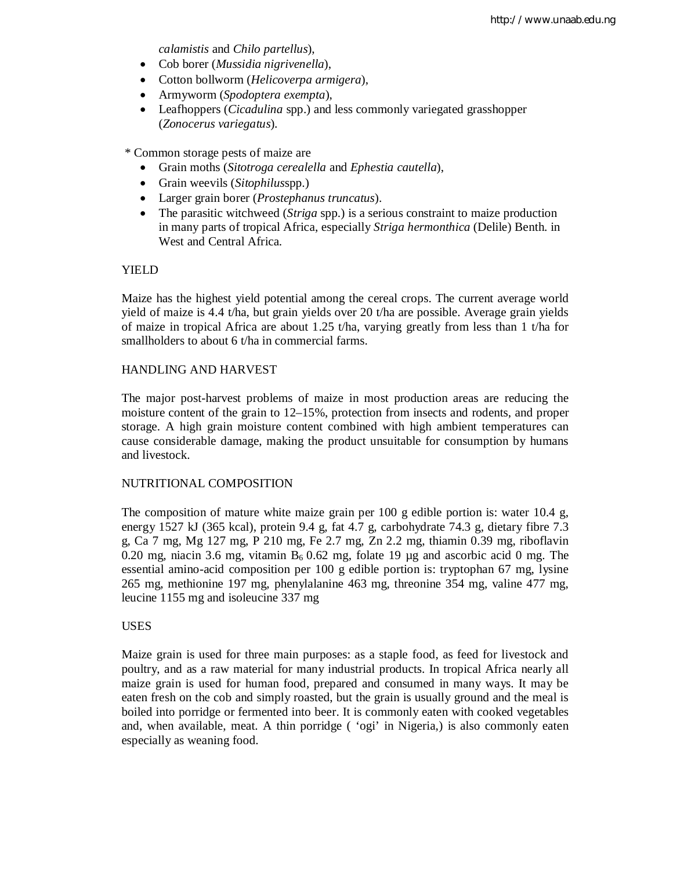*calamistis* and *Chilo partellus*),

- Cob borer (*Mussidia nigrivenella*),
- Cotton bollworm (*Helicoverpa armigera*),
- Armyworm (*Spodoptera exempta*),
- Leafhoppers (*Cicadulina* spp.) and less commonly variegated grasshopper (*Zonocerus variegatus*).

\* Common storage pests of maize are

- Grain moths (*Sitotroga cerealella* and *Ephestia cautella*),
- Grain weevils (*Sitophilus*spp.)
- Larger grain borer (*Prostephanus truncatus*).
- The parasitic witchweed (*Striga* spp.) is a serious constraint to maize production in many parts of tropical Africa, especially *Striga hermonthica* (Delile) Benth. in West and Central Africa.

## YIELD

Maize has the highest yield potential among the cereal crops. The current average world yield of maize is 4.4 t/ha, but grain yields over 20 t/ha are possible. Average grain yields of maize in tropical Africa are about 1.25 t/ha, varying greatly from less than 1 t/ha for smallholders to about 6 t/ha in commercial farms.

## HANDLING AND HARVEST

The major post-harvest problems of maize in most production areas are reducing the moisture content of the grain to 12–15%, protection from insects and rodents, and proper storage. A high grain moisture content combined with high ambient temperatures can cause considerable damage, making the product unsuitable for consumption by humans and livestock.

## NUTRITIONAL COMPOSITION

The composition of mature white maize grain per 100 g edible portion is: water 10.4 g, energy 1527 kJ (365 kcal), protein 9.4 g, fat 4.7 g, carbohydrate 74.3 g, dietary fibre 7.3 g, Ca 7 mg, Mg 127 mg, P 210 mg, Fe 2.7 mg, Zn 2.2 mg, thiamin 0.39 mg, riboflavin 0.20 mg, niacin 3.6 mg, vitamin  $B_6$  0.62 mg, folate 19 µg and ascorbic acid 0 mg. The essential amino-acid composition per 100 g edible portion is: tryptophan 67 mg, lysine 265 mg, methionine 197 mg, phenylalanine 463 mg, threonine 354 mg, valine 477 mg, leucine 1155 mg and isoleucine 337 mg

## USES

Maize grain is used for three main purposes: as a staple food, as feed for livestock and poultry, and as a raw material for many industrial products. In tropical Africa nearly all maize grain is used for human food, prepared and consumed in many ways. It may be eaten fresh on the cob and simply roasted, but the grain is usually ground and the meal is boiled into porridge or fermented into beer. It is commonly eaten with cooked vegetables and, when available, meat. A thin porridge ( 'ogi' in Nigeria,) is also commonly eaten especially as weaning food.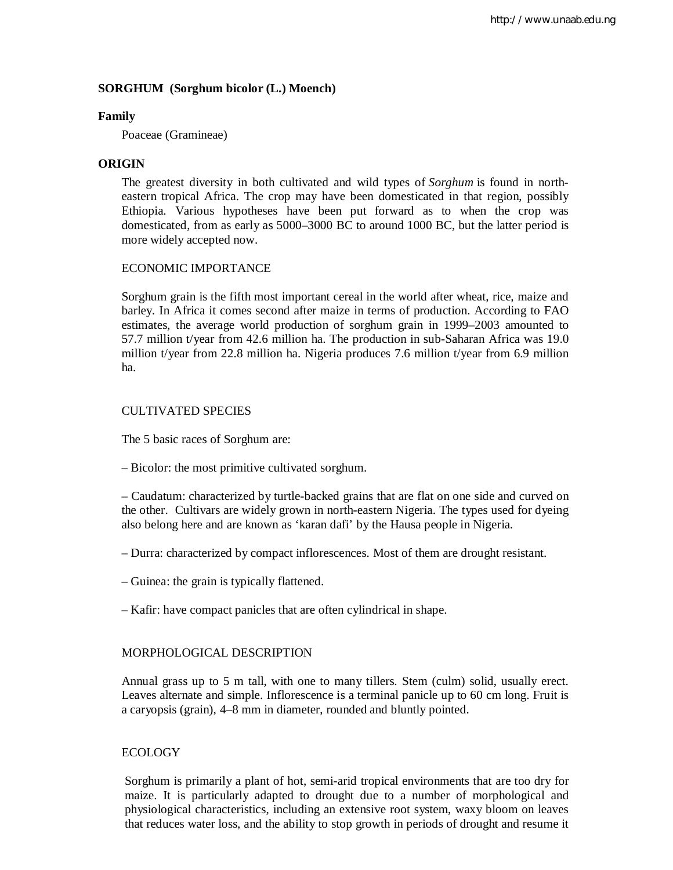## **SORGHUM (Sorghum bicolor (L.) Moench)**

#### **Family**

Poaceae (Gramineae)

## **ORIGIN**

The greatest diversity in both cultivated and wild types of *Sorghum* is found in northeastern tropical Africa. The crop may have been domesticated in that region, possibly Ethiopia. Various hypotheses have been put forward as to when the crop was domesticated, from as early as 5000–3000 BC to around 1000 BC, but the latter period is more widely accepted now.

## ECONOMIC IMPORTANCE

Sorghum grain is the fifth most important cereal in the world after wheat, rice, maize and barley. In Africa it comes second after maize in terms of production. According to FAO estimates, the average world production of sorghum grain in 1999–2003 amounted to 57.7 million t/year from 42.6 million ha. The production in sub-Saharan Africa was 19.0 million t/year from 22.8 million ha. Nigeria produces 7.6 million t/year from 6.9 million ha.

## CULTIVATED SPECIES

The 5 basic races of Sorghum are:

– Bicolor: the most primitive cultivated sorghum.

– Caudatum: characterized by turtle-backed grains that are flat on one side and curved on the other. Cultivars are widely grown in north-eastern Nigeria. The types used for dyeing also belong here and are known as 'karan dafi' by the Hausa people in Nigeria.

- Durra: characterized by compact inflorescences. Most of them are drought resistant.
- Guinea: the grain is typically flattened.
- Kafir: have compact panicles that are often cylindrical in shape.

### MORPHOLOGICAL DESCRIPTION

Annual grass up to 5 m tall, with one to many tillers. Stem (culm) solid, usually erect. Leaves alternate and simple. Inflorescence is a terminal panicle up to 60 cm long. Fruit is a caryopsis (grain), 4–8 mm in diameter, rounded and bluntly pointed.

### ECOLOGY

Sorghum is primarily a plant of hot, semi-arid tropical environments that are too dry for maize. It is particularly adapted to drought due to a number of morphological and physiological characteristics, including an extensive root system, waxy bloom on leaves that reduces water loss, and the ability to stop growth in periods of drought and resume it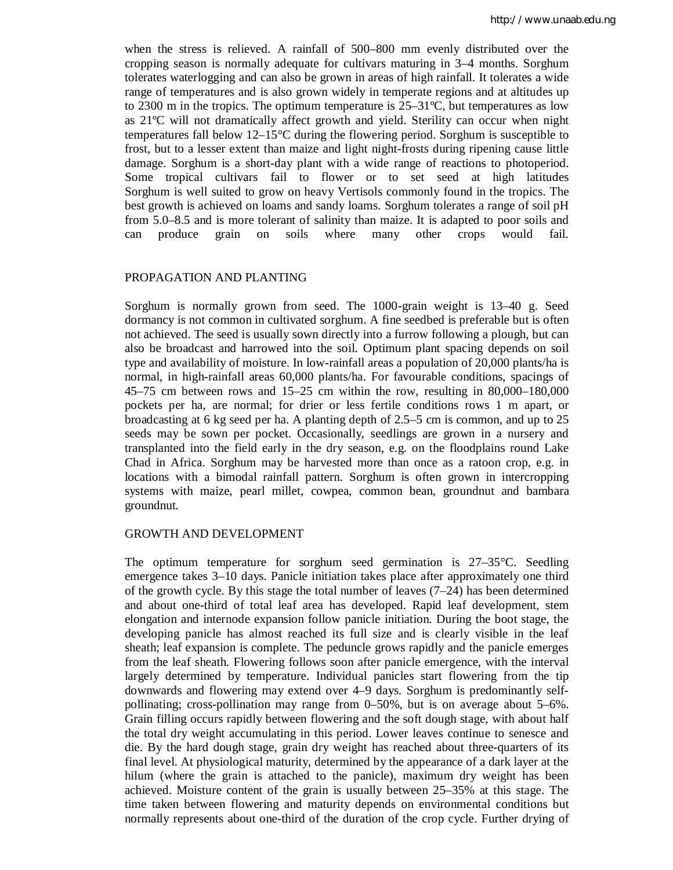when the stress is relieved. A rainfall of 500–800 mm evenly distributed over the cropping season is normally adequate for cultivars maturing in 3–4 months. Sorghum tolerates waterlogging and can also be grown in areas of high rainfall. It tolerates a wide range of temperatures and is also grown widely in temperate regions and at altitudes up to 2300 m in the tropics. The optimum temperature is  $25-31^{\circ}$ C, but temperatures as low as 21ºC will not dramatically affect growth and yield. Sterility can occur when night temperatures fall below 12–15°C during the flowering period. Sorghum is susceptible to frost, but to a lesser extent than maize and light night-frosts during ripening cause little damage. Sorghum is a short-day plant with a wide range of reactions to photoperiod. Some tropical cultivars fail to flower or to set seed at high latitudes Sorghum is well suited to grow on heavy Vertisols commonly found in the tropics. The best growth is achieved on loams and sandy loams. Sorghum tolerates a range of soil pH from 5.0–8.5 and is more tolerant of salinity than maize. It is adapted to poor soils and can produce grain on soils where many other crops would fail.

### PROPAGATION AND PLANTING

Sorghum is normally grown from seed. The 1000-grain weight is 13–40 g. Seed dormancy is not common in cultivated sorghum. A fine seedbed is preferable but is often not achieved. The seed is usually sown directly into a furrow following a plough, but can also be broadcast and harrowed into the soil. Optimum plant spacing depends on soil type and availability of moisture. In low-rainfall areas a population of 20,000 plants/ha is normal, in high-rainfall areas 60,000 plants/ha. For favourable conditions, spacings of 45–75 cm between rows and 15–25 cm within the row, resulting in 80,000–180,000 pockets per ha, are normal; for drier or less fertile conditions rows 1 m apart, or broadcasting at 6 kg seed per ha. A planting depth of 2.5–5 cm is common, and up to 25 seeds may be sown per pocket. Occasionally, seedlings are grown in a nursery and transplanted into the field early in the dry season, e.g. on the floodplains round Lake Chad in Africa. Sorghum may be harvested more than once as a ratoon crop, e.g. in locations with a bimodal rainfall pattern. Sorghum is often grown in intercropping systems with maize, pearl millet, cowpea, common bean, groundnut and bambara groundnut.

### GROWTH AND DEVELOPMENT

The optimum temperature for sorghum seed germination is 27–35°C. Seedling emergence takes 3–10 days. Panicle initiation takes place after approximately one third of the growth cycle. By this stage the total number of leaves  $(7-24)$  has been determined and about one-third of total leaf area has developed. Rapid leaf development, stem elongation and internode expansion follow panicle initiation. During the boot stage, the developing panicle has almost reached its full size and is clearly visible in the leaf sheath; leaf expansion is complete. The peduncle grows rapidly and the panicle emerges from the leaf sheath. Flowering follows soon after panicle emergence, with the interval largely determined by temperature. Individual panicles start flowering from the tip downwards and flowering may extend over 4–9 days. Sorghum is predominantly selfpollinating; cross-pollination may range from 0–50%, but is on average about 5–6%. Grain filling occurs rapidly between flowering and the soft dough stage, with about half the total dry weight accumulating in this period. Lower leaves continue to senesce and die. By the hard dough stage, grain dry weight has reached about three-quarters of its final level. At physiological maturity, determined by the appearance of a dark layer at the hilum (where the grain is attached to the panicle), maximum dry weight has been achieved. Moisture content of the grain is usually between 25–35% at this stage. The time taken between flowering and maturity depends on environmental conditions but normally represents about one-third of the duration of the crop cycle. Further drying of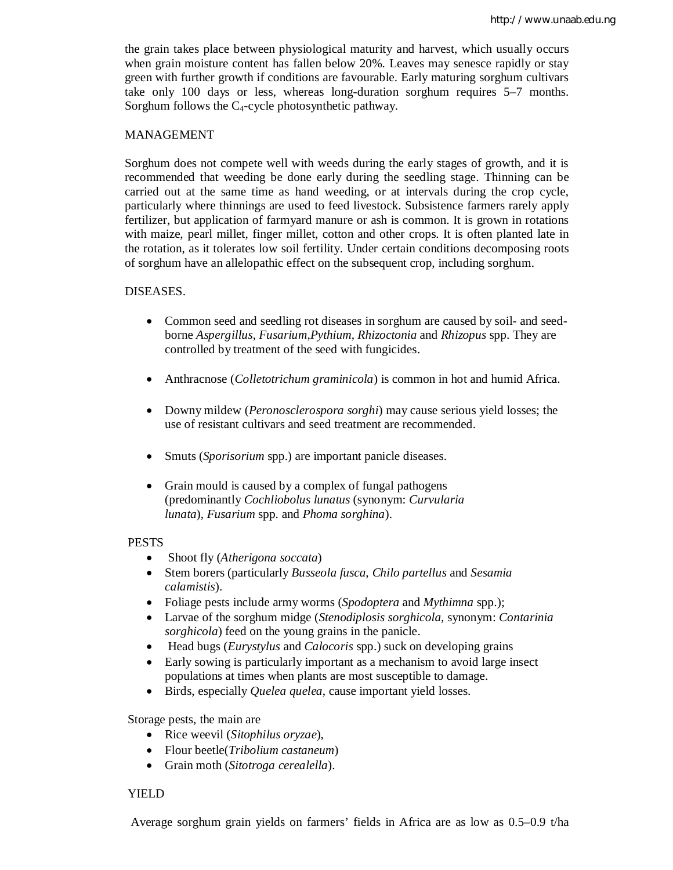the grain takes place between physiological maturity and harvest, which usually occurs when grain moisture content has fallen below 20%. Leaves may senesce rapidly or stay green with further growth if conditions are favourable. Early maturing sorghum cultivars take only 100 days or less, whereas long-duration sorghum requires 5–7 months. Sorghum follows the C4-cycle photosynthetic pathway.

## MANAGEMENT

Sorghum does not compete well with weeds during the early stages of growth, and it is recommended that weeding be done early during the seedling stage. Thinning can be carried out at the same time as hand weeding, or at intervals during the crop cycle, particularly where thinnings are used to feed livestock. Subsistence farmers rarely apply fertilizer, but application of farmyard manure or ash is common. It is grown in rotations with maize, pearl millet, finger millet, cotton and other crops. It is often planted late in the rotation, as it tolerates low soil fertility. Under certain conditions decomposing roots of sorghum have an allelopathic effect on the subsequent crop, including sorghum.

## DISEASES.

- Common seed and seedling rot diseases in sorghum are caused by soil- and seedborne *Aspergillus*, *Fusarium*,*Pythium*, *Rhizoctonia* and *Rhizopus* spp. They are controlled by treatment of the seed with fungicides.
- Anthracnose (*Colletotrichum graminicola*) is common in hot and humid Africa.
- Downy mildew (*Peronosclerospora sorghi*) may cause serious yield losses; the use of resistant cultivars and seed treatment are recommended.
- Smuts (*Sporisorium* spp.) are important panicle diseases.
- Grain mould is caused by a complex of fungal pathogens (predominantly *Cochliobolus lunatus* (synonym: *Curvularia lunata*), *Fusarium* spp. and *Phoma sorghina*).

### PESTS

- Shoot fly (*Atherigona soccata*)
- Stem borers (particularly *Busseola fusca*, *Chilo partellus* and *Sesamia calamistis*).
- Foliage pests include army worms (*Spodoptera* and *Mythimna* spp.);
- Larvae of the sorghum midge (*Stenodiplosis sorghicola*, synonym: *Contarinia sorghicola*) feed on the young grains in the panicle.
- Head bugs (*Eurystylus* and *Calocoris* spp.) suck on developing grains
- Early sowing is particularly important as a mechanism to avoid large insect populations at times when plants are most susceptible to damage.
- Birds, especially *Quelea quelea*, cause important yield losses.

Storage pests, the main are

- Rice weevil (*Sitophilus oryzae*),
- Flour beetle(*Tribolium castaneum*)
- Grain moth (*Sitotroga cerealella*).

## YIELD

Average sorghum grain yields on farmers' fields in Africa are as low as 0.5–0.9 t/ha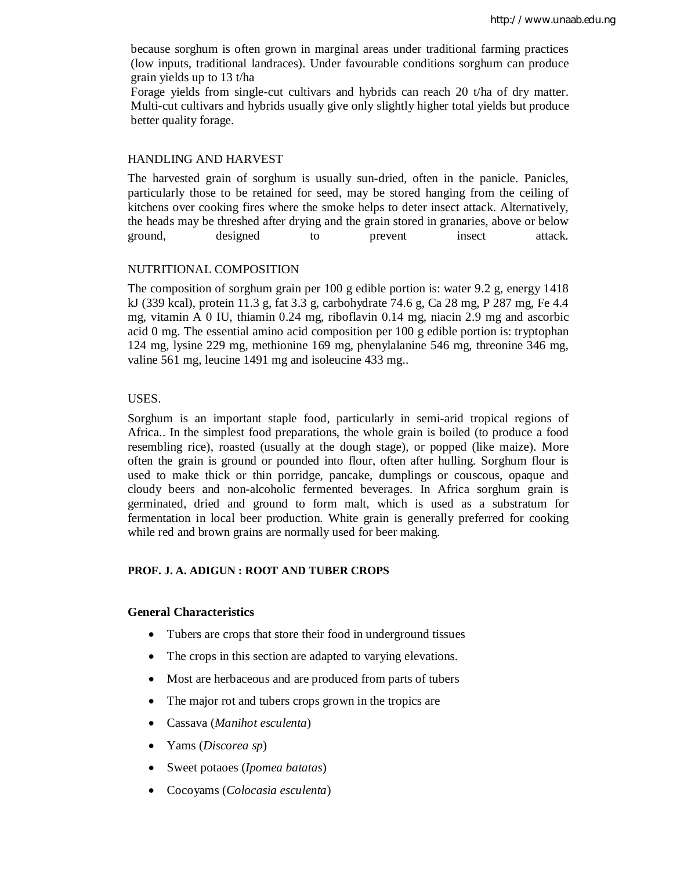because sorghum is often grown in marginal areas under traditional farming practices (low inputs, traditional landraces). Under favourable conditions sorghum can produce grain yields up to 13 t/ha

Forage yields from single-cut cultivars and hybrids can reach 20 t/ha of dry matter. Multi-cut cultivars and hybrids usually give only slightly higher total yields but produce better quality forage.

#### HANDLING AND HARVEST

The harvested grain of sorghum is usually sun-dried, often in the panicle. Panicles, particularly those to be retained for seed, may be stored hanging from the ceiling of kitchens over cooking fires where the smoke helps to deter insect attack. Alternatively, the heads may be threshed after drying and the grain stored in granaries, above or below ground, designed to prevent insect attack.

### NUTRITIONAL COMPOSITION

The composition of sorghum grain per 100 g edible portion is: water 9.2 g, energy 1418 kJ (339 kcal), protein 11.3 g, fat 3.3 g, carbohydrate 74.6 g, Ca 28 mg, P 287 mg, Fe 4.4 mg, vitamin A 0 IU, thiamin 0.24 mg, riboflavin 0.14 mg, niacin 2.9 mg and ascorbic acid 0 mg. The essential amino acid composition per 100 g edible portion is: tryptophan 124 mg, lysine 229 mg, methionine 169 mg, phenylalanine 546 mg, threonine 346 mg, valine 561 mg, leucine 1491 mg and isoleucine 433 mg..

### USES.

Sorghum is an important staple food, particularly in semi-arid tropical regions of Africa.. In the simplest food preparations, the whole grain is boiled (to produce a food resembling rice), roasted (usually at the dough stage), or popped (like maize). More often the grain is ground or pounded into flour, often after hulling. Sorghum flour is used to make thick or thin porridge, pancake, dumplings or couscous, opaque and cloudy beers and non-alcoholic fermented beverages. In Africa sorghum grain is germinated, dried and ground to form malt, which is used as a substratum for fermentation in local beer production. White grain is generally preferred for cooking while red and brown grains are normally used for beer making.

## **PROF. J. A. ADIGUN : ROOT AND TUBER CROPS**

## **General Characteristics**

- Tubers are crops that store their food in underground tissues
- The crops in this section are adapted to varying elevations.
- Most are herbaceous and are produced from parts of tubers
- The major rot and tubers crops grown in the tropics are
- Cassava (*Manihot esculenta*)
- Yams (*Discorea sp*)
- Sweet potaoes (*Ipomea batatas*)
- Cocoyams (*Colocasia esculenta*)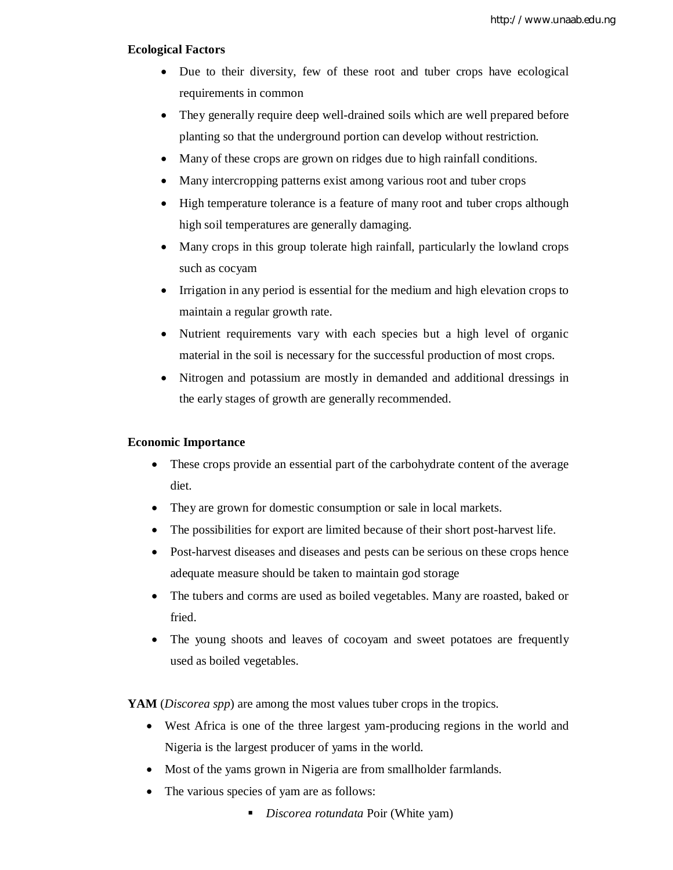#### **Ecological Factors**

- Due to their diversity, few of these root and tuber crops have ecological requirements in common
- They generally require deep well-drained soils which are well prepared before planting so that the underground portion can develop without restriction.
- Many of these crops are grown on ridges due to high rainfall conditions.
- Many intercropping patterns exist among various root and tuber crops
- High temperature tolerance is a feature of many root and tuber crops although high soil temperatures are generally damaging.
- Many crops in this group tolerate high rainfall, particularly the lowland crops such as cocyam
- Irrigation in any period is essential for the medium and high elevation crops to maintain a regular growth rate.
- Nutrient requirements vary with each species but a high level of organic material in the soil is necessary for the successful production of most crops.
- Nitrogen and potassium are mostly in demanded and additional dressings in the early stages of growth are generally recommended.

## **Economic Importance**

- These crops provide an essential part of the carbohydrate content of the average diet.
- They are grown for domestic consumption or sale in local markets.
- The possibilities for export are limited because of their short post-harvest life.
- Post-harvest diseases and diseases and pests can be serious on these crops hence adequate measure should be taken to maintain god storage
- The tubers and corms are used as boiled vegetables. Many are roasted, baked or fried.
- The young shoots and leaves of cocoyam and sweet potatoes are frequently used as boiled vegetables.

**YAM** (*Discorea spp*) are among the most values tuber crops in the tropics.

- West Africa is one of the three largest yam-producing regions in the world and Nigeria is the largest producer of yams in the world.
- Most of the yams grown in Nigeria are from smallholder farmlands.
- The various species of yam are as follows:
	- *Discorea rotundata* Poir (White yam)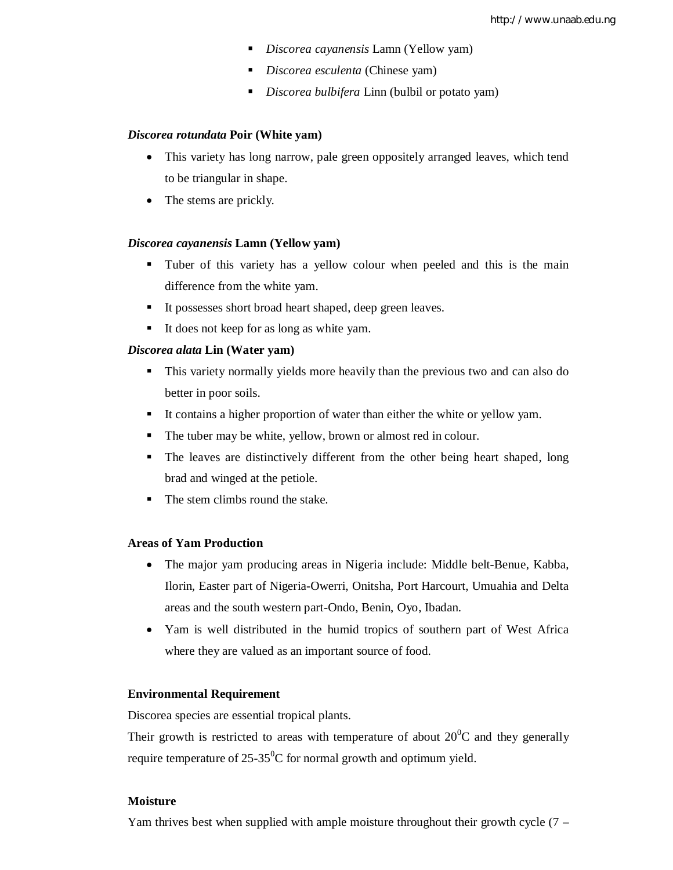- *Discorea cayanensis* Lamn (Yellow yam)
- *Discorea esculenta* (Chinese yam)
- *Discorea bulbifera* Linn (bulbil or potato yam)

#### *Discorea rotundata* **Poir (White yam)**

- This variety has long narrow, pale green oppositely arranged leaves, which tend to be triangular in shape.
- The stems are prickly.

#### *Discorea cayanensis* **Lamn (Yellow yam)**

- Tuber of this variety has a yellow colour when peeled and this is the main difference from the white yam.
- It possesses short broad heart shaped, deep green leaves.
- It does not keep for as long as white yam.

#### *Discorea alata* **Lin (Water yam)**

- This variety normally yields more heavily than the previous two and can also do better in poor soils.
- It contains a higher proportion of water than either the white or yellow yam.
- The tuber may be white, yellow, brown or almost red in colour.
- The leaves are distinctively different from the other being heart shaped, long brad and winged at the petiole.
- The stem climbs round the stake.

## **Areas of Yam Production**

- The major yam producing areas in Nigeria include: Middle belt-Benue, Kabba, Ilorin, Easter part of Nigeria-Owerri, Onitsha, Port Harcourt, Umuahia and Delta areas and the south western part-Ondo, Benin, Oyo, Ibadan.
- Yam is well distributed in the humid tropics of southern part of West Africa where they are valued as an important source of food.

#### **Environmental Requirement**

Discorea species are essential tropical plants.

Their growth is restricted to areas with temperature of about  $20^{\circ}$ C and they generally require temperature of  $25-35^{\circ}$ C for normal growth and optimum yield.

## **Moisture**

Yam thrives best when supplied with ample moisture throughout their growth cycle  $(7 -$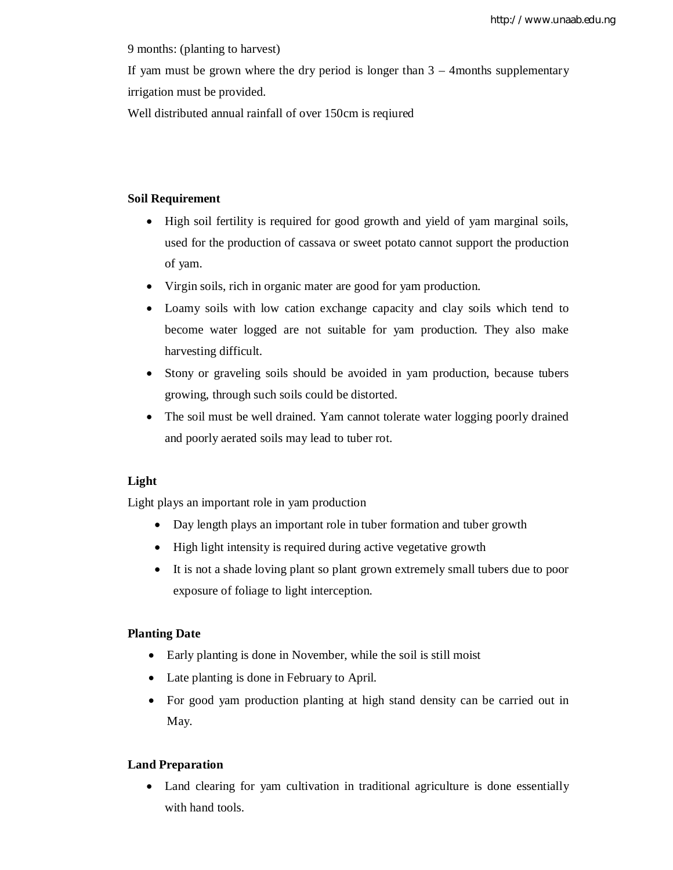9 months: (planting to harvest)

If yam must be grown where the dry period is longer than  $3 - 4$  months supplementary irrigation must be provided.

Well distributed annual rainfall of over 150cm is reqiured

## **Soil Requirement**

- High soil fertility is required for good growth and yield of yam marginal soils, used for the production of cassava or sweet potato cannot support the production of yam.
- Virgin soils, rich in organic mater are good for yam production.
- Loamy soils with low cation exchange capacity and clay soils which tend to become water logged are not suitable for yam production. They also make harvesting difficult.
- Stony or graveling soils should be avoided in yam production, because tubers growing, through such soils could be distorted.
- The soil must be well drained. Yam cannot tolerate water logging poorly drained and poorly aerated soils may lead to tuber rot.

## **Light**

Light plays an important role in yam production

- Day length plays an important role in tuber formation and tuber growth
- High light intensity is required during active vegetative growth
- It is not a shade loving plant so plant grown extremely small tubers due to poor exposure of foliage to light interception.

## **Planting Date**

- Early planting is done in November, while the soil is still moist
- Late planting is done in February to April.
- For good yam production planting at high stand density can be carried out in May.

## **Land Preparation**

• Land clearing for yam cultivation in traditional agriculture is done essentially with hand tools.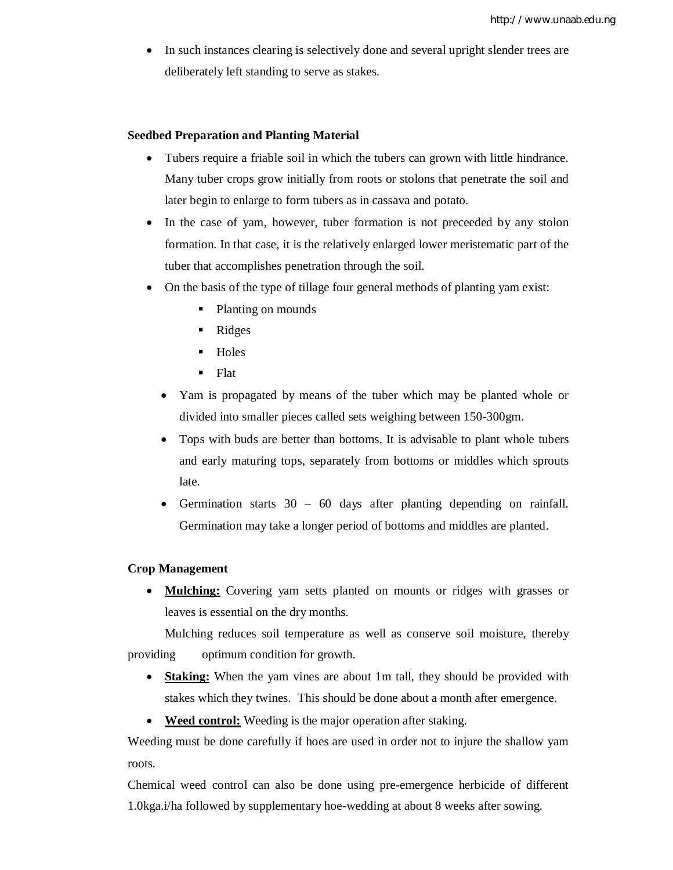In such instances clearing is selectively done and several upright slender trees are deliberately left standing to serve as stakes.

#### **Seedbed Preparation and Planting Material**

- Tubers require a friable soil in which the tubers can grown with little hindrance. Many tuber crops grow initially from roots or stolons that penetrate the soil and later begin to enlarge to form tubers as in cassava and potato.
- In the case of yam, however, tuber formation is not preceded by any stolon formation. In that case, it is the relatively enlarged lower meristematic part of the tuber that accomplishes penetration through the soil.
- On the basis of the type of tillage four general methods of planting yam exist:
	- Planting on mounds
	- Ridges
	- $-Holes$
	- **Flat**
	- Yam is propagated by means of the tuber which may be planted whole or divided into smaller pieces called sets weighing between 150-300gm.
	- Tops with buds are better than bottoms. It is advisable to plant whole tubers and early maturing tops, separately from bottoms or middles which sprouts late.
	- Germination starts 30 60 days after planting depending on rainfall. Germination may take a longer period of bottoms and middles are planted.

#### **Crop Management**

 **Mulching:** Covering yam setts planted on mounts or ridges with grasses or leaves is essential on the dry months.

Mulching reduces soil temperature as well as conserve soil moisture, thereby providing optimum condition for growth.

- **Staking:** When the yam vines are about 1m tall, they should be provided with stakes which they twines. This should be done about a month after emergence.
- **Weed control:** Weeding is the major operation after staking.

Weeding must be done carefully if hoes are used in order not to injure the shallow yam roots.

Chemical weed control can also be done using pre-emergence herbicide of different 1.0kga.i/ha followed by supplementary hoe-wedding at about 8 weeks after sowing.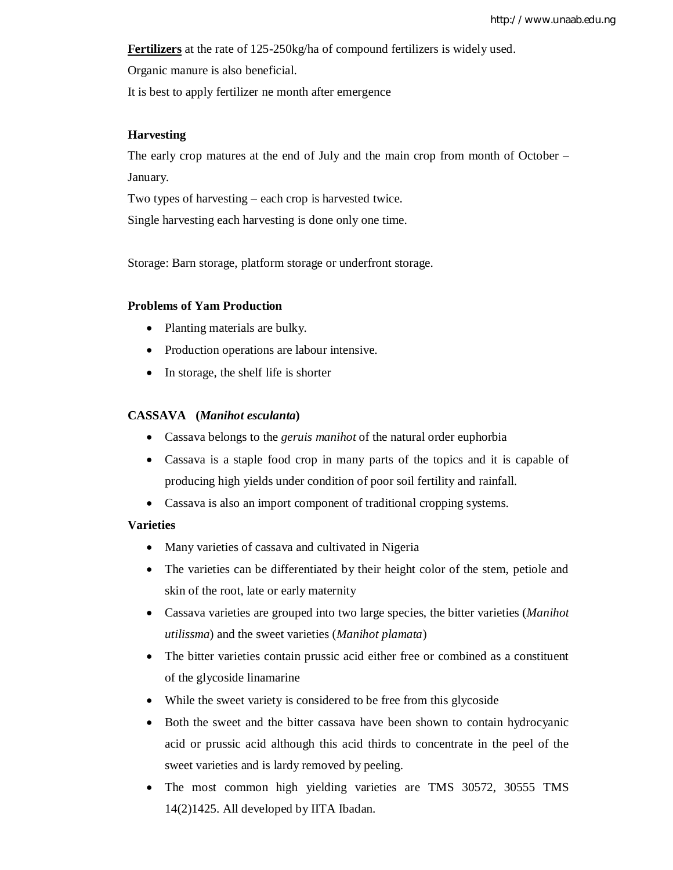**Fertilizers** at the rate of 125-250kg/ha of compound fertilizers is widely used.

Organic manure is also beneficial.

It is best to apply fertilizer ne month after emergence

## **Harvesting**

The early crop matures at the end of July and the main crop from month of October – January.

Two types of harvesting – each crop is harvested twice.

Single harvesting each harvesting is done only one time.

Storage: Barn storage, platform storage or underfront storage.

## **Problems of Yam Production**

- Planting materials are bulky.
- Production operations are labour intensive.
- In storage, the shelf life is shorter

## **CASSAVA (***Manihot esculanta***)**

- Cassava belongs to the *geruis manihot* of the natural order euphorbia
- Cassava is a staple food crop in many parts of the topics and it is capable of producing high yields under condition of poor soil fertility and rainfall.
- Cassava is also an import component of traditional cropping systems.

### **Varieties**

- Many varieties of cassava and cultivated in Nigeria
- The varieties can be differentiated by their height color of the stem, petiole and skin of the root, late or early maternity
- Cassava varieties are grouped into two large species, the bitter varieties (*Manihot utilissma*) and the sweet varieties (*Manihot plamata*)
- The bitter varieties contain prussic acid either free or combined as a constituent of the glycoside linamarine
- While the sweet variety is considered to be free from this glycoside
- Both the sweet and the bitter cassava have been shown to contain hydrocyanic acid or prussic acid although this acid thirds to concentrate in the peel of the sweet varieties and is lardy removed by peeling.
- The most common high yielding varieties are TMS 30572, 30555 TMS 14(2)1425. All developed by IITA Ibadan.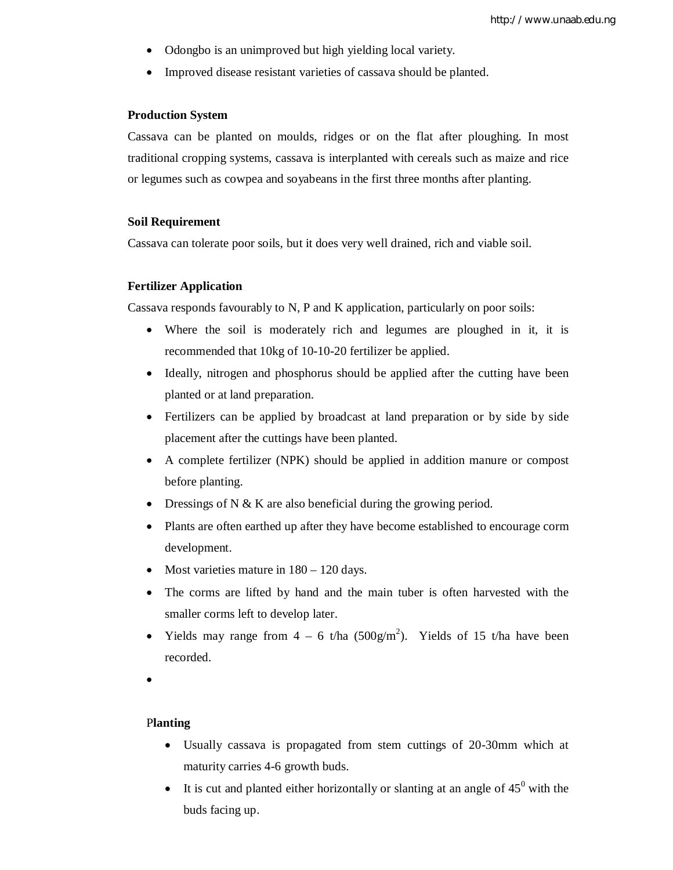- Odongbo is an unimproved but high yielding local variety.
- Improved disease resistant varieties of cassava should be planted.

#### **Production System**

Cassava can be planted on moulds, ridges or on the flat after ploughing. In most traditional cropping systems, cassava is interplanted with cereals such as maize and rice or legumes such as cowpea and soyabeans in the first three months after planting.

## **Soil Requirement**

Cassava can tolerate poor soils, but it does very well drained, rich and viable soil.

#### **Fertilizer Application**

Cassava responds favourably to N, P and K application, particularly on poor soils:

- Where the soil is moderately rich and legumes are ploughed in it, it is recommended that 10kg of 10-10-20 fertilizer be applied.
- Ideally, nitrogen and phosphorus should be applied after the cutting have been planted or at land preparation.
- Fertilizers can be applied by broadcast at land preparation or by side by side placement after the cuttings have been planted.
- A complete fertilizer (NPK) should be applied in addition manure or compost before planting.
- Dressings of N & K are also beneficial during the growing period.
- Plants are often earthed up after they have become established to encourage corm development.
- Most varieties mature in  $180 120$  days.
- The corms are lifted by hand and the main tuber is often harvested with the smaller corms left to develop later.
- Yields may range from  $4 6$  t/ha  $(500g/m^2)$ . Yields of 15 t/ha have been recorded.
- $\bullet$

## P**lanting**

- Usually cassava is propagated from stem cuttings of 20-30mm which at maturity carries 4-6 growth buds.
- It is cut and planted either horizontally or slanting at an angle of  $45^{\circ}$  with the buds facing up.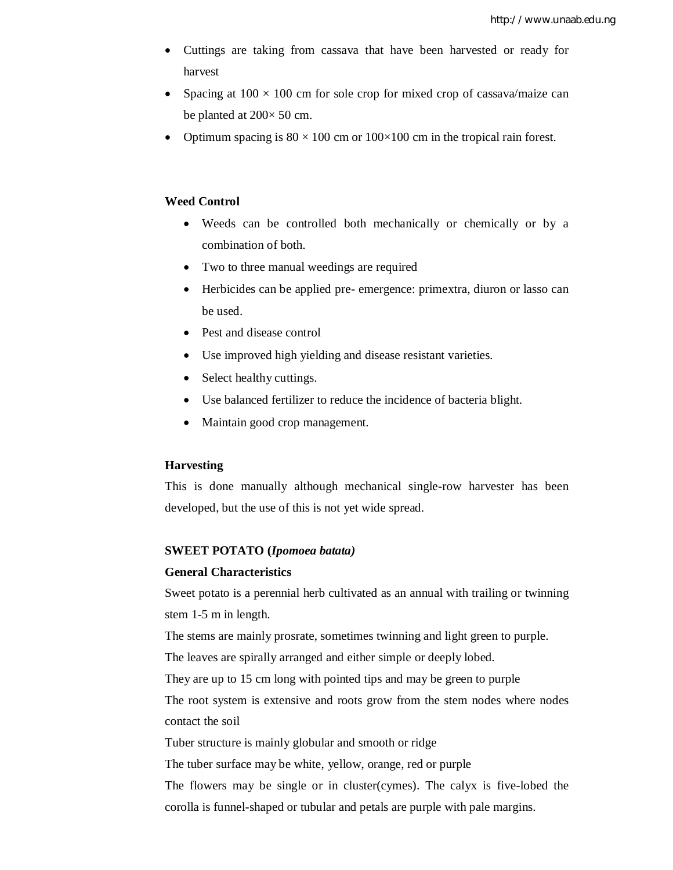- Cuttings are taking from cassava that have been harvested or ready for harvest
- Spacing at  $100 \times 100$  cm for sole crop for mixed crop of cassava/maize can be planted at  $200 \times 50$  cm.
- Optimum spacing is  $80 \times 100$  cm or  $100 \times 100$  cm in the tropical rain forest.

## **Weed Control**

- Weeds can be controlled both mechanically or chemically or by a combination of both.
- Two to three manual weedings are required
- Herbicides can be applied pre- emergence: primextra, diuron or lasso can be used.
- Pest and disease control
- Use improved high yielding and disease resistant varieties.
- Select healthy cuttings.
- Use balanced fertilizer to reduce the incidence of bacteria blight.
- Maintain good crop management.

#### **Harvesting**

This is done manually although mechanical single-row harvester has been developed, but the use of this is not yet wide spread.

#### **SWEET POTATO (***Ipomoea batata)*

## **General Characteristics**

Sweet potato is a perennial herb cultivated as an annual with trailing or twinning stem 1-5 m in length.

The stems are mainly prosrate, sometimes twinning and light green to purple.

The leaves are spirally arranged and either simple or deeply lobed.

They are up to 15 cm long with pointed tips and may be green to purple

The root system is extensive and roots grow from the stem nodes where nodes contact the soil

Tuber structure is mainly globular and smooth or ridge

The tuber surface may be white, yellow, orange, red or purple

The flowers may be single or in cluster(cymes). The calyx is five-lobed the corolla is funnel-shaped or tubular and petals are purple with pale margins.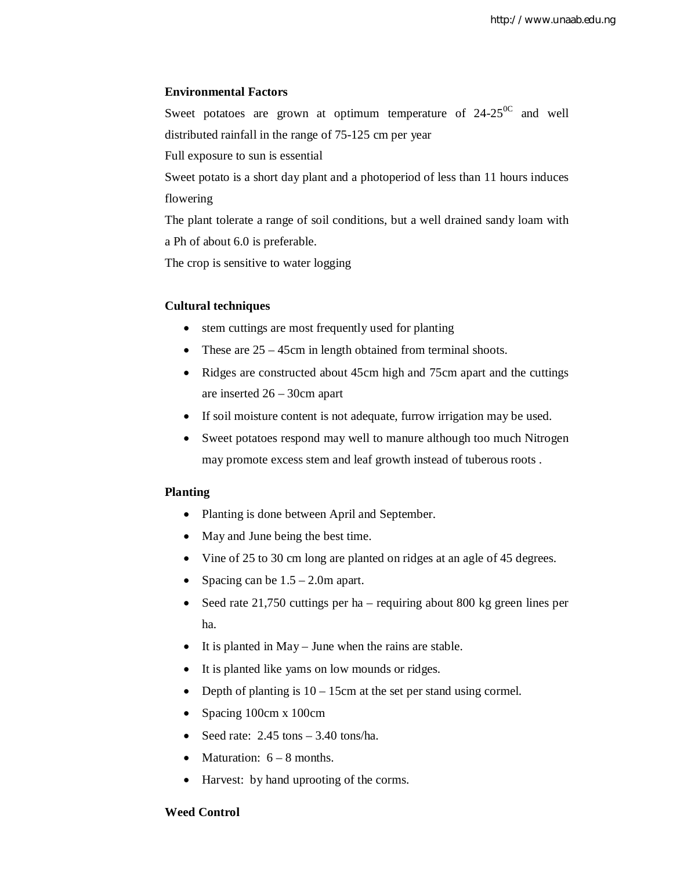## **Environmental Factors**

Sweet potatoes are grown at optimum temperature of  $24-25$ <sup>oc</sup> and well distributed rainfall in the range of 75-125 cm per year

Full exposure to sun is essential

Sweet potato is a short day plant and a photoperiod of less than 11 hours induces flowering

The plant tolerate a range of soil conditions, but a well drained sandy loam with a Ph of about 6.0 is preferable.

The crop is sensitive to water logging

## **Cultural techniques**

- stem cuttings are most frequently used for planting
- These are  $25 45$ cm in length obtained from terminal shoots.
- Ridges are constructed about 45cm high and 75cm apart and the cuttings are inserted 26 – 30cm apart
- If soil moisture content is not adequate, furrow irrigation may be used.
- Sweet potatoes respond may well to manure although too much Nitrogen may promote excess stem and leaf growth instead of tuberous roots .

## **Planting**

- Planting is done between April and September.
- May and June being the best time.
- Vine of 25 to 30 cm long are planted on ridges at an agle of 45 degrees.
- Spacing can be  $1.5 2.0$ m apart.
- Seed rate 21,750 cuttings per ha requiring about 800 kg green lines per ha.
- It is planted in May June when the rains are stable.
- It is planted like yams on low mounds or ridges.
- Depth of planting is  $10 15$ cm at the set per stand using cormel.
- Spacing 100cm x 100cm
- Seed rate:  $2.45 \text{ tons} 3.40 \text{ tons/ha}$ .
- Maturation:  $6 8$  months.
- Harvest: by hand uprooting of the corms.

## **Weed Control**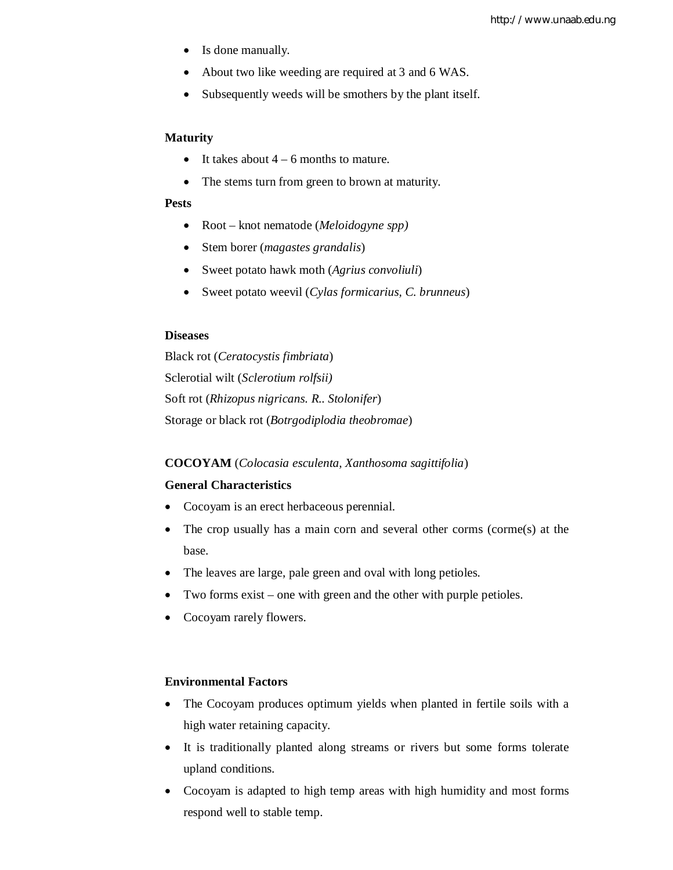- Is done manually.
- About two like weeding are required at 3 and 6 WAS.
- Subsequently weeds will be smothers by the plant itself.

#### **Maturity**

- It takes about  $4 6$  months to mature.
- The stems turn from green to brown at maturity.

#### **Pests**

- Root knot nematode (*Meloidogyne spp)*
- Stem borer (*magastes grandalis*)
- Sweet potato hawk moth (*Agrius convoliuli*)
- Sweet potato weevil (*Cylas formicarius, C. brunneus*)

## **Diseases**

Black rot (*Ceratocystis fimbriata*) Sclerotial wilt (*Sclerotium rolfsii)* Soft rot (*Rhizopus nigricans. R.. Stolonifer*) Storage or black rot (*Botrgodiplodia theobromae*)

#### **COCOYAM** (*Colocasia esculenta, Xanthosoma sagittifolia*)

## **General Characteristics**

- Cocoyam is an erect herbaceous perennial.
- The crop usually has a main corn and several other corms (corme(s) at the base.
- The leaves are large, pale green and oval with long petioles.
- Two forms exist one with green and the other with purple petioles.
- Cocoyam rarely flowers.

#### **Environmental Factors**

- The Cocoyam produces optimum yields when planted in fertile soils with a high water retaining capacity.
- It is traditionally planted along streams or rivers but some forms tolerate upland conditions.
- Cocoyam is adapted to high temp areas with high humidity and most forms respond well to stable temp.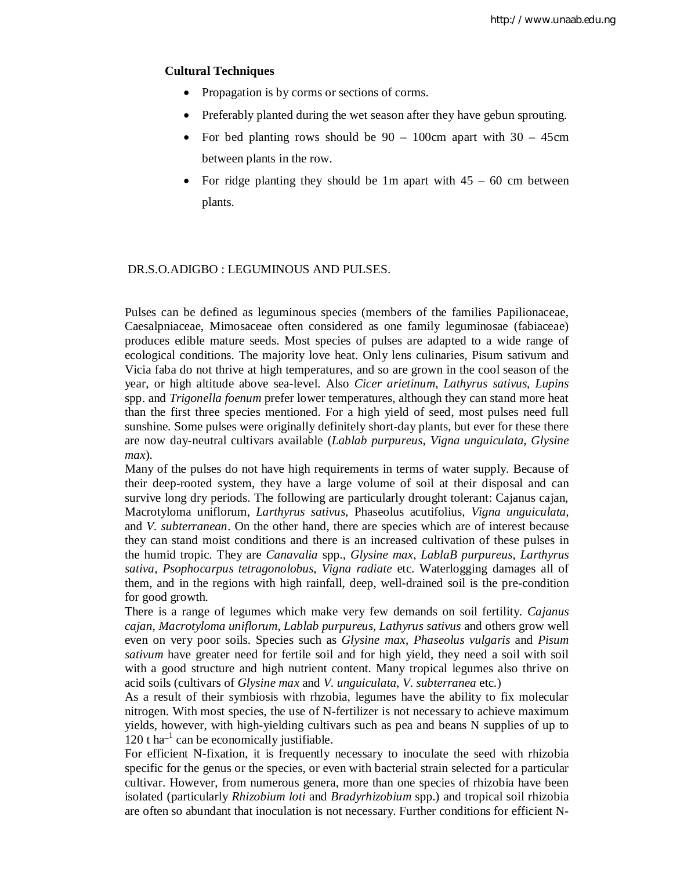### **Cultural Techniques**

- Propagation is by corms or sections of corms.
- Preferably planted during the wet season after they have gebun sprouting.
- For bed planting rows should be  $90 100$ cm apart with  $30 45$ cm between plants in the row.
- For ridge planting they should be 1m apart with  $45 60$  cm between plants.

#### DR.S.O.ADIGBO : LEGUMINOUS AND PULSES.

Pulses can be defined as leguminous species (members of the families Papilionaceae, Caesalpniaceae, Mimosaceae often considered as one family leguminosae (fabiaceae) produces edible mature seeds. Most species of pulses are adapted to a wide range of ecological conditions. The majority love heat. Only lens culinaries, Pisum sativum and Vicia faba do not thrive at high temperatures, and so are grown in the cool season of the year, or high altitude above sea-level. Also *Cicer arietinum*, *Lathyrus sativus*, *Lupins* spp. and *Trigonella foenum* prefer lower temperatures, although they can stand more heat than the first three species mentioned. For a high yield of seed, most pulses need full sunshine. Some pulses were originally definitely short-day plants, but ever for these there are now day-neutral cultivars available (*Lablab purpureus*, *Vigna unguiculata*, *Glysine max*).

Many of the pulses do not have high requirements in terms of water supply. Because of their deep-rooted system, they have a large volume of soil at their disposal and can survive long dry periods. The following are particularly drought tolerant: Cajanus cajan, Macrotyloma uniflorum, *Larthyrus sativus*, Phaseolus acutifolius, *Vigna unguiculata*, and *V. subterranean*. On the other hand, there are species which are of interest because they can stand moist conditions and there is an increased cultivation of these pulses in the humid tropic. They are *Canavalia* spp., *Glysine max*, *LablaB purpureus, Larthyrus sativa*, *Psophocarpus tetragonolobus*, *Vigna radiate* etc. Waterlogging damages all of them, and in the regions with high rainfall, deep, well-drained soil is the pre-condition for good growth.

There is a range of legumes which make very few demands on soil fertility. *Cajanus cajan*, *Macrotyloma uniflorum*, *Lablab purpureus*, *Lathyrus sativus* and others grow well even on very poor soils. Species such as *Glysine max*, *Phaseolus vulgaris* and *Pisum sativum* have greater need for fertile soil and for high yield, they need a soil with soil with a good structure and high nutrient content. Many tropical legumes also thrive on acid soils (cultivars of *Glysine max* and *V. unguiculata*, *V. subterranea* etc.)

As a result of their symbiosis with rhzobia, legumes have the ability to fix molecular nitrogen. With most species, the use of N-fertilizer is not necessary to achieve maximum yields, however, with high-yielding cultivars such as pea and beans N supplies of up to  $120$  t ha<sup>-1</sup> can be economically justifiable.

For efficient N-fixation, it is frequently necessary to inoculate the seed with rhizobia specific for the genus or the species, or even with bacterial strain selected for a particular cultivar. However, from numerous genera, more than one species of rhizobia have been isolated (particularly *Rhizobium loti* and *Bradyrhizobium* spp.) and tropical soil rhizobia are often so abundant that inoculation is not necessary. Further conditions for efficient N-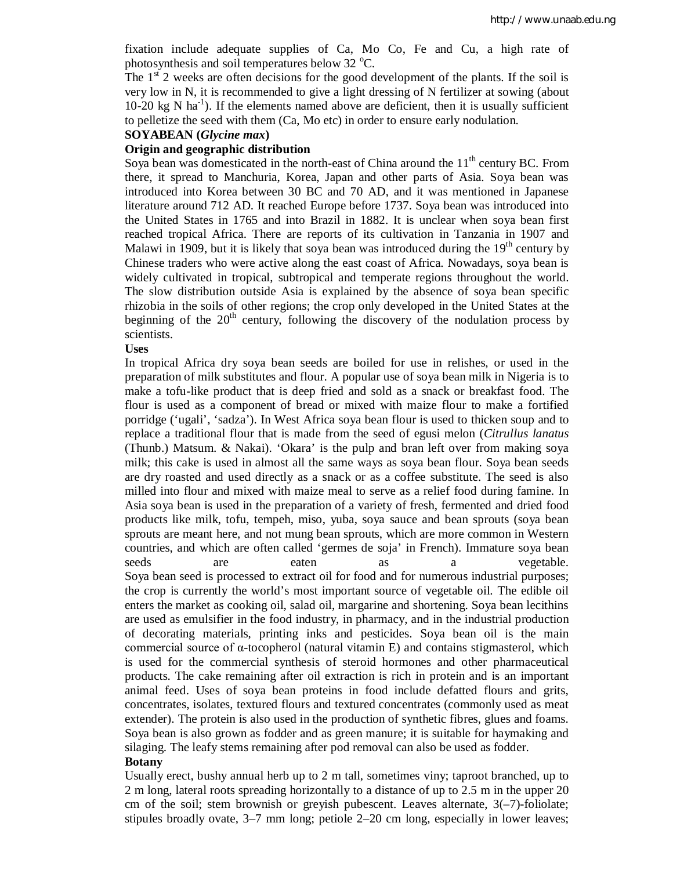fixation include adequate supplies of Ca, Mo Co, Fe and Cu, a high rate of photosynthesis and soil temperatures below  $32 \text{ °C}$ .

The  $1<sup>st</sup>$  2 weeks are often decisions for the good development of the plants. If the soil is very low in N, it is recommended to give a light dressing of N fertilizer at sowing (about  $10-20$  kg N ha<sup>-1</sup>). If the elements named above are deficient, then it is usually sufficient to pelletize the seed with them (Ca, Mo etc) in order to ensure early nodulation.

## **SOYABEAN (***Glycine max***)**

#### **Origin and geographic distribution**

Soya bean was domesticated in the north-east of China around the  $11<sup>th</sup>$  century BC. From there, it spread to Manchuria, Korea, Japan and other parts of Asia. Soya bean was introduced into Korea between 30 BC and 70 AD, and it was mentioned in Japanese literature around 712 AD. It reached Europe before 1737. Soya bean was introduced into the United States in 1765 and into Brazil in 1882. It is unclear when soya bean first reached tropical Africa. There are reports of its cultivation in Tanzania in 1907 and Malawi in 1909, but it is likely that soya bean was introduced during the  $19<sup>th</sup>$  century by Chinese traders who were active along the east coast of Africa. Nowadays, soya bean is widely cultivated in tropical, subtropical and temperate regions throughout the world. The slow distribution outside Asia is explained by the absence of soya bean specific rhizobia in the soils of other regions; the crop only developed in the United States at the beginning of the  $20<sup>th</sup>$  century, following the discovery of the nodulation process by scientists.

#### **Uses**

In tropical Africa dry soya bean seeds are boiled for use in relishes, or used in the preparation of milk substitutes and flour. A popular use of soya bean milk in Nigeria is to make a tofu-like product that is deep fried and sold as a snack or breakfast food. The flour is used as a component of bread or mixed with maize flour to make a fortified porridge ('ugali', 'sadza'). In West Africa soya bean flour is used to thicken soup and to replace a traditional flour that is made from the seed of egusi melon (*Citrullus lanatus* (Thunb.) Matsum. & Nakai). 'Okara' is the pulp and bran left over from making soya milk; this cake is used in almost all the same ways as soya bean flour. Soya bean seeds are dry roasted and used directly as a snack or as a coffee substitute. The seed is also milled into flour and mixed with maize meal to serve as a relief food during famine. In Asia soya bean is used in the preparation of a variety of fresh, fermented and dried food products like milk, tofu, tempeh, miso, yuba, soya sauce and bean sprouts (soya bean sprouts are meant here, and not mung bean sprouts, which are more common in Western countries, and which are often called 'germes de soja' in French). Immature soya bean seeds are eaten as a vegetable. Soya bean seed is processed to extract oil for food and for numerous industrial purposes; the crop is currently the world's most important source of vegetable oil. The edible oil enters the market as cooking oil, salad oil, margarine and shortening. Soya bean lecithins are used as emulsifier in the food industry, in pharmacy, and in the industrial production of decorating materials, printing inks and pesticides. Soya bean oil is the main commercial source of α-tocopherol (natural vitamin E) and contains stigmasterol, which is used for the commercial synthesis of steroid hormones and other pharmaceutical products. The cake remaining after oil extraction is rich in protein and is an important animal feed. Uses of soya bean proteins in food include defatted flours and grits, concentrates, isolates, textured flours and textured concentrates (commonly used as meat extender). The protein is also used in the production of synthetic fibres, glues and foams. Soya bean is also grown as fodder and as green manure; it is suitable for haymaking and silaging. The leafy stems remaining after pod removal can also be used as fodder.

## **Botany**

Usually erect, bushy annual herb up to 2 m tall, sometimes viny; taproot branched, up to 2 m long, lateral roots spreading horizontally to a distance of up to 2.5 m in the upper 20 cm of the soil; stem brownish or greyish pubescent. Leaves alternate,  $3(-7)$ -foliolate; stipules broadly ovate, 3–7 mm long; petiole 2–20 cm long, especially in lower leaves;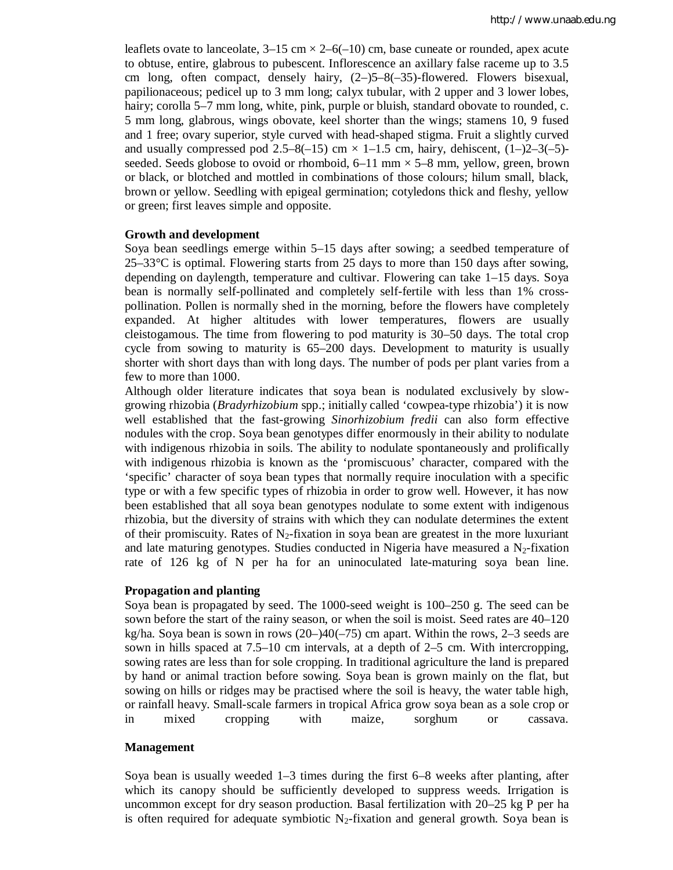leaflets ovate to lanceolate,  $3-15$  cm  $\times$  2–6(-10) cm, base cuneate or rounded, apex acute to obtuse, entire, glabrous to pubescent. Inflorescence an axillary false raceme up to 3.5 cm long, often compact, densely hairy, (2–)5–8(–35)-flowered. Flowers bisexual, papilionaceous; pedicel up to 3 mm long; calyx tubular, with 2 upper and 3 lower lobes, hairy; corolla 5–7 mm long, white, pink, purple or bluish, standard obovate to rounded, c. 5 mm long, glabrous, wings obovate, keel shorter than the wings; stamens 10, 9 fused and 1 free; ovary superior, style curved with head-shaped stigma. Fruit a slightly curved and usually compressed pod 2.5–8(-15) cm  $\times$  1–1.5 cm, hairy, dehiscent, (1–)2–3(-5)seeded. Seeds globose to ovoid or rhomboid,  $6-11$  mm  $\times$  5–8 mm, yellow, green, brown or black, or blotched and mottled in combinations of those colours; hilum small, black, brown or yellow. Seedling with epigeal germination; cotyledons thick and fleshy, yellow or green; first leaves simple and opposite.

#### **Growth and development**

Soya bean seedlings emerge within 5–15 days after sowing; a seedbed temperature of  $25-33^{\circ}$ C is optimal. Flowering starts from 25 days to more than 150 days after sowing, depending on daylength, temperature and cultivar. Flowering can take 1–15 days. Soya bean is normally self-pollinated and completely self-fertile with less than 1% crosspollination. Pollen is normally shed in the morning, before the flowers have completely expanded. At higher altitudes with lower temperatures, flowers are usually cleistogamous. The time from flowering to pod maturity is 30–50 days. The total crop cycle from sowing to maturity is 65–200 days. Development to maturity is usually shorter with short days than with long days. The number of pods per plant varies from a few to more than 1000.

Although older literature indicates that soya bean is nodulated exclusively by slowgrowing rhizobia (*Bradyrhizobium* spp.; initially called 'cowpea-type rhizobia') it is now well established that the fast-growing *Sinorhizobium fredii* can also form effective nodules with the crop. Soya bean genotypes differ enormously in their ability to nodulate with indigenous rhizobia in soils. The ability to nodulate spontaneously and prolifically with indigenous rhizobia is known as the 'promiscuous' character, compared with the 'specific' character of soya bean types that normally require inoculation with a specific type or with a few specific types of rhizobia in order to grow well. However, it has now been established that all soya bean genotypes nodulate to some extent with indigenous rhizobia, but the diversity of strains with which they can nodulate determines the extent of their promiscuity. Rates of  $N_2$ -fixation in soya bean are greatest in the more luxuriant and late maturing genotypes. Studies conducted in Nigeria have measured a  $N_2$ -fixation rate of 126 kg of N per ha for an uninoculated late-maturing soya bean line.

#### **Propagation and planting**

Soya bean is propagated by seed. The 1000-seed weight is 100–250 g. The seed can be sown before the start of the rainy season, or when the soil is moist. Seed rates are 40–120 kg/ha. Soya bean is sown in rows (20–)40(–75) cm apart. Within the rows, 2–3 seeds are sown in hills spaced at 7.5–10 cm intervals, at a depth of 2–5 cm. With intercropping, sowing rates are less than for sole cropping. In traditional agriculture the land is prepared by hand or animal traction before sowing. Soya bean is grown mainly on the flat, but sowing on hills or ridges may be practised where the soil is heavy, the water table high, or rainfall heavy. Small-scale farmers in tropical Africa grow soya bean as a sole crop or in mixed cropping with maize, sorghum or cassava.

### **Management**

Soya bean is usually weeded 1–3 times during the first 6–8 weeks after planting, after which its canopy should be sufficiently developed to suppress weeds. Irrigation is uncommon except for dry season production. Basal fertilization with 20–25 kg P per ha is often required for adequate symbiotic  $N_2$ -fixation and general growth. Soya bean is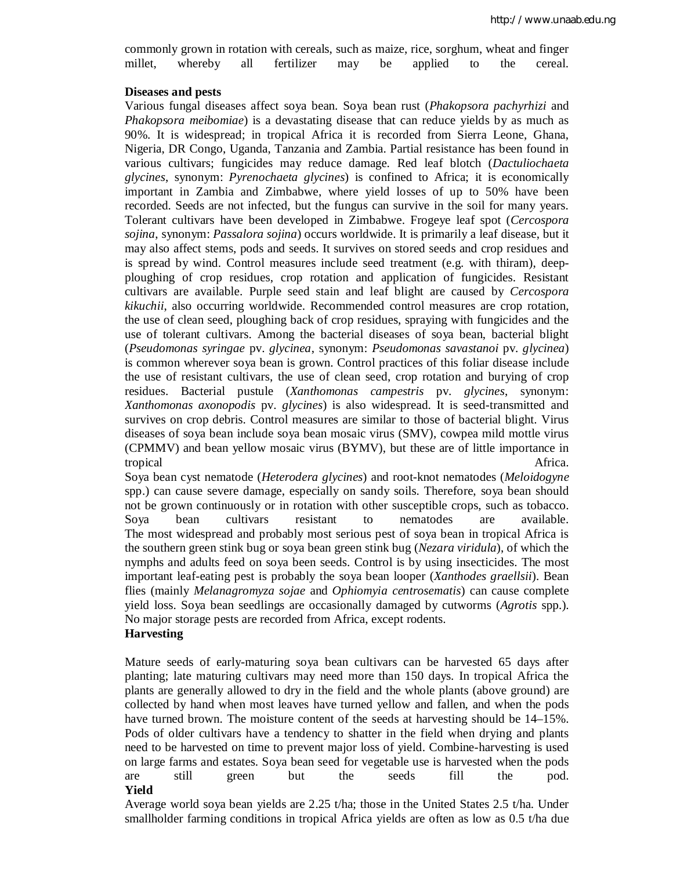commonly grown in rotation with cereals, such as maize, rice, sorghum, wheat and finger millet, whereby all fertilizer may be applied to the cereal.

#### **Diseases and pests**

Various fungal diseases affect soya bean. Soya bean rust (*Phakopsora pachyrhizi* and *Phakopsora meibomiae*) is a devastating disease that can reduce yields by as much as 90%. It is widespread; in tropical Africa it is recorded from Sierra Leone, Ghana, Nigeria, DR Congo, Uganda, Tanzania and Zambia. Partial resistance has been found in various cultivars; fungicides may reduce damage. Red leaf blotch (*Dactuliochaeta glycines*, synonym: *Pyrenochaeta glycines*) is confined to Africa; it is economically important in Zambia and Zimbabwe, where yield losses of up to 50% have been recorded. Seeds are not infected, but the fungus can survive in the soil for many years. Tolerant cultivars have been developed in Zimbabwe. Frogeye leaf spot (*Cercospora sojina*, synonym: *Passalora sojina*) occurs worldwide. It is primarily a leaf disease, but it may also affect stems, pods and seeds. It survives on stored seeds and crop residues and is spread by wind. Control measures include seed treatment (e.g. with thiram), deepploughing of crop residues, crop rotation and application of fungicides. Resistant cultivars are available. Purple seed stain and leaf blight are caused by *Cercospora kikuchii*, also occurring worldwide. Recommended control measures are crop rotation, the use of clean seed, ploughing back of crop residues, spraying with fungicides and the use of tolerant cultivars. Among the bacterial diseases of soya bean, bacterial blight (*Pseudomonas syringae* pv. *glycinea*, synonym: *Pseudomonas savastanoi* pv. *glycinea*) is common wherever soya bean is grown. Control practices of this foliar disease include the use of resistant cultivars, the use of clean seed, crop rotation and burying of crop residues. Bacterial pustule (*Xanthomonas campestris* pv. *glycines*, synonym: *Xanthomonas axonopodis* pv. *glycines*) is also widespread. It is seed-transmitted and survives on crop debris. Control measures are similar to those of bacterial blight. Virus diseases of soya bean include soya bean mosaic virus (SMV), cowpea mild mottle virus (CPMMV) and bean yellow mosaic virus (BYMV), but these are of little importance in tropical and the state of the state of the state of the state of the Africa.

Soya bean cyst nematode (*Heterodera glycines*) and root-knot nematodes (*Meloidogyne* spp.) can cause severe damage, especially on sandy soils. Therefore, soya bean should not be grown continuously or in rotation with other susceptible crops, such as tobacco. Soya bean cultivars resistant to nematodes are available. The most widespread and probably most serious pest of soya bean in tropical Africa is the southern green stink bug or soya bean green stink bug (*Nezara viridula*), of which the nymphs and adults feed on soya been seeds. Control is by using insecticides. The most important leaf-eating pest is probably the soya bean looper (*Xanthodes graellsii*). Bean flies (mainly *Melanagromyza sojae* and *Ophiomyia centrosematis*) can cause complete yield loss. Soya bean seedlings are occasionally damaged by cutworms (*Agrotis* spp.). No major storage pests are recorded from Africa, except rodents.

## **Harvesting**

Mature seeds of early-maturing soya bean cultivars can be harvested 65 days after planting; late maturing cultivars may need more than 150 days. In tropical Africa the plants are generally allowed to dry in the field and the whole plants (above ground) are collected by hand when most leaves have turned yellow and fallen, and when the pods have turned brown. The moisture content of the seeds at harvesting should be 14–15%. Pods of older cultivars have a tendency to shatter in the field when drying and plants need to be harvested on time to prevent major loss of yield. Combine-harvesting is used on large farms and estates. Soya bean seed for vegetable use is harvested when the pods are still green but the seeds fill the pod. **Yield**

Average world soya bean yields are 2.25 t/ha; those in the United States 2.5 t/ha. Under smallholder farming conditions in tropical Africa yields are often as low as 0.5 t/ha due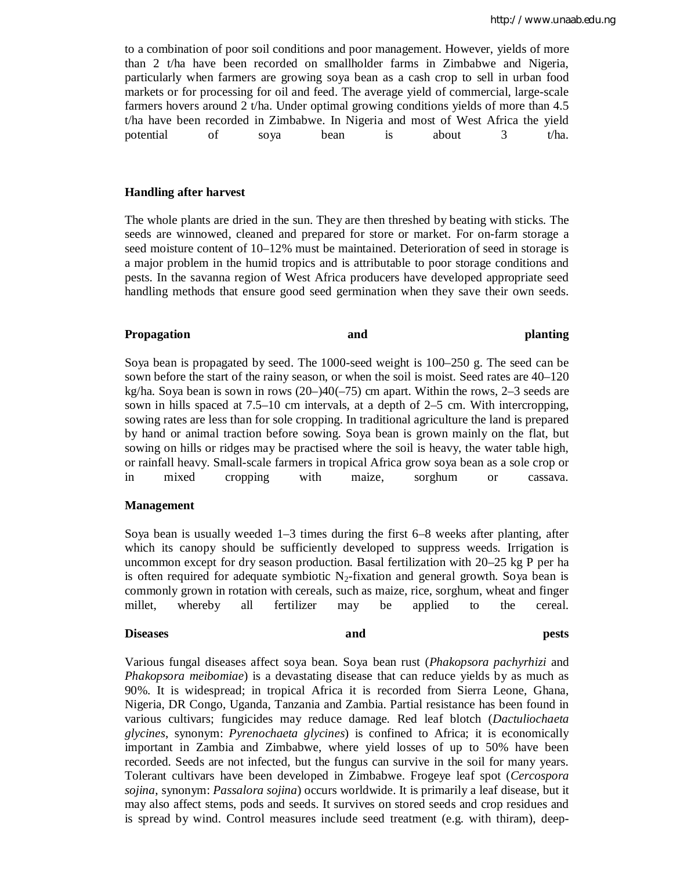to a combination of poor soil conditions and poor management. However, yields of more than 2 t/ha have been recorded on smallholder farms in Zimbabwe and Nigeria, particularly when farmers are growing soya bean as a cash crop to sell in urban food markets or for processing for oil and feed. The average yield of commercial, large-scale farmers hovers around 2 t/ha. Under optimal growing conditions yields of more than 4.5 t/ha have been recorded in Zimbabwe. In Nigeria and most of West Africa the yield potential of soya bean is about 3 t/ha.

#### **Handling after harvest**

The whole plants are dried in the sun. They are then threshed by beating with sticks. The seeds are winnowed, cleaned and prepared for store or market. For on-farm storage a seed moisture content of 10–12% must be maintained. Deterioration of seed in storage is a major problem in the humid tropics and is attributable to poor storage conditions and pests. In the savanna region of West Africa producers have developed appropriate seed handling methods that ensure good seed germination when they save their own seeds.

#### **Propagation and planting**

Soya bean is propagated by seed. The 1000-seed weight is 100–250 g. The seed can be sown before the start of the rainy season, or when the soil is moist. Seed rates are 40–120 kg/ha. Soya bean is sown in rows (20–)40(–75) cm apart. Within the rows, 2–3 seeds are sown in hills spaced at 7.5–10 cm intervals, at a depth of 2–5 cm. With intercropping, sowing rates are less than for sole cropping. In traditional agriculture the land is prepared by hand or animal traction before sowing. Soya bean is grown mainly on the flat, but sowing on hills or ridges may be practised where the soil is heavy, the water table high, or rainfall heavy. Small-scale farmers in tropical Africa grow soya bean as a sole crop or in mixed cropping with maize, sorghum or cassava.

#### **Management**

Soya bean is usually weeded 1–3 times during the first 6–8 weeks after planting, after which its canopy should be sufficiently developed to suppress weeds. Irrigation is uncommon except for dry season production. Basal fertilization with 20–25 kg P per ha is often required for adequate symbiotic  $N_2$ -fixation and general growth. Soya bean is commonly grown in rotation with cereals, such as maize, rice, sorghum, wheat and finger millet, whereby all fertilizer may be applied to the cereal.

## **Diseases and pests**

Various fungal diseases affect soya bean. Soya bean rust (*Phakopsora pachyrhizi* and *Phakopsora meibomiae*) is a devastating disease that can reduce yields by as much as 90%. It is widespread; in tropical Africa it is recorded from Sierra Leone, Ghana, Nigeria, DR Congo, Uganda, Tanzania and Zambia. Partial resistance has been found in various cultivars; fungicides may reduce damage. Red leaf blotch (*Dactuliochaeta glycines*, synonym: *Pyrenochaeta glycines*) is confined to Africa; it is economically important in Zambia and Zimbabwe, where yield losses of up to 50% have been recorded. Seeds are not infected, but the fungus can survive in the soil for many years. Tolerant cultivars have been developed in Zimbabwe. Frogeye leaf spot (*Cercospora sojina*, synonym: *Passalora sojina*) occurs worldwide. It is primarily a leaf disease, but it may also affect stems, pods and seeds. It survives on stored seeds and crop residues and is spread by wind. Control measures include seed treatment (e.g. with thiram), deep-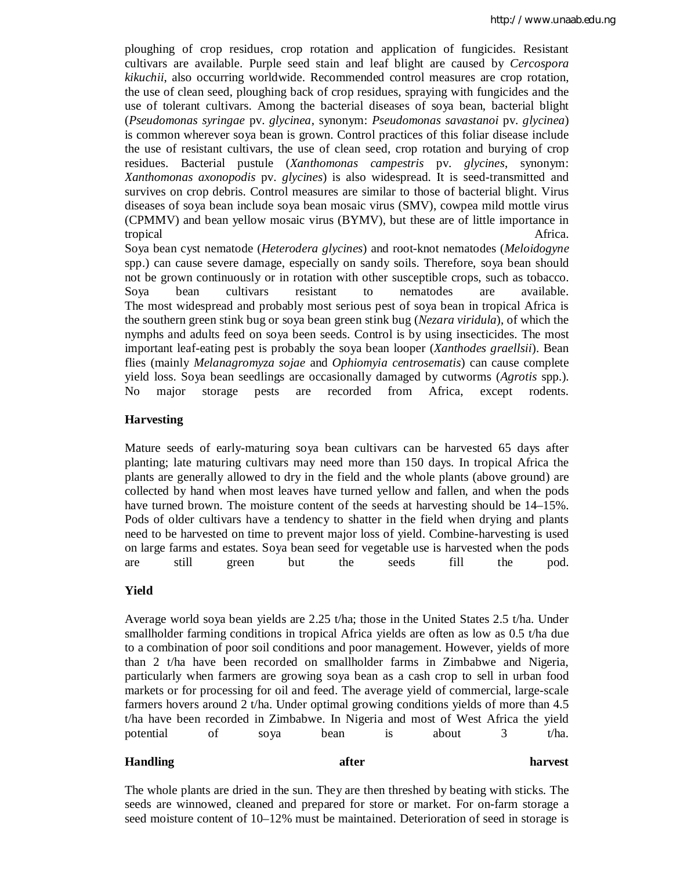ploughing of crop residues, crop rotation and application of fungicides. Resistant cultivars are available. Purple seed stain and leaf blight are caused by *Cercospora kikuchii*, also occurring worldwide. Recommended control measures are crop rotation, the use of clean seed, ploughing back of crop residues, spraying with fungicides and the use of tolerant cultivars. Among the bacterial diseases of soya bean, bacterial blight (*Pseudomonas syringae* pv. *glycinea*, synonym: *Pseudomonas savastanoi* pv. *glycinea*) is common wherever soya bean is grown. Control practices of this foliar disease include the use of resistant cultivars, the use of clean seed, crop rotation and burying of crop residues. Bacterial pustule (*Xanthomonas campestris* pv. *glycines*, synonym: *Xanthomonas axonopodis* pv. *glycines*) is also widespread. It is seed-transmitted and survives on crop debris. Control measures are similar to those of bacterial blight. Virus diseases of soya bean include soya bean mosaic virus (SMV), cowpea mild mottle virus (CPMMV) and bean yellow mosaic virus (BYMV), but these are of little importance in tropical and the state of the state of the state of the state of the state of the state of the state of the state of the state of the state of the state of the state of the state of the state of the state of the state of t

Soya bean cyst nematode (*Heterodera glycines*) and root-knot nematodes (*Meloidogyne* spp.) can cause severe damage, especially on sandy soils. Therefore, soya bean should not be grown continuously or in rotation with other susceptible crops, such as tobacco. Soya bean cultivars resistant to nematodes are available. The most widespread and probably most serious pest of soya bean in tropical Africa is the southern green stink bug or soya bean green stink bug (*Nezara viridula*), of which the nymphs and adults feed on soya been seeds. Control is by using insecticides. The most important leaf-eating pest is probably the soya bean looper (*Xanthodes graellsii*). Bean flies (mainly *Melanagromyza sojae* and *Ophiomyia centrosematis*) can cause complete yield loss. Soya bean seedlings are occasionally damaged by cutworms (*Agrotis* spp.). No major storage pests are recorded from Africa, except rodents.

## **Harvesting**

Mature seeds of early-maturing soya bean cultivars can be harvested 65 days after planting; late maturing cultivars may need more than 150 days. In tropical Africa the plants are generally allowed to dry in the field and the whole plants (above ground) are collected by hand when most leaves have turned yellow and fallen, and when the pods have turned brown. The moisture content of the seeds at harvesting should be 14–15%. Pods of older cultivars have a tendency to shatter in the field when drying and plants need to be harvested on time to prevent major loss of yield. Combine-harvesting is used on large farms and estates. Soya bean seed for vegetable use is harvested when the pods are still green but the seeds fill the pod.

### **Yield**

Average world soya bean yields are 2.25 t/ha; those in the United States 2.5 t/ha. Under smallholder farming conditions in tropical Africa yields are often as low as 0.5 t/ha due to a combination of poor soil conditions and poor management. However, yields of more than 2 t/ha have been recorded on smallholder farms in Zimbabwe and Nigeria, particularly when farmers are growing soya bean as a cash crop to sell in urban food markets or for processing for oil and feed. The average yield of commercial, large-scale farmers hovers around 2 t/ha. Under optimal growing conditions yields of more than 4.5 t/ha have been recorded in Zimbabwe. In Nigeria and most of West Africa the yield potential of soya bean is about 3 t/ha.

## **Handling after harvest**

The whole plants are dried in the sun. They are then threshed by beating with sticks. The seeds are winnowed, cleaned and prepared for store or market. For on-farm storage a seed moisture content of 10–12% must be maintained. Deterioration of seed in storage is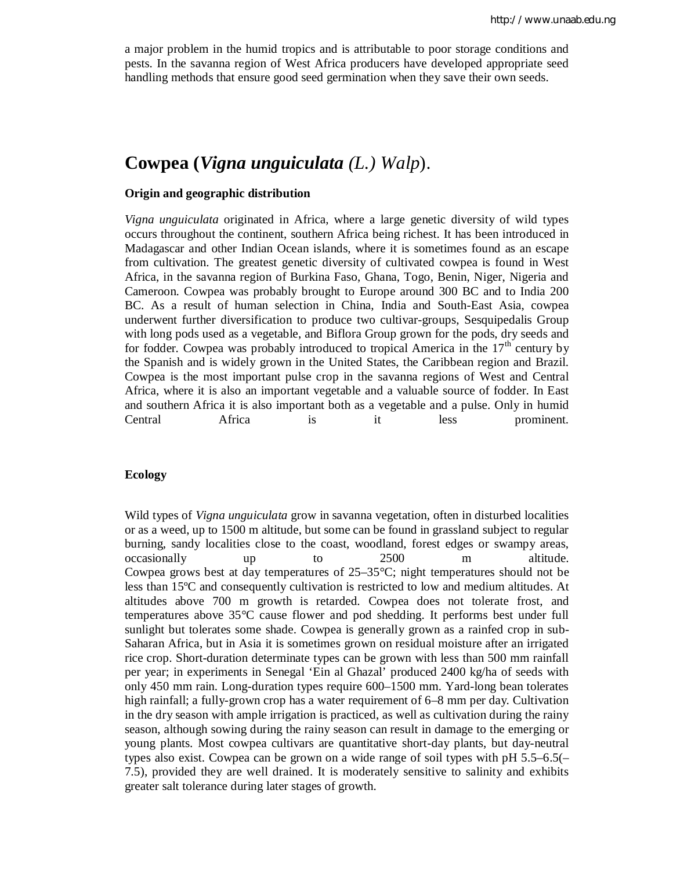a major problem in the humid tropics and is attributable to poor storage conditions and pests. In the savanna region of West Africa producers have developed appropriate seed handling methods that ensure good seed germination when they save their own seeds.

# **Cowpea (***Vigna unguiculata (L.) Walp*).

#### **Origin and geographic distribution**

*Vigna unguiculata* originated in Africa, where a large genetic diversity of wild types occurs throughout the continent, southern Africa being richest. It has been introduced in Madagascar and other Indian Ocean islands, where it is sometimes found as an escape from cultivation. The greatest genetic diversity of cultivated cowpea is found in West Africa, in the savanna region of Burkina Faso, Ghana, Togo, Benin, Niger, Nigeria and Cameroon. Cowpea was probably brought to Europe around 300 BC and to India 200 BC. As a result of human selection in China, India and South-East Asia, cowpea underwent further diversification to produce two cultivar-groups, Sesquipedalis Group with long pods used as a vegetable, and Biflora Group grown for the pods, dry seeds and for fodder. Cowpea was probably introduced to tropical America in the  $17<sup>th</sup>$  century by the Spanish and is widely grown in the United States, the Caribbean region and Brazil. Cowpea is the most important pulse crop in the savanna regions of West and Central Africa, where it is also an important vegetable and a valuable source of fodder. In East and southern Africa it is also important both as a vegetable and a pulse. Only in humid Central Africa is it less prominent.

#### **Ecology**

Wild types of *Vigna unguiculata* grow in savanna vegetation, often in disturbed localities or as a weed, up to 1500 m altitude, but some can be found in grassland subject to regular burning, sandy localities close to the coast, woodland, forest edges or swampy areas, occasionally up to 2500 m altitude. Cowpea grows best at day temperatures of  $25-35^{\circ}$ C; night temperatures should not be less than 15ºC and consequently cultivation is restricted to low and medium altitudes. At altitudes above 700 m growth is retarded. Cowpea does not tolerate frost, and temperatures above 35°C cause flower and pod shedding. It performs best under full sunlight but tolerates some shade. Cowpea is generally grown as a rainfed crop in sub-Saharan Africa, but in Asia it is sometimes grown on residual moisture after an irrigated rice crop. Short-duration determinate types can be grown with less than 500 mm rainfall per year; in experiments in Senegal 'Ein al Ghazal' produced 2400 kg/ha of seeds with only 450 mm rain. Long-duration types require 600–1500 mm. Yard-long bean tolerates high rainfall; a fully-grown crop has a water requirement of 6–8 mm per day. Cultivation in the dry season with ample irrigation is practiced, as well as cultivation during the rainy season, although sowing during the rainy season can result in damage to the emerging or young plants. Most cowpea cultivars are quantitative short-day plants, but day-neutral types also exist. Cowpea can be grown on a wide range of soil types with pH 5.5–6.5(– 7.5), provided they are well drained. It is moderately sensitive to salinity and exhibits greater salt tolerance during later stages of growth.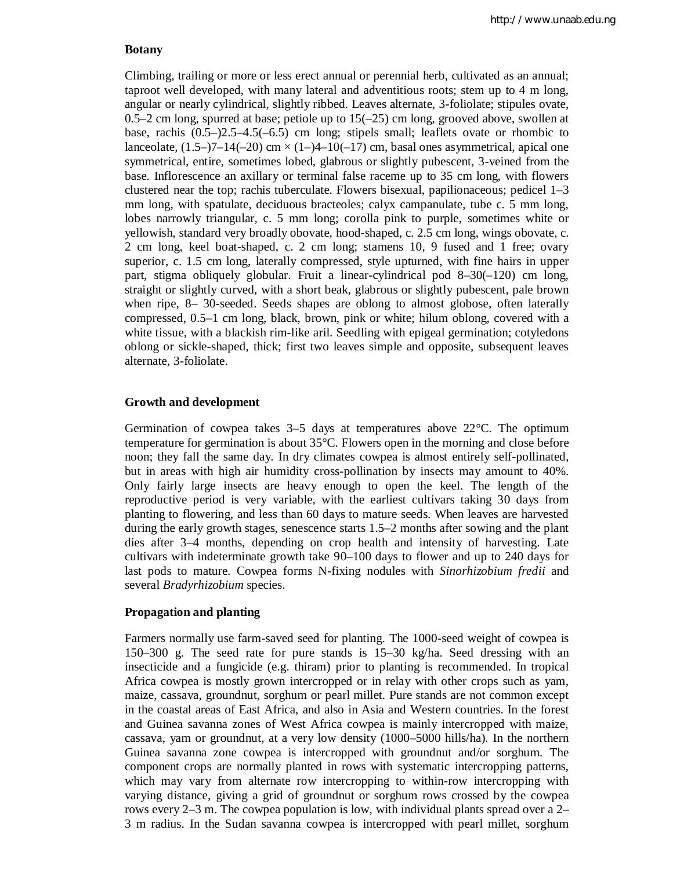#### **Botany**

Climbing, trailing or more or less erect annual or perennial herb, cultivated as an annual; taproot well developed, with many lateral and adventitious roots; stem up to 4 m long, angular or nearly cylindrical, slightly ribbed. Leaves alternate, 3-foliolate; stipules ovate,  $0.5-2$  cm long, spurred at base; petiole up to  $15(-25)$  cm long, grooved above, swollen at base, rachis (0.5–)2.5–4.5(–6.5) cm long; stipels small; leaflets ovate or rhombic to lanceolate,  $(1.5-7-14(-20)$  cm  $\times$   $(1-4-10(-17)$  cm, basal ones asymmetrical, apical one symmetrical, entire, sometimes lobed, glabrous or slightly pubescent, 3-veined from the base. Inflorescence an axillary or terminal false raceme up to 35 cm long, with flowers clustered near the top; rachis tuberculate. Flowers bisexual, papilionaceous; pedicel 1–3 mm long, with spatulate, deciduous bracteoles; calyx campanulate, tube c. 5 mm long, lobes narrowly triangular, c. 5 mm long; corolla pink to purple, sometimes white or yellowish, standard very broadly obovate, hood-shaped, c. 2.5 cm long, wings obovate, c. 2 cm long, keel boat-shaped, c. 2 cm long; stamens 10, 9 fused and 1 free; ovary superior, c. 1.5 cm long, laterally compressed, style upturned, with fine hairs in upper part, stigma obliquely globular. Fruit a linear-cylindrical pod 8–30(–120) cm long, straight or slightly curved, with a short beak, glabrous or slightly pubescent, pale brown when ripe, 8– 30-seeded. Seeds shapes are oblong to almost globose, often laterally compressed, 0.5–1 cm long, black, brown, pink or white; hilum oblong, covered with a white tissue, with a blackish rim-like aril. Seedling with epigeal germination; cotyledons oblong or sickle-shaped, thick; first two leaves simple and opposite, subsequent leaves alternate, 3-foliolate.

### **Growth and development**

Germination of cowpea takes  $3-5$  days at temperatures above  $22^{\circ}$ C. The optimum temperature for germination is about 35°C. Flowers open in the morning and close before noon; they fall the same day. In dry climates cowpea is almost entirely self-pollinated, but in areas with high air humidity cross-pollination by insects may amount to 40%. Only fairly large insects are heavy enough to open the keel. The length of the reproductive period is very variable, with the earliest cultivars taking 30 days from planting to flowering, and less than 60 days to mature seeds. When leaves are harvested during the early growth stages, senescence starts 1.5–2 months after sowing and the plant dies after 3–4 months, depending on crop health and intensity of harvesting. Late cultivars with indeterminate growth take 90–100 days to flower and up to 240 days for last pods to mature. Cowpea forms N-fixing nodules with *Sinorhizobium fredii* and several *Bradyrhizobium* species.

## **Propagation and planting**

Farmers normally use farm-saved seed for planting. The 1000-seed weight of cowpea is 150–300 g. The seed rate for pure stands is 15–30 kg/ha. Seed dressing with an insecticide and a fungicide (e.g. thiram) prior to planting is recommended. In tropical Africa cowpea is mostly grown intercropped or in relay with other crops such as yam, maize, cassava, groundnut, sorghum or pearl millet. Pure stands are not common except in the coastal areas of East Africa, and also in Asia and Western countries. In the forest and Guinea savanna zones of West Africa cowpea is mainly intercropped with maize, cassava, yam or groundnut, at a very low density (1000–5000 hills/ha). In the northern Guinea savanna zone cowpea is intercropped with groundnut and/or sorghum. The component crops are normally planted in rows with systematic intercropping patterns, which may vary from alternate row intercropping to within-row intercropping with varying distance, giving a grid of groundnut or sorghum rows crossed by the cowpea rows every 2–3 m. The cowpea population is low, with individual plants spread over a 2– 3 m radius. In the Sudan savanna cowpea is intercropped with pearl millet, sorghum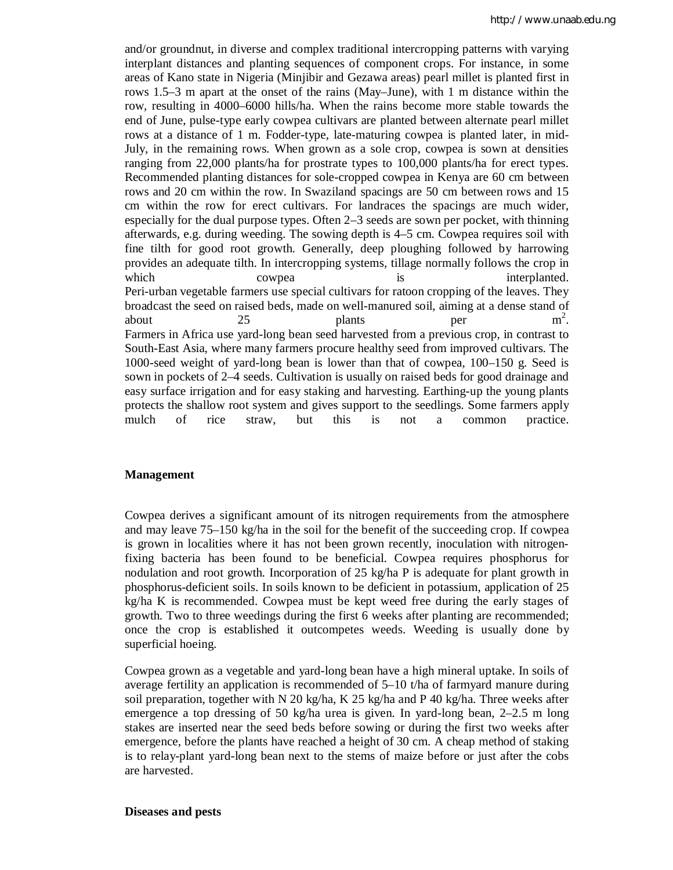and/or groundnut, in diverse and complex traditional intercropping patterns with varying interplant distances and planting sequences of component crops. For instance, in some areas of Kano state in Nigeria (Minjibir and Gezawa areas) pearl millet is planted first in rows 1.5–3 m apart at the onset of the rains (May–June), with 1 m distance within the row, resulting in 4000–6000 hills/ha. When the rains become more stable towards the end of June, pulse-type early cowpea cultivars are planted between alternate pearl millet rows at a distance of 1 m. Fodder-type, late-maturing cowpea is planted later, in mid-July, in the remaining rows. When grown as a sole crop, cowpea is sown at densities ranging from 22,000 plants/ha for prostrate types to 100,000 plants/ha for erect types. Recommended planting distances for sole-cropped cowpea in Kenya are 60 cm between rows and 20 cm within the row. In Swaziland spacings are 50 cm between rows and 15 cm within the row for erect cultivars. For landraces the spacings are much wider, especially for the dual purpose types. Often 2–3 seeds are sown per pocket, with thinning afterwards, e.g. during weeding. The sowing depth is 4–5 cm. Cowpea requires soil with fine tilth for good root growth. Generally, deep ploughing followed by harrowing provides an adequate tilth. In intercropping systems, tillage normally follows the crop in which cowpea is interplanted. Peri-urban vegetable farmers use special cultivars for ratoon cropping of the leaves. They broadcast the seed on raised beds, made on well-manured soil, aiming at a dense stand of about 25 plants per  $m^2$  $m^2$ . Farmers in Africa use yard-long bean seed harvested from a previous crop, in contrast to South-East Asia, where many farmers procure healthy seed from improved cultivars. The 1000-seed weight of yard-long bean is lower than that of cowpea, 100–150 g. Seed is sown in pockets of 2–4 seeds. Cultivation is usually on raised beds for good drainage and easy surface irrigation and for easy staking and harvesting. Earthing-up the young plants protects the shallow root system and gives support to the seedlings. Some farmers apply mulch of rice straw, but this is not a common practice.

### **Management**

Cowpea derives a significant amount of its nitrogen requirements from the atmosphere and may leave 75–150 kg/ha in the soil for the benefit of the succeeding crop. If cowpea is grown in localities where it has not been grown recently, inoculation with nitrogenfixing bacteria has been found to be beneficial. Cowpea requires phosphorus for nodulation and root growth. Incorporation of 25 kg/ha P is adequate for plant growth in phosphorus-deficient soils. In soils known to be deficient in potassium, application of 25 kg/ha K is recommended. Cowpea must be kept weed free during the early stages of growth. Two to three weedings during the first 6 weeks after planting are recommended; once the crop is established it outcompetes weeds. Weeding is usually done by superficial hoeing.

Cowpea grown as a vegetable and yard-long bean have a high mineral uptake. In soils of average fertility an application is recommended of 5–10 t/ha of farmyard manure during soil preparation, together with N 20 kg/ha, K 25 kg/ha and P 40 kg/ha. Three weeks after emergence a top dressing of 50 kg/ha urea is given. In yard-long bean, 2–2.5 m long stakes are inserted near the seed beds before sowing or during the first two weeks after emergence, before the plants have reached a height of 30 cm. A cheap method of staking is to relay-plant yard-long bean next to the stems of maize before or just after the cobs are harvested.

#### **Diseases and pests**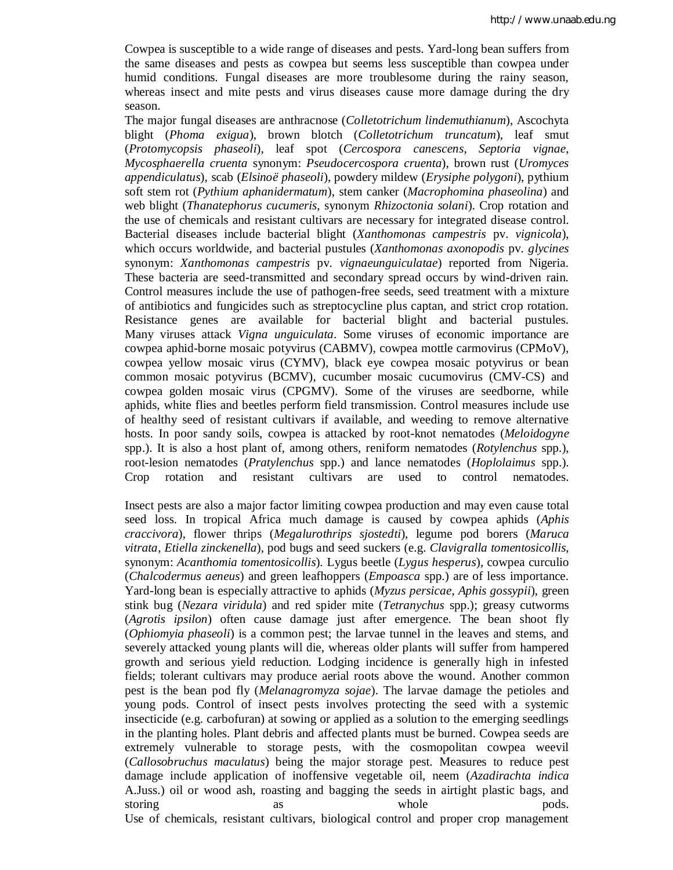Cowpea is susceptible to a wide range of diseases and pests. Yard-long bean suffers from the same diseases and pests as cowpea but seems less susceptible than cowpea under humid conditions. Fungal diseases are more troublesome during the rainy season, whereas insect and mite pests and virus diseases cause more damage during the dry season.

The major fungal diseases are anthracnose (*Colletotrichum lindemuthianum*), Ascochyta blight (*Phoma exigua*), brown blotch (*Colletotrichum truncatum*), leaf smut (*Protomycopsis phaseoli*), leaf spot (*Cercospora canescens*, *Septoria vignae*, *Mycosphaerella cruenta* synonym: *Pseudocercospora cruenta*), brown rust (*Uromyces appendiculatus*), scab (*Elsinoë phaseoli*), powdery mildew (*Erysiphe polygoni*), pythium soft stem rot (*Pythium aphanidermatum*), stem canker (*Macrophomina phaseolina*) and web blight (*Thanatephorus cucumeris*, synonym *Rhizoctonia solani*). Crop rotation and the use of chemicals and resistant cultivars are necessary for integrated disease control. Bacterial diseases include bacterial blight (*Xanthomonas campestris* pv. *vignicola*), which occurs worldwide, and bacterial pustules (*Xanthomonas axonopodis* pv. *glycines* synonym: *Xanthomonas campestris* pv. *vignaeunguiculatae*) reported from Nigeria. These bacteria are seed-transmitted and secondary spread occurs by wind-driven rain. Control measures include the use of pathogen-free seeds, seed treatment with a mixture of antibiotics and fungicides such as streptocycline plus captan, and strict crop rotation. Resistance genes are available for bacterial blight and bacterial pustules. Many viruses attack *Vigna unguiculata*. Some viruses of economic importance are cowpea aphid-borne mosaic potyvirus (CABMV), cowpea mottle carmovirus (CPMoV), cowpea yellow mosaic virus (CYMV), black eye cowpea mosaic potyvirus or bean common mosaic potyvirus (BCMV), cucumber mosaic cucumovirus (CMV-CS) and cowpea golden mosaic virus (CPGMV). Some of the viruses are seedborne, while aphids, white flies and beetles perform field transmission. Control measures include use of healthy seed of resistant cultivars if available, and weeding to remove alternative hosts. In poor sandy soils, cowpea is attacked by root-knot nematodes (*Meloidogyne* spp.). It is also a host plant of, among others, reniform nematodes (*Rotylenchus* spp.), root-lesion nematodes (*Pratylenchus* spp.) and lance nematodes (*Hoplolaimus* spp.). Crop rotation and resistant cultivars are used to control nematodes.

Insect pests are also a major factor limiting cowpea production and may even cause total seed loss. In tropical Africa much damage is caused by cowpea aphids (*Aphis craccivora*), flower thrips (*Megalurothrips sjostedti*), legume pod borers (*Maruca vitrata*, *Etiella zinckenella*), pod bugs and seed suckers (e.g. *Clavigralla tomentosicollis*, synonym: *Acanthomia tomentosicollis*). Lygus beetle (*Lygus hesperus*), cowpea curculio (*Chalcodermus aeneus*) and green leafhoppers (*Empoasca* spp.) are of less importance. Yard-long bean is especially attractive to aphids (*Myzus persicae*, *Aphis gossypii*), green stink bug (*Nezara viridula*) and red spider mite (*Tetranychus* spp.); greasy cutworms (*Agrotis ipsilon*) often cause damage just after emergence. The bean shoot fly (*Ophiomyia phaseoli*) is a common pest; the larvae tunnel in the leaves and stems, and severely attacked young plants will die, whereas older plants will suffer from hampered growth and serious yield reduction. Lodging incidence is generally high in infested fields; tolerant cultivars may produce aerial roots above the wound. Another common pest is the bean pod fly (*Melanagromyza sojae*). The larvae damage the petioles and young pods. Control of insect pests involves protecting the seed with a systemic insecticide (e.g. carbofuran) at sowing or applied as a solution to the emerging seedlings in the planting holes. Plant debris and affected plants must be burned. Cowpea seeds are extremely vulnerable to storage pests, with the cosmopolitan cowpea weevil (*Callosobruchus maculatus*) being the major storage pest. Measures to reduce pest damage include application of inoffensive vegetable oil, neem (*Azadirachta indica* A.Juss.) oil or wood ash, roasting and bagging the seeds in airtight plastic bags, and storing as as whole pods. Use of chemicals, resistant cultivars, biological control and proper crop management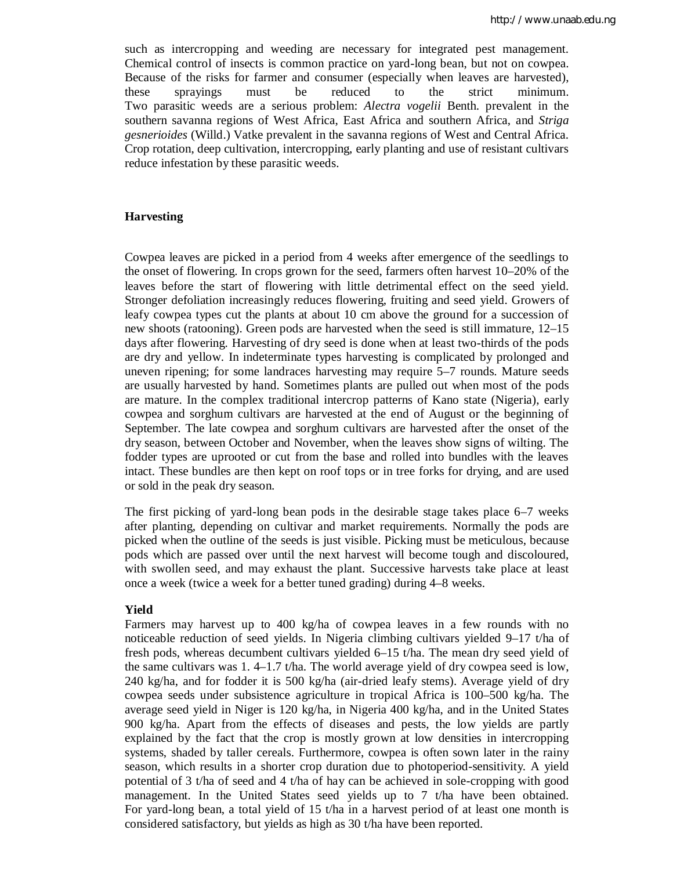such as intercropping and weeding are necessary for integrated pest management. Chemical control of insects is common practice on yard-long bean, but not on cowpea. Because of the risks for farmer and consumer (especially when leaves are harvested), these sprayings must be reduced to the strict minimum. Two parasitic weeds are a serious problem: *Alectra vogelii* Benth. prevalent in the southern savanna regions of West Africa, East Africa and southern Africa, and *Striga gesnerioides* (Willd.) Vatke prevalent in the savanna regions of West and Central Africa. Crop rotation, deep cultivation, intercropping, early planting and use of resistant cultivars reduce infestation by these parasitic weeds.

#### **Harvesting**

Cowpea leaves are picked in a period from 4 weeks after emergence of the seedlings to the onset of flowering. In crops grown for the seed, farmers often harvest 10–20% of the leaves before the start of flowering with little detrimental effect on the seed yield. Stronger defoliation increasingly reduces flowering, fruiting and seed yield. Growers of leafy cowpea types cut the plants at about 10 cm above the ground for a succession of new shoots (ratooning). Green pods are harvested when the seed is still immature, 12–15 days after flowering. Harvesting of dry seed is done when at least two-thirds of the pods are dry and yellow. In indeterminate types harvesting is complicated by prolonged and uneven ripening; for some landraces harvesting may require 5–7 rounds. Mature seeds are usually harvested by hand. Sometimes plants are pulled out when most of the pods are mature. In the complex traditional intercrop patterns of Kano state (Nigeria), early cowpea and sorghum cultivars are harvested at the end of August or the beginning of September. The late cowpea and sorghum cultivars are harvested after the onset of the dry season, between October and November, when the leaves show signs of wilting. The fodder types are uprooted or cut from the base and rolled into bundles with the leaves intact. These bundles are then kept on roof tops or in tree forks for drying, and are used or sold in the peak dry season.

The first picking of yard-long bean pods in the desirable stage takes place 6–7 weeks after planting, depending on cultivar and market requirements. Normally the pods are picked when the outline of the seeds is just visible. Picking must be meticulous, because pods which are passed over until the next harvest will become tough and discoloured, with swollen seed, and may exhaust the plant. Successive harvests take place at least once a week (twice a week for a better tuned grading) during 4–8 weeks.

#### **Yield**

Farmers may harvest up to 400 kg/ha of cowpea leaves in a few rounds with no noticeable reduction of seed yields. In Nigeria climbing cultivars yielded 9–17 t/ha of fresh pods, whereas decumbent cultivars yielded 6–15 t/ha. The mean dry seed yield of the same cultivars was 1.4–1.7 t/ha. The world average yield of dry cowpea seed is low, 240 kg/ha, and for fodder it is 500 kg/ha (air-dried leafy stems). Average yield of dry cowpea seeds under subsistence agriculture in tropical Africa is 100–500 kg/ha. The average seed yield in Niger is 120 kg/ha, in Nigeria 400 kg/ha, and in the United States 900 kg/ha. Apart from the effects of diseases and pests, the low yields are partly explained by the fact that the crop is mostly grown at low densities in intercropping systems, shaded by taller cereals. Furthermore, cowpea is often sown later in the rainy season, which results in a shorter crop duration due to photoperiod-sensitivity. A yield potential of 3 t/ha of seed and 4 t/ha of hay can be achieved in sole-cropping with good management. In the United States seed yields up to 7 t/ha have been obtained. For yard-long bean, a total yield of 15 t/ha in a harvest period of at least one month is considered satisfactory, but yields as high as 30 t/ha have been reported.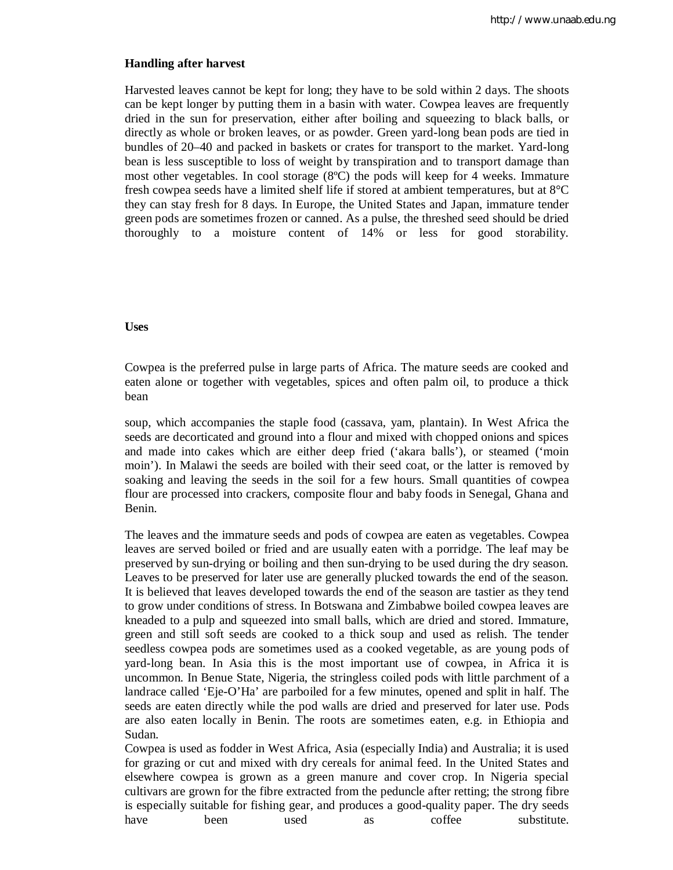### **Handling after harvest**

Harvested leaves cannot be kept for long; they have to be sold within 2 days. The shoots can be kept longer by putting them in a basin with water. Cowpea leaves are frequently dried in the sun for preservation, either after boiling and squeezing to black balls, or directly as whole or broken leaves, or as powder. Green yard-long bean pods are tied in bundles of 20–40 and packed in baskets or crates for transport to the market. Yard-long bean is less susceptible to loss of weight by transpiration and to transport damage than most other vegetables. In cool storage (8ºC) the pods will keep for 4 weeks. Immature fresh cowpea seeds have a limited shelf life if stored at ambient temperatures, but at 8°C they can stay fresh for 8 days. In Europe, the United States and Japan, immature tender green pods are sometimes frozen or canned. As a pulse, the threshed seed should be dried thoroughly to a moisture content of 14% or less for good storability.

#### **Uses**

Cowpea is the preferred pulse in large parts of Africa. The mature seeds are cooked and eaten alone or together with vegetables, spices and often palm oil, to produce a thick bean

soup, which accompanies the staple food (cassava, yam, plantain). In West Africa the seeds are decorticated and ground into a flour and mixed with chopped onions and spices and made into cakes which are either deep fried ('akara balls'), or steamed ('moin moin'). In Malawi the seeds are boiled with their seed coat, or the latter is removed by soaking and leaving the seeds in the soil for a few hours. Small quantities of cowpea flour are processed into crackers, composite flour and baby foods in Senegal, Ghana and Benin.

The leaves and the immature seeds and pods of cowpea are eaten as vegetables. Cowpea leaves are served boiled or fried and are usually eaten with a porridge. The leaf may be preserved by sun-drying or boiling and then sun-drying to be used during the dry season. Leaves to be preserved for later use are generally plucked towards the end of the season. It is believed that leaves developed towards the end of the season are tastier as they tend to grow under conditions of stress. In Botswana and Zimbabwe boiled cowpea leaves are kneaded to a pulp and squeezed into small balls, which are dried and stored. Immature, green and still soft seeds are cooked to a thick soup and used as relish. The tender seedless cowpea pods are sometimes used as a cooked vegetable, as are young pods of yard-long bean. In Asia this is the most important use of cowpea, in Africa it is uncommon. In Benue State, Nigeria, the stringless coiled pods with little parchment of a landrace called 'Eje-O'Ha' are parboiled for a few minutes, opened and split in half. The seeds are eaten directly while the pod walls are dried and preserved for later use. Pods are also eaten locally in Benin. The roots are sometimes eaten, e.g. in Ethiopia and Sudan.

Cowpea is used as fodder in West Africa, Asia (especially India) and Australia; it is used for grazing or cut and mixed with dry cereals for animal feed. In the United States and elsewhere cowpea is grown as a green manure and cover crop. In Nigeria special cultivars are grown for the fibre extracted from the peduncle after retting; the strong fibre is especially suitable for fishing gear, and produces a good-quality paper. The dry seeds have been used as coffee substitute.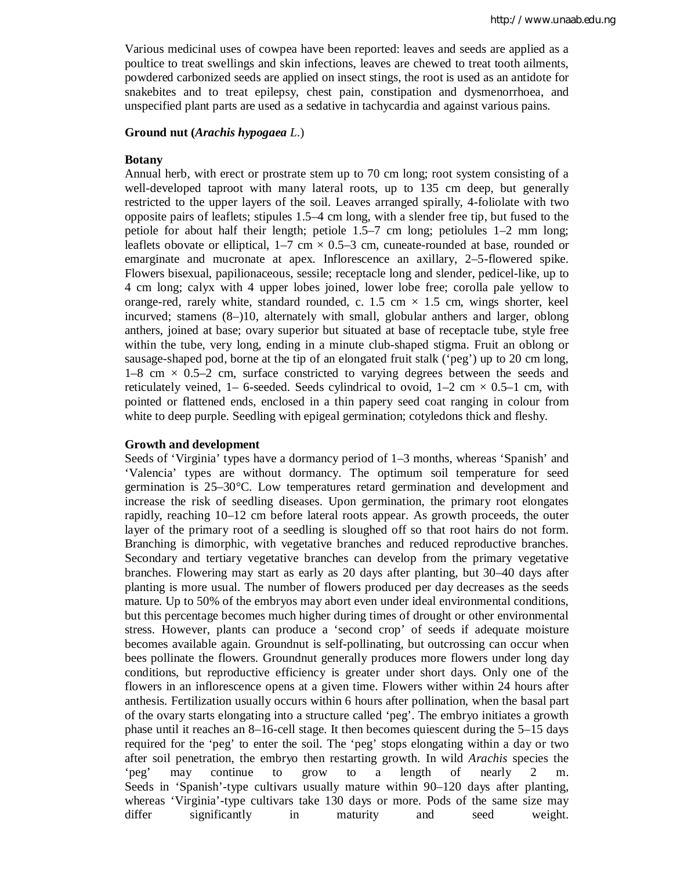Various medicinal uses of cowpea have been reported: leaves and seeds are applied as a poultice to treat swellings and skin infections, leaves are chewed to treat tooth ailments, powdered carbonized seeds are applied on insect stings, the root is used as an antidote for snakebites and to treat epilepsy, chest pain, constipation and dysmenorrhoea, and unspecified plant parts are used as a sedative in tachycardia and against various pains.

## **Ground nut (***Arachis hypogaea L*.)

#### **Botany**

Annual herb, with erect or prostrate stem up to 70 cm long; root system consisting of a well-developed taproot with many lateral roots, up to 135 cm deep, but generally restricted to the upper layers of the soil. Leaves arranged spirally, 4-foliolate with two opposite pairs of leaflets; stipules 1.5–4 cm long, with a slender free tip, but fused to the petiole for about half their length; petiole 1.5–7 cm long; petiolules 1–2 mm long; leaflets obovate or elliptical,  $1-7$  cm  $\times$  0.5–3 cm, cuneate-rounded at base, rounded or emarginate and mucronate at apex. Inflorescence an axillary, 2–5-flowered spike. Flowers bisexual, papilionaceous, sessile; receptacle long and slender, pedicel-like, up to 4 cm long; calyx with 4 upper lobes joined, lower lobe free; corolla pale yellow to orange-red, rarely white, standard rounded, c.  $1.5 \text{ cm} \times 1.5 \text{ cm}$ , wings shorter, keel incurved; stamens (8–)10, alternately with small, globular anthers and larger, oblong anthers, joined at base; ovary superior but situated at base of receptacle tube, style free within the tube, very long, ending in a minute club-shaped stigma. Fruit an oblong or sausage-shaped pod, borne at the tip of an elongated fruit stalk ('peg') up to 20 cm long,  $1-8$  cm  $\times$  0.5–2 cm, surface constricted to varying degrees between the seeds and reticulately veined, 1– 6-seeded. Seeds cylindrical to ovoid,  $1-2 \text{ cm} \times 0.5-1 \text{ cm}$ , with pointed or flattened ends, enclosed in a thin papery seed coat ranging in colour from white to deep purple. Seedling with epigeal germination; cotyledons thick and fleshy.

#### **Growth and development**

Seeds of 'Virginia' types have a dormancy period of 1–3 months, whereas 'Spanish' and 'Valencia' types are without dormancy. The optimum soil temperature for seed germination is 25–30°C. Low temperatures retard germination and development and increase the risk of seedling diseases. Upon germination, the primary root elongates rapidly, reaching 10–12 cm before lateral roots appear. As growth proceeds, the outer layer of the primary root of a seedling is sloughed off so that root hairs do not form. Branching is dimorphic, with vegetative branches and reduced reproductive branches. Secondary and tertiary vegetative branches can develop from the primary vegetative branches. Flowering may start as early as 20 days after planting, but 30–40 days after planting is more usual. The number of flowers produced per day decreases as the seeds mature. Up to 50% of the embryos may abort even under ideal environmental conditions, but this percentage becomes much higher during times of drought or other environmental stress. However, plants can produce a 'second crop' of seeds if adequate moisture becomes available again. Groundnut is self-pollinating, but outcrossing can occur when bees pollinate the flowers. Groundnut generally produces more flowers under long day conditions, but reproductive efficiency is greater under short days. Only one of the flowers in an inflorescence opens at a given time. Flowers wither within 24 hours after anthesis. Fertilization usually occurs within 6 hours after pollination, when the basal part of the ovary starts elongating into a structure called 'peg'. The embryo initiates a growth phase until it reaches an 8–16-cell stage. It then becomes quiescent during the 5–15 days required for the 'peg' to enter the soil. The 'peg' stops elongating within a day or two after soil penetration, the embryo then restarting growth. In wild *Arachis* species the 'peg' may continue to grow to a length of nearly 2 m. Seeds in 'Spanish'-type cultivars usually mature within 90–120 days after planting, whereas 'Virginia'-type cultivars take 130 days or more. Pods of the same size may differ significantly in maturity and seed weight.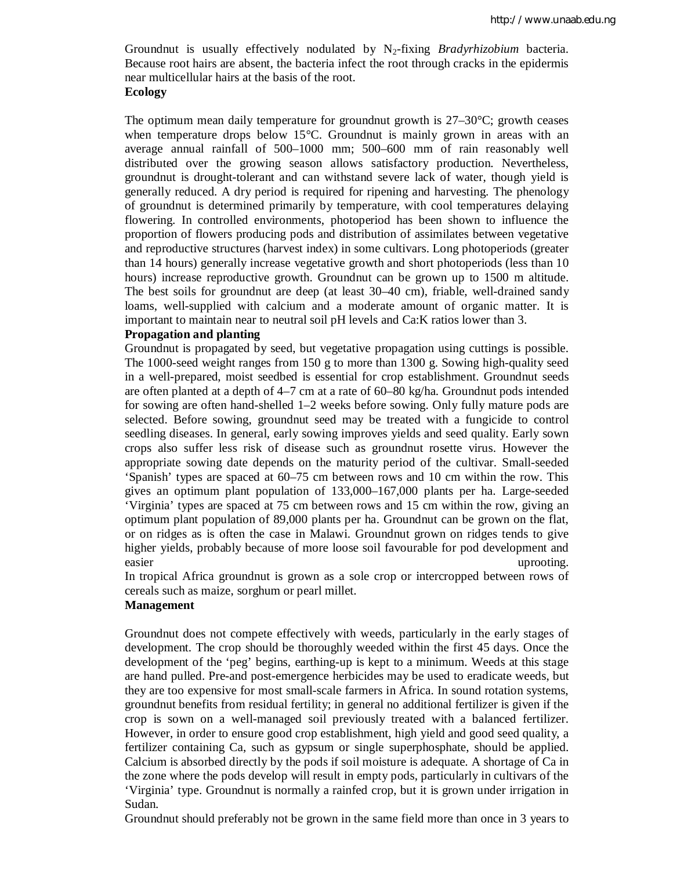Groundnut is usually effectively nodulated by N2-fixing *Bradyrhizobium* bacteria. Because root hairs are absent, the bacteria infect the root through cracks in the epidermis near multicellular hairs at the basis of the root.

## **Ecology**

The optimum mean daily temperature for groundnut growth is 27–30°C; growth ceases when temperature drops below 15°C. Groundnut is mainly grown in areas with an average annual rainfall of 500–1000 mm; 500–600 mm of rain reasonably well distributed over the growing season allows satisfactory production. Nevertheless, groundnut is drought-tolerant and can withstand severe lack of water, though yield is generally reduced. A dry period is required for ripening and harvesting. The phenology of groundnut is determined primarily by temperature, with cool temperatures delaying flowering. In controlled environments, photoperiod has been shown to influence the proportion of flowers producing pods and distribution of assimilates between vegetative and reproductive structures (harvest index) in some cultivars. Long photoperiods (greater than 14 hours) generally increase vegetative growth and short photoperiods (less than 10 hours) increase reproductive growth. Groundnut can be grown up to 1500 m altitude. The best soils for groundnut are deep (at least 30–40 cm), friable, well-drained sandy loams, well-supplied with calcium and a moderate amount of organic matter. It is important to maintain near to neutral soil pH levels and Ca:K ratios lower than 3.

## **Propagation and planting**

Groundnut is propagated by seed, but vegetative propagation using cuttings is possible. The 1000-seed weight ranges from 150 g to more than 1300 g. Sowing high-quality seed in a well-prepared, moist seedbed is essential for crop establishment. Groundnut seeds are often planted at a depth of 4–7 cm at a rate of 60–80 kg/ha. Groundnut pods intended for sowing are often hand-shelled 1–2 weeks before sowing. Only fully mature pods are selected. Before sowing, groundnut seed may be treated with a fungicide to control seedling diseases. In general, early sowing improves yields and seed quality. Early sown crops also suffer less risk of disease such as groundnut rosette virus. However the appropriate sowing date depends on the maturity period of the cultivar. Small-seeded 'Spanish' types are spaced at 60–75 cm between rows and 10 cm within the row. This gives an optimum plant population of 133,000–167,000 plants per ha. Large-seeded 'Virginia' types are spaced at 75 cm between rows and 15 cm within the row, giving an optimum plant population of 89,000 plants per ha. Groundnut can be grown on the flat, or on ridges as is often the case in Malawi. Groundnut grown on ridges tends to give higher yields, probably because of more loose soil favourable for pod development and easier uproofing.

In tropical Africa groundnut is grown as a sole crop or intercropped between rows of cereals such as maize, sorghum or pearl millet.

## **Management**

Groundnut does not compete effectively with weeds, particularly in the early stages of development. The crop should be thoroughly weeded within the first 45 days. Once the development of the 'peg' begins, earthing-up is kept to a minimum. Weeds at this stage are hand pulled. Pre-and post-emergence herbicides may be used to eradicate weeds, but they are too expensive for most small-scale farmers in Africa. In sound rotation systems, groundnut benefits from residual fertility; in general no additional fertilizer is given if the crop is sown on a well-managed soil previously treated with a balanced fertilizer. However, in order to ensure good crop establishment, high yield and good seed quality, a fertilizer containing Ca, such as gypsum or single superphosphate, should be applied. Calcium is absorbed directly by the pods if soil moisture is adequate. A shortage of Ca in the zone where the pods develop will result in empty pods, particularly in cultivars of the 'Virginia' type. Groundnut is normally a rainfed crop, but it is grown under irrigation in Sudan.

Groundnut should preferably not be grown in the same field more than once in 3 years to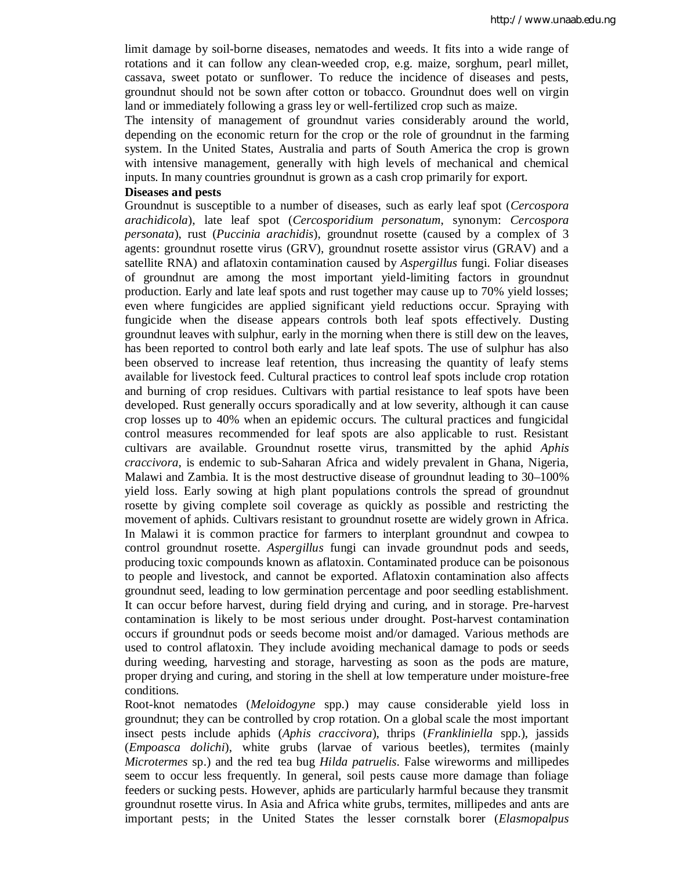limit damage by soil-borne diseases, nematodes and weeds. It fits into a wide range of rotations and it can follow any clean-weeded crop, e.g. maize, sorghum, pearl millet, cassava, sweet potato or sunflower. To reduce the incidence of diseases and pests, groundnut should not be sown after cotton or tobacco. Groundnut does well on virgin land or immediately following a grass ley or well-fertilized crop such as maize.

The intensity of management of groundnut varies considerably around the world, depending on the economic return for the crop or the role of groundnut in the farming system. In the United States, Australia and parts of South America the crop is grown with intensive management, generally with high levels of mechanical and chemical inputs. In many countries groundnut is grown as a cash crop primarily for export.

#### **Diseases and pests**

Groundnut is susceptible to a number of diseases, such as early leaf spot (*Cercospora arachidicola*), late leaf spot (*Cercosporidium personatum*, synonym: *Cercospora personata*), rust (*Puccinia arachidis*), groundnut rosette (caused by a complex of 3 agents: groundnut rosette virus (GRV), groundnut rosette assistor virus (GRAV) and a satellite RNA) and aflatoxin contamination caused by *Aspergillus* fungi. Foliar diseases of groundnut are among the most important yield-limiting factors in groundnut production. Early and late leaf spots and rust together may cause up to 70% yield losses; even where fungicides are applied significant yield reductions occur. Spraying with fungicide when the disease appears controls both leaf spots effectively. Dusting groundnut leaves with sulphur, early in the morning when there is still dew on the leaves, has been reported to control both early and late leaf spots. The use of sulphur has also been observed to increase leaf retention, thus increasing the quantity of leafy stems available for livestock feed. Cultural practices to control leaf spots include crop rotation and burning of crop residues. Cultivars with partial resistance to leaf spots have been developed. Rust generally occurs sporadically and at low severity, although it can cause crop losses up to 40% when an epidemic occurs. The cultural practices and fungicidal control measures recommended for leaf spots are also applicable to rust. Resistant cultivars are available. Groundnut rosette virus, transmitted by the aphid *Aphis craccivora*, is endemic to sub-Saharan Africa and widely prevalent in Ghana, Nigeria, Malawi and Zambia. It is the most destructive disease of groundnut leading to 30–100% yield loss. Early sowing at high plant populations controls the spread of groundnut rosette by giving complete soil coverage as quickly as possible and restricting the movement of aphids. Cultivars resistant to groundnut rosette are widely grown in Africa. In Malawi it is common practice for farmers to interplant groundnut and cowpea to control groundnut rosette. *Aspergillus* fungi can invade groundnut pods and seeds, producing toxic compounds known as aflatoxin. Contaminated produce can be poisonous to people and livestock, and cannot be exported. Aflatoxin contamination also affects groundnut seed, leading to low germination percentage and poor seedling establishment. It can occur before harvest, during field drying and curing, and in storage. Pre-harvest contamination is likely to be most serious under drought. Post-harvest contamination occurs if groundnut pods or seeds become moist and/or damaged. Various methods are used to control aflatoxin. They include avoiding mechanical damage to pods or seeds during weeding, harvesting and storage, harvesting as soon as the pods are mature, proper drying and curing, and storing in the shell at low temperature under moisture-free conditions.

Root-knot nematodes (*Meloidogyne* spp.) may cause considerable yield loss in groundnut; they can be controlled by crop rotation. On a global scale the most important insect pests include aphids (*Aphis craccivora*), thrips (*Frankliniella* spp.), jassids (*Empoasca dolichi*), white grubs (larvae of various beetles), termites (mainly *Microtermes* sp.) and the red tea bug *Hilda patruelis*. False wireworms and millipedes seem to occur less frequently. In general, soil pests cause more damage than foliage feeders or sucking pests. However, aphids are particularly harmful because they transmit groundnut rosette virus. In Asia and Africa white grubs, termites, millipedes and ants are important pests; in the United States the lesser cornstalk borer (*Elasmopalpus*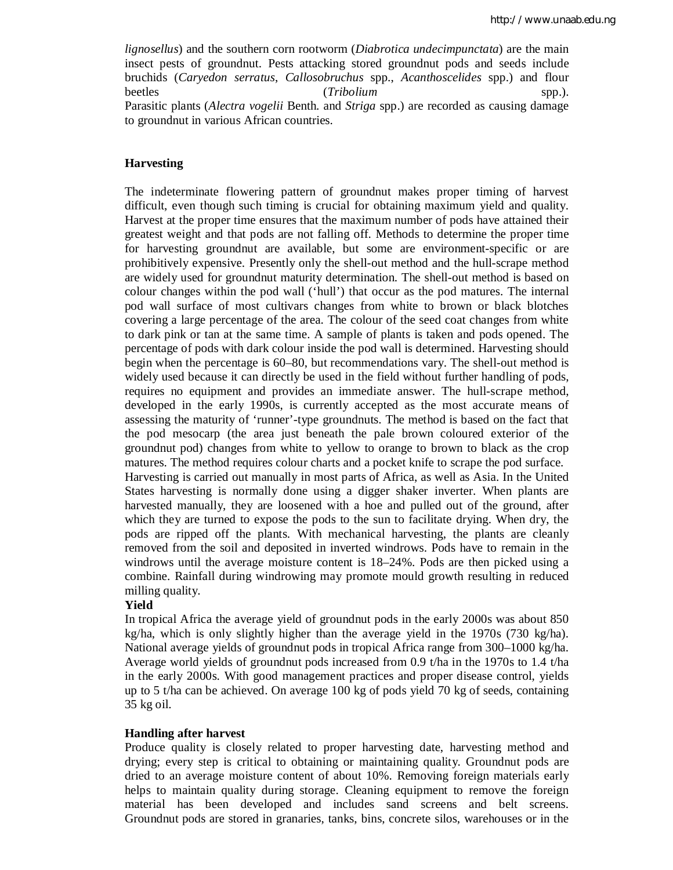*lignosellus*) and the southern corn rootworm (*Diabrotica undecimpunctata*) are the main insect pests of groundnut. Pests attacking stored groundnut pods and seeds include bruchids (*Caryedon serratus*, *Callosobruchus* spp., *Acanthoscelides* spp.) and flour beetles (*Tribolium* spp.). Parasitic plants (*Alectra vogelii* Benth. and *Striga* spp.) are recorded as causing damage to groundnut in various African countries.

## **Harvesting**

The indeterminate flowering pattern of groundnut makes proper timing of harvest difficult, even though such timing is crucial for obtaining maximum yield and quality. Harvest at the proper time ensures that the maximum number of pods have attained their greatest weight and that pods are not falling off. Methods to determine the proper time for harvesting groundnut are available, but some are environment-specific or are prohibitively expensive. Presently only the shell-out method and the hull-scrape method are widely used for groundnut maturity determination. The shell-out method is based on colour changes within the pod wall ('hull') that occur as the pod matures. The internal pod wall surface of most cultivars changes from white to brown or black blotches covering a large percentage of the area. The colour of the seed coat changes from white to dark pink or tan at the same time. A sample of plants is taken and pods opened. The percentage of pods with dark colour inside the pod wall is determined. Harvesting should begin when the percentage is 60–80, but recommendations vary. The shell-out method is widely used because it can directly be used in the field without further handling of pods, requires no equipment and provides an immediate answer. The hull-scrape method, developed in the early 1990s, is currently accepted as the most accurate means of assessing the maturity of 'runner'-type groundnuts. The method is based on the fact that the pod mesocarp (the area just beneath the pale brown coloured exterior of the groundnut pod) changes from white to yellow to orange to brown to black as the crop matures. The method requires colour charts and a pocket knife to scrape the pod surface. Harvesting is carried out manually in most parts of Africa, as well as Asia. In the United States harvesting is normally done using a digger shaker inverter. When plants are harvested manually, they are loosened with a hoe and pulled out of the ground, after which they are turned to expose the pods to the sun to facilitate drying. When dry, the pods are ripped off the plants. With mechanical harvesting, the plants are cleanly removed from the soil and deposited in inverted windrows. Pods have to remain in the windrows until the average moisture content is 18–24%. Pods are then picked using a combine. Rainfall during windrowing may promote mould growth resulting in reduced milling quality.

### **Yield**

In tropical Africa the average yield of groundnut pods in the early 2000s was about 850 kg/ha, which is only slightly higher than the average yield in the 1970s (730 kg/ha). National average yields of groundnut pods in tropical Africa range from 300–1000 kg/ha. Average world yields of groundnut pods increased from 0.9 t/ha in the 1970s to 1.4 t/ha in the early 2000s. With good management practices and proper disease control, yields up to 5 t/ha can be achieved. On average 100 kg of pods yield 70 kg of seeds, containing 35 kg oil.

### **Handling after harvest**

Produce quality is closely related to proper harvesting date, harvesting method and drying; every step is critical to obtaining or maintaining quality. Groundnut pods are dried to an average moisture content of about 10%. Removing foreign materials early helps to maintain quality during storage. Cleaning equipment to remove the foreign material has been developed and includes sand screens and belt screens. Groundnut pods are stored in granaries, tanks, bins, concrete silos, warehouses or in the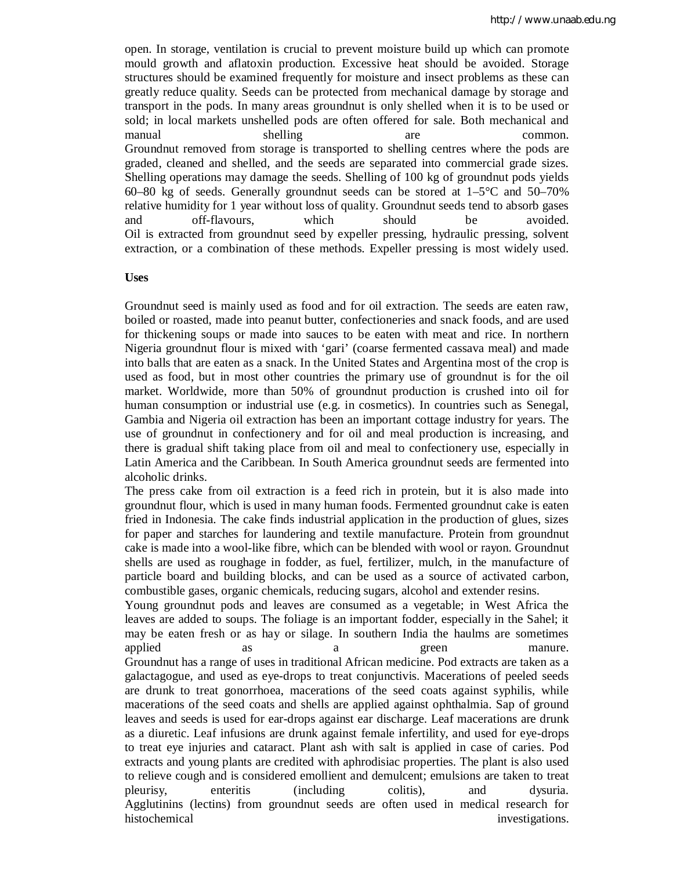open. In storage, ventilation is crucial to prevent moisture build up which can promote mould growth and aflatoxin production. Excessive heat should be avoided. Storage structures should be examined frequently for moisture and insect problems as these can greatly reduce quality. Seeds can be protected from mechanical damage by storage and transport in the pods. In many areas groundnut is only shelled when it is to be used or sold; in local markets unshelled pods are often offered for sale. Both mechanical and manual shelling are common. Groundnut removed from storage is transported to shelling centres where the pods are graded, cleaned and shelled, and the seeds are separated into commercial grade sizes. Shelling operations may damage the seeds. Shelling of 100 kg of groundnut pods yields 60–80 kg of seeds. Generally groundnut seeds can be stored at  $1-5^{\circ}$ C and  $50-70\%$ relative humidity for 1 year without loss of quality. Groundnut seeds tend to absorb gases and off-flavours, which should be avoided. Oil is extracted from groundnut seed by expeller pressing, hydraulic pressing, solvent extraction, or a combination of these methods. Expeller pressing is most widely used.

#### **Uses**

Groundnut seed is mainly used as food and for oil extraction. The seeds are eaten raw, boiled or roasted, made into peanut butter, confectioneries and snack foods, and are used for thickening soups or made into sauces to be eaten with meat and rice. In northern Nigeria groundnut flour is mixed with 'gari' (coarse fermented cassava meal) and made into balls that are eaten as a snack. In the United States and Argentina most of the crop is used as food, but in most other countries the primary use of groundnut is for the oil market. Worldwide, more than 50% of groundnut production is crushed into oil for human consumption or industrial use (e.g. in cosmetics). In countries such as Senegal, Gambia and Nigeria oil extraction has been an important cottage industry for years. The use of groundnut in confectionery and for oil and meal production is increasing, and there is gradual shift taking place from oil and meal to confectionery use, especially in Latin America and the Caribbean. In South America groundnut seeds are fermented into alcoholic drinks.

The press cake from oil extraction is a feed rich in protein, but it is also made into groundnut flour, which is used in many human foods. Fermented groundnut cake is eaten fried in Indonesia. The cake finds industrial application in the production of glues, sizes for paper and starches for laundering and textile manufacture. Protein from groundnut cake is made into a wool-like fibre, which can be blended with wool or rayon. Groundnut shells are used as roughage in fodder, as fuel, fertilizer, mulch, in the manufacture of particle board and building blocks, and can be used as a source of activated carbon, combustible gases, organic chemicals, reducing sugars, alcohol and extender resins.

Young groundnut pods and leaves are consumed as a vegetable; in West Africa the leaves are added to soups. The foliage is an important fodder, especially in the Sahel; it may be eaten fresh or as hay or silage. In southern India the haulms are sometimes applied as a a green manure. Groundnut has a range of uses in traditional African medicine. Pod extracts are taken as a galactagogue, and used as eye-drops to treat conjunctivis. Macerations of peeled seeds are drunk to treat gonorrhoea, macerations of the seed coats against syphilis, while macerations of the seed coats and shells are applied against ophthalmia. Sap of ground leaves and seeds is used for ear-drops against ear discharge. Leaf macerations are drunk as a diuretic. Leaf infusions are drunk against female infertility, and used for eye-drops to treat eye injuries and cataract. Plant ash with salt is applied in case of caries. Pod extracts and young plants are credited with aphrodisiac properties. The plant is also used to relieve cough and is considered emollient and demulcent; emulsions are taken to treat pleurisy, enteritis (including colitis), and dysuria. Agglutinins (lectins) from groundnut seeds are often used in medical research for histochemical investigations.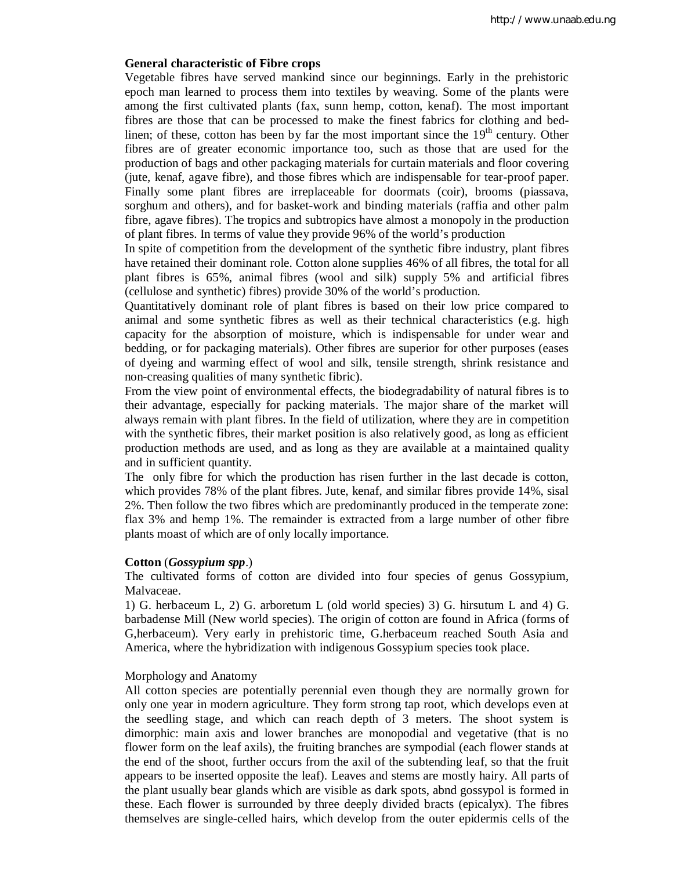#### **General characteristic of Fibre crops**

Vegetable fibres have served mankind since our beginnings. Early in the prehistoric epoch man learned to process them into textiles by weaving. Some of the plants were among the first cultivated plants (fax, sunn hemp, cotton, kenaf). The most important fibres are those that can be processed to make the finest fabrics for clothing and bedlinen; of these, cotton has been by far the most important since the  $19<sup>th</sup>$  century. Other fibres are of greater economic importance too, such as those that are used for the production of bags and other packaging materials for curtain materials and floor covering (jute, kenaf, agave fibre), and those fibres which are indispensable for tear-proof paper. Finally some plant fibres are irreplaceable for doormats (coir), brooms (piassava, sorghum and others), and for basket-work and binding materials (raffia and other palm fibre, agave fibres). The tropics and subtropics have almost a monopoly in the production of plant fibres. In terms of value they provide 96% of the world's production

In spite of competition from the development of the synthetic fibre industry, plant fibres have retained their dominant role. Cotton alone supplies 46% of all fibres, the total for all plant fibres is 65%, animal fibres (wool and silk) supply 5% and artificial fibres (cellulose and synthetic) fibres) provide 30% of the world's production.

Quantitatively dominant role of plant fibres is based on their low price compared to animal and some synthetic fibres as well as their technical characteristics (e.g. high capacity for the absorption of moisture, which is indispensable for under wear and bedding, or for packaging materials). Other fibres are superior for other purposes (eases of dyeing and warming effect of wool and silk, tensile strength, shrink resistance and non-creasing qualities of many synthetic fibric).

From the view point of environmental effects, the biodegradability of natural fibres is to their advantage, especially for packing materials. The major share of the market will always remain with plant fibres. In the field of utilization, where they are in competition with the synthetic fibres, their market position is also relatively good, as long as efficient production methods are used, and as long as they are available at a maintained quality and in sufficient quantity.

The only fibre for which the production has risen further in the last decade is cotton, which provides 78% of the plant fibres. Jute, kenaf, and similar fibres provide 14%, sisal 2%. Then follow the two fibres which are predominantly produced in the temperate zone: flax 3% and hemp 1%. The remainder is extracted from a large number of other fibre plants moast of which are of only locally importance.

#### **Cotton** (*Gossypium spp*.)

The cultivated forms of cotton are divided into four species of genus Gossypium, Malvaceae.

1) G. herbaceum L, 2) G. arboretum L (old world species) 3) G. hirsutum L and 4) G. barbadense Mill (New world species). The origin of cotton are found in Africa (forms of G,herbaceum). Very early in prehistoric time, G.herbaceum reached South Asia and America, where the hybridization with indigenous Gossypium species took place.

#### Morphology and Anatomy

All cotton species are potentially perennial even though they are normally grown for only one year in modern agriculture. They form strong tap root, which develops even at the seedling stage, and which can reach depth of 3 meters. The shoot system is dimorphic: main axis and lower branches are monopodial and vegetative (that is no flower form on the leaf axils), the fruiting branches are sympodial (each flower stands at the end of the shoot, further occurs from the axil of the subtending leaf, so that the fruit appears to be inserted opposite the leaf). Leaves and stems are mostly hairy. All parts of the plant usually bear glands which are visible as dark spots, abnd gossypol is formed in these. Each flower is surrounded by three deeply divided bracts (epicalyx). The fibres themselves are single-celled hairs, which develop from the outer epidermis cells of the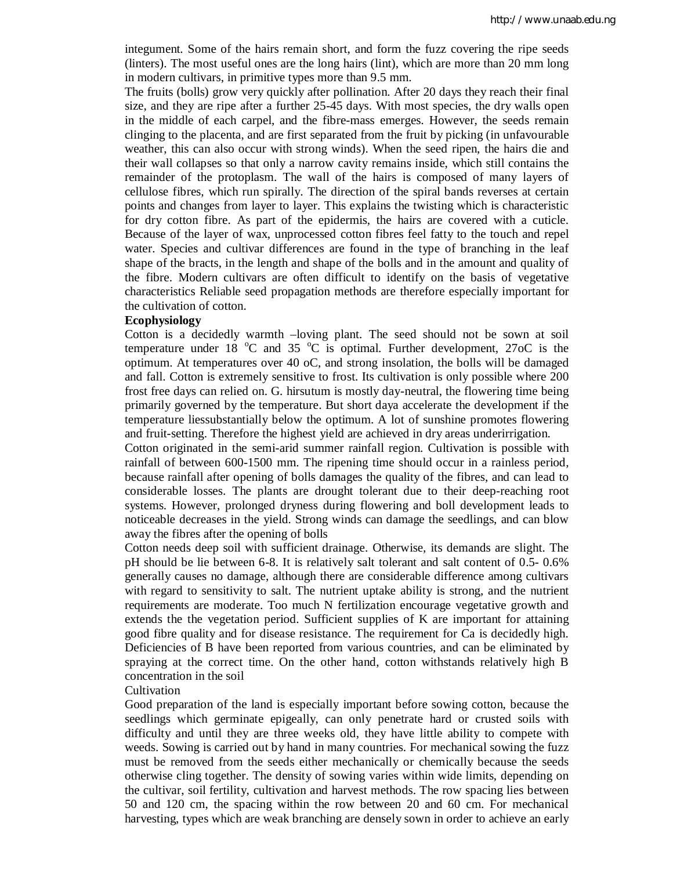integument. Some of the hairs remain short, and form the fuzz covering the ripe seeds (linters). The most useful ones are the long hairs (lint), which are more than 20 mm long in modern cultivars, in primitive types more than 9.5 mm.

The fruits (bolls) grow very quickly after pollination. After 20 days they reach their final size, and they are ripe after a further 25-45 days. With most species, the dry walls open in the middle of each carpel, and the fibre-mass emerges. However, the seeds remain clinging to the placenta, and are first separated from the fruit by picking (in unfavourable weather, this can also occur with strong winds). When the seed ripen, the hairs die and their wall collapses so that only a narrow cavity remains inside, which still contains the remainder of the protoplasm. The wall of the hairs is composed of many layers of cellulose fibres, which run spirally. The direction of the spiral bands reverses at certain points and changes from layer to layer. This explains the twisting which is characteristic for dry cotton fibre. As part of the epidermis, the hairs are covered with a cuticle. Because of the layer of wax, unprocessed cotton fibres feel fatty to the touch and repel water. Species and cultivar differences are found in the type of branching in the leaf shape of the bracts, in the length and shape of the bolls and in the amount and quality of the fibre. Modern cultivars are often difficult to identify on the basis of vegetative characteristics Reliable seed propagation methods are therefore especially important for the cultivation of cotton.

#### **Ecophysiology**

Cotton is a decidedly warmth –loving plant. The seed should not be sown at soil temperature under 18  $^{\circ}$ C and 35  $^{\circ}$ C is optimal. Further development, 27oC is the optimum. At temperatures over 40 oC, and strong insolation, the bolls will be damaged and fall. Cotton is extremely sensitive to frost. Its cultivation is only possible where 200 frost free days can relied on. G. hirsutum is mostly day-neutral, the flowering time being primarily governed by the temperature. But short daya accelerate the development if the temperature liessubstantially below the optimum. A lot of sunshine promotes flowering and fruit-setting. Therefore the highest yield are achieved in dry areas underirrigation.

Cotton originated in the semi-arid summer rainfall region. Cultivation is possible with rainfall of between 600-1500 mm. The ripening time should occur in a rainless period, because rainfall after opening of bolls damages the quality of the fibres, and can lead to considerable losses. The plants are drought tolerant due to their deep-reaching root systems. However, prolonged dryness during flowering and boll development leads to noticeable decreases in the yield. Strong winds can damage the seedlings, and can blow away the fibres after the opening of bolls

Cotton needs deep soil with sufficient drainage. Otherwise, its demands are slight. The pH should be lie between 6-8. It is relatively salt tolerant and salt content of 0.5- 0.6% generally causes no damage, although there are considerable difference among cultivars with regard to sensitivity to salt. The nutrient uptake ability is strong, and the nutrient requirements are moderate. Too much N fertilization encourage vegetative growth and extends the the vegetation period. Sufficient supplies of K are important for attaining good fibre quality and for disease resistance. The requirement for Ca is decidedly high. Deficiencies of B have been reported from various countries, and can be eliminated by spraying at the correct time. On the other hand, cotton withstands relatively high B concentration in the soil

#### **Cultivation**

Good preparation of the land is especially important before sowing cotton, because the seedlings which germinate epigeally, can only penetrate hard or crusted soils with difficulty and until they are three weeks old, they have little ability to compete with weeds. Sowing is carried out by hand in many countries. For mechanical sowing the fuzz must be removed from the seeds either mechanically or chemically because the seeds otherwise cling together. The density of sowing varies within wide limits, depending on the cultivar, soil fertility, cultivation and harvest methods. The row spacing lies between 50 and 120 cm, the spacing within the row between 20 and 60 cm. For mechanical harvesting, types which are weak branching are densely sown in order to achieve an early